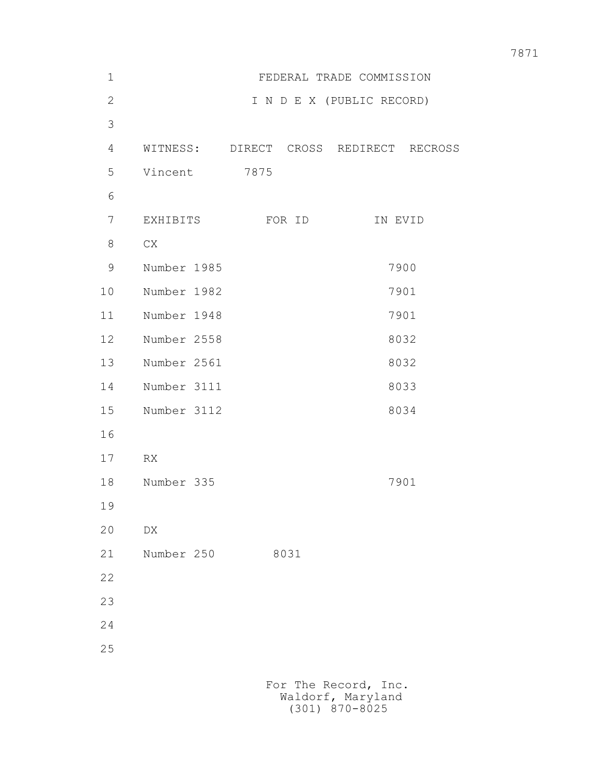| $\mathbf 1$  | FEDERAL TRADE COMMISSION |        |                                        |
|--------------|--------------------------|--------|----------------------------------------|
| $\mathbf{2}$ |                          |        | I N D E X (PUBLIC RECORD)              |
| 3            |                          |        |                                        |
| 4            |                          |        | WITNESS: DIRECT CROSS REDIRECT RECROSS |
| 5            | Vincent                  | 7875   |                                        |
| 6            |                          |        |                                        |
| 7            | EXHIBITS                 | FOR ID | IN EVID                                |
| 8            | CX                       |        |                                        |
| 9            | Number 1985              |        | 7900                                   |
| 10           | Number 1982              |        | 7901                                   |
| 11           | Number 1948              |        | 7901                                   |
| 12           | Number 2558              |        | 8032                                   |
| 13           | Number 2561              |        | 8032                                   |
| 14           | Number 3111              |        | 8033                                   |
| 15           | Number 3112              |        | 8034                                   |
| 16           |                          |        |                                        |
| 17           | RX                       |        |                                        |
| 18           | Number 335               |        | 7901                                   |
| 19           |                          |        |                                        |
| 20           | ${\rm D}{\rm X}$         |        |                                        |
| 21           | Number 250               | 8031   |                                        |
| 22           |                          |        |                                        |
| 23           |                          |        |                                        |
| 24           |                          |        |                                        |
| 25           |                          |        |                                        |
|              |                          |        |                                        |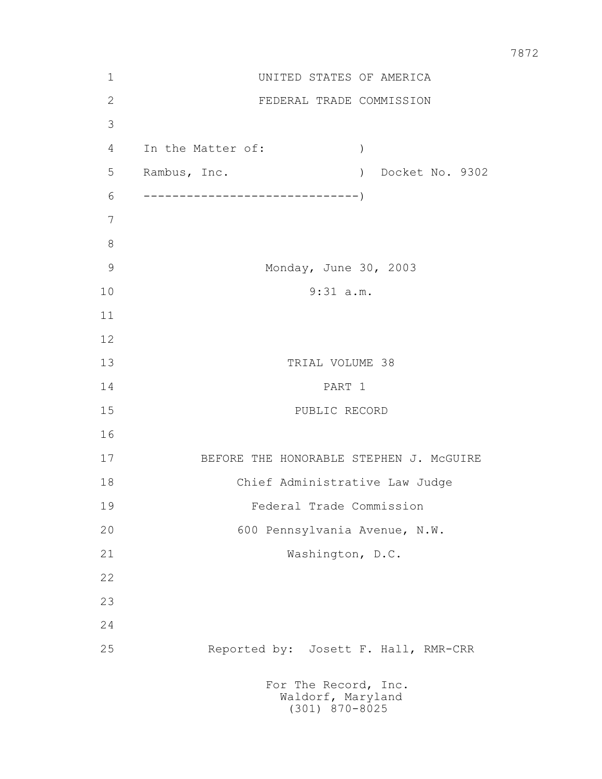| $\mathbf 1$   |                                | UNITED STATES OF AMERICA                |  |
|---------------|--------------------------------|-----------------------------------------|--|
| $\sqrt{2}$    |                                | FEDERAL TRADE COMMISSION                |  |
| 3             |                                |                                         |  |
| 4             | In the Matter of:              | $\lambda$                               |  |
| 5             | Rambus, Inc.                   | ) Docket No. 9302                       |  |
| 6             |                                |                                         |  |
| 7             |                                |                                         |  |
| $8\,$         |                                |                                         |  |
| $\mathcal{G}$ |                                | Monday, June 30, 2003                   |  |
| 10            |                                | $9:31$ a.m.                             |  |
| 11            |                                |                                         |  |
| 12            |                                |                                         |  |
| 13            |                                | TRIAL VOLUME 38                         |  |
| 14            |                                | PART 1                                  |  |
| 15            |                                | PUBLIC RECORD                           |  |
| 16            |                                |                                         |  |
| 17            |                                | BEFORE THE HONORABLE STEPHEN J. MCGUIRE |  |
| 18            | Chief Administrative Law Judge |                                         |  |
| 19            | Federal Trade Commission       |                                         |  |
| 20            |                                | 600 Pennsylvania Avenue, N.W.           |  |
| 21            |                                | Washington, D.C.                        |  |
| 22            |                                |                                         |  |
| 23            |                                |                                         |  |
| 24            |                                |                                         |  |
| 25            |                                | Reported by: Josett F. Hall, RMR-CRR    |  |
|               | For The Record, Inc.           | Waldorf, Maryland<br>$(301)$ 870-8025   |  |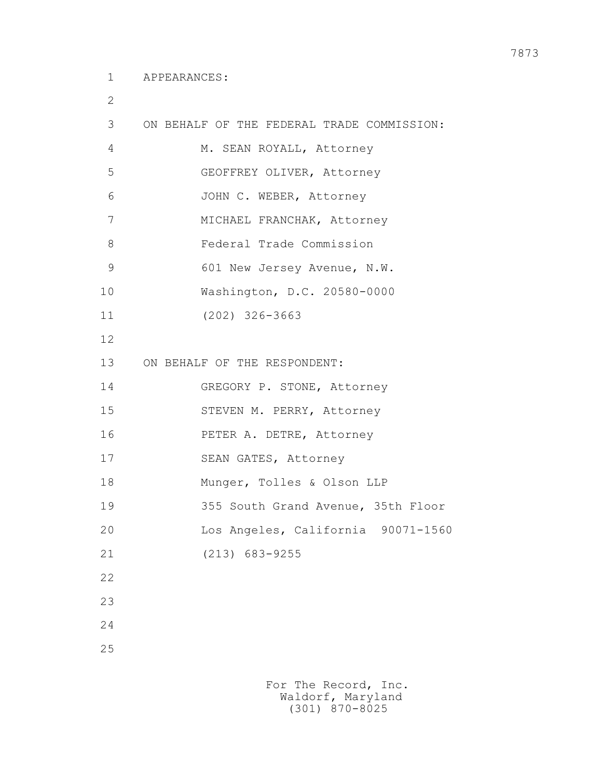2

| 3  | ON BEHALF OF THE FEDERAL TRADE COMMISSION: |
|----|--------------------------------------------|
| 4  | M. SEAN ROYALL, Attorney                   |
| 5  | GEOFFREY OLIVER, Attorney                  |
| 6  | JOHN C. WEBER, Attorney                    |
| 7  | MICHAEL FRANCHAK, Attorney                 |
| 8  | Federal Trade Commission                   |
| 9  | 601 New Jersey Avenue, N.W.                |
| 10 | Washington, D.C. 20580-0000                |
| 11 | $(202)$ 326-3663                           |
| 12 |                                            |
| 13 | ON BEHALF OF THE RESPONDENT:               |
| 14 | GREGORY P. STONE, Attorney                 |
| 15 | STEVEN M. PERRY, Attorney                  |
| 16 | PETER A. DETRE, Attorney                   |
| 17 | SEAN GATES, Attorney                       |
| 18 | Munger, Tolles & Olson LLP                 |
| 19 | 355 South Grand Avenue, 35th Floor         |
| 20 | Los Angeles, California 90071-1560         |
| 21 | $(213)$ 683-9255                           |
| 22 |                                            |
| 23 |                                            |
| 24 |                                            |
| 25 |                                            |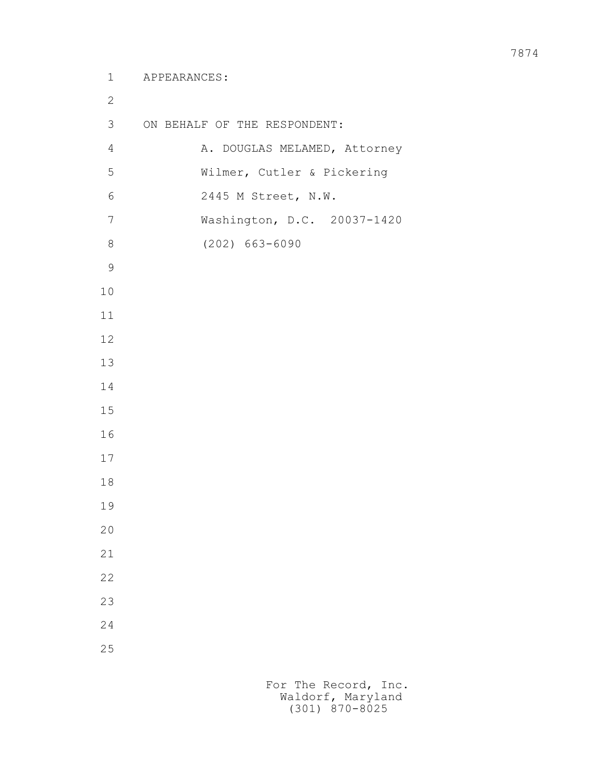```
 1 APPEARANCES:
2
        3 ON BEHALF OF THE RESPONDENT:
       4 A. DOUGLAS MELAMED, Attorney
        5 Wilmer, Cutler & Pickering
        6 2445 M Street, N.W.
        7 Washington, D.C. 20037-1420
        8 (202) 663-6090
9
       10
       11
       12
       13
       14
       15
       16
       17
       18
       19
       20
       21
       22
       23
       24
       25
```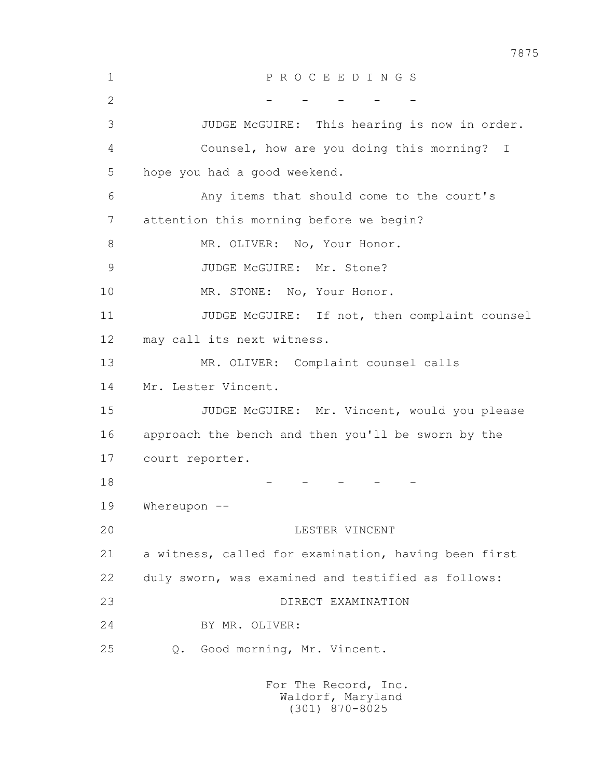1 P R O C E E D I N G S  $2$  - - - - - 3 JUDGE McGUIRE: This hearing is now in order. 4 Counsel, how are you doing this morning? I 5 hope you had a good weekend. 6 Any items that should come to the court's 7 attention this morning before we begin? 8 MR. OLIVER: No, Your Honor. 9 JUDGE McGUIRE: Mr. Stone? 10 MR. STONE: No, Your Honor. 11 JUDGE McGUIRE: If not, then complaint counsel 12 may call its next witness. 13 MR. OLIVER: Complaint counsel calls 14 Mr. Lester Vincent. 15 JUDGE McGUIRE: Mr. Vincent, would you please 16 approach the bench and then you'll be sworn by the 17 court reporter.  $18$  - - - - - - 19 Whereupon -- 20 LESTER VINCENT 21 a witness, called for examination, having been first 22 duly sworn, was examined and testified as follows: 23 DIRECT EXAMINATION 24 BY MR. OLIVER: 25 Q. Good morning, Mr. Vincent.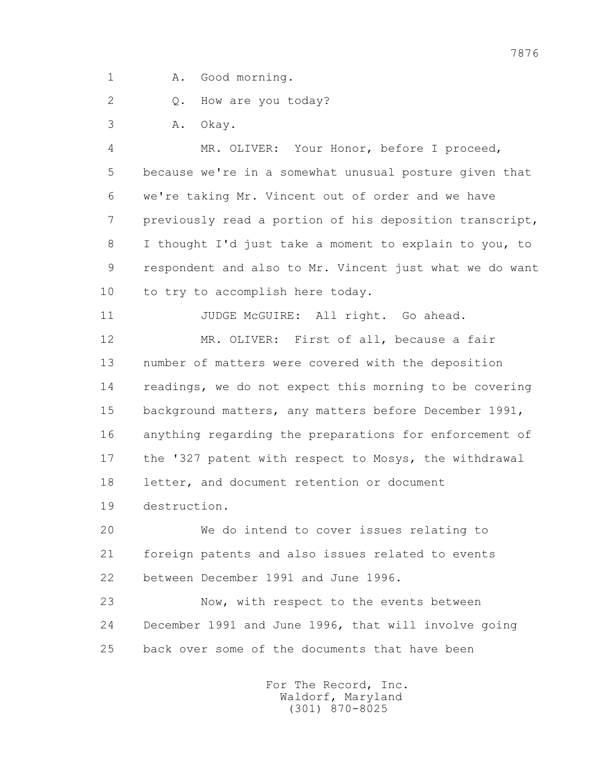1 A. Good morning.

2 0. How are you today?

3 A. Okay.

 4 MR. OLIVER: Your Honor, before I proceed, 5 because we're in a somewhat unusual posture given that 6 we're taking Mr. Vincent out of order and we have 7 previously read a portion of his deposition transcript, 8 I thought I'd just take a moment to explain to you, to 9 respondent and also to Mr. Vincent just what we do want 10 to try to accomplish here today.

11 JUDGE McGUIRE: All right. Go ahead. 12 MR. OLIVER: First of all, because a fair 13 number of matters were covered with the deposition 14 readings, we do not expect this morning to be covering 15 background matters, any matters before December 1991, 16 anything regarding the preparations for enforcement of 17 the '327 patent with respect to Mosys, the withdrawal 18 letter, and document retention or document 19 destruction.

 20 We do intend to cover issues relating to 21 foreign patents and also issues related to events 22 between December 1991 and June 1996.

 23 Now, with respect to the events between 24 December 1991 and June 1996, that will involve going 25 back over some of the documents that have been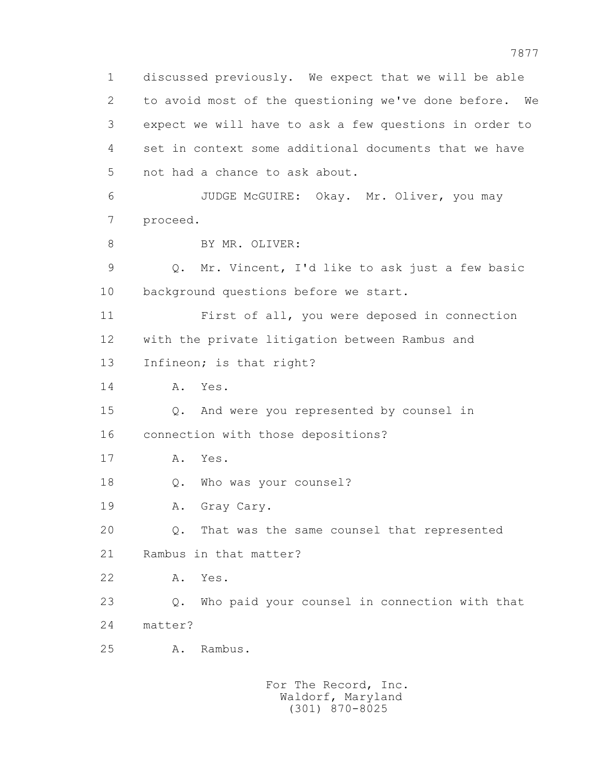1 discussed previously. We expect that we will be able 2 to avoid most of the questioning we've done before. We 3 expect we will have to ask a few questions in order to 4 set in context some additional documents that we have 5 not had a chance to ask about. 6 JUDGE McGUIRE: Okay. Mr. Oliver, you may 7 proceed. 8 BY MR. OLIVER: 9 Q. Mr. Vincent, I'd like to ask just a few basic 10 background questions before we start. 11 First of all, you were deposed in connection 12 with the private litigation between Rambus and 13 Infineon; is that right? 14 A. Yes. 15 Q. And were you represented by counsel in 16 connection with those depositions? 17 A. Yes. 18 Q. Who was your counsel? 19 A. Gray Cary. 20 Q. That was the same counsel that represented 21 Rambus in that matter? 22 A. Yes. 23 Q. Who paid your counsel in connection with that 24 matter? 25 A. Rambus.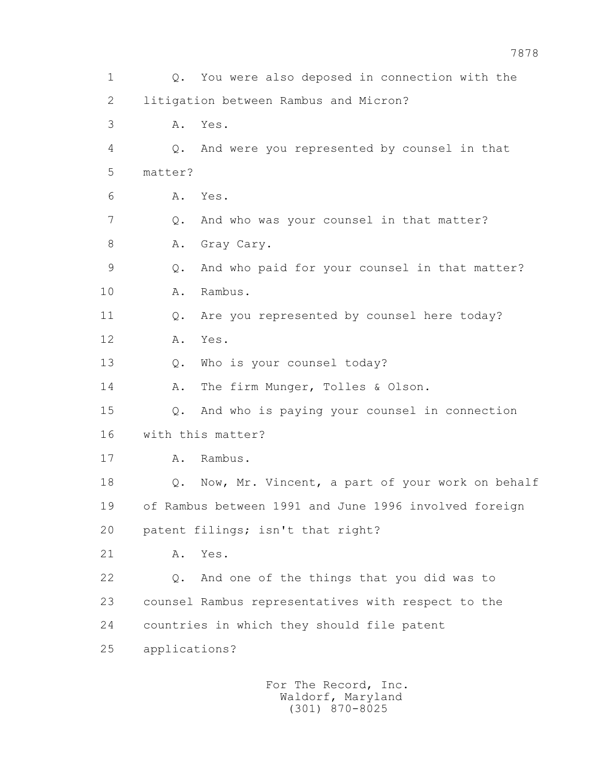1 Q. You were also deposed in connection with the 2 litigation between Rambus and Micron? 3 A. Yes. 4 Q. And were you represented by counsel in that 5 matter? 6 A. Yes. 7 Q. And who was your counsel in that matter? 8 A. Gray Cary. 9 Q. And who paid for your counsel in that matter? 10 A. Rambus. 11 Q. Are you represented by counsel here today? 12 A. Yes. 13 Q. Who is your counsel today? 14 A. The firm Munger, Tolles & Olson. 15 Q. And who is paying your counsel in connection 16 with this matter? 17 A. Rambus. 18 Q. Now, Mr. Vincent, a part of your work on behalf 19 of Rambus between 1991 and June 1996 involved foreign 20 patent filings; isn't that right? 21 A. Yes. 22 Q. And one of the things that you did was to 23 counsel Rambus representatives with respect to the 24 countries in which they should file patent 25 applications?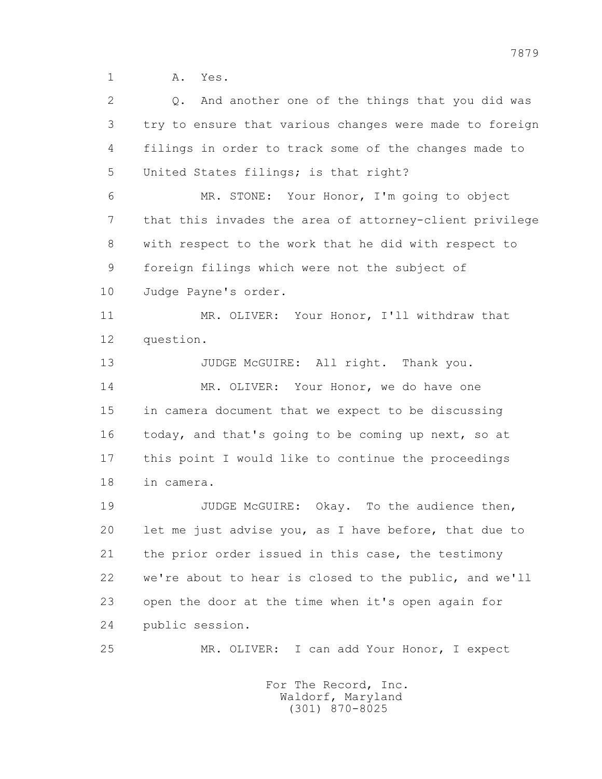1 A. Yes.

 2 Q. And another one of the things that you did was 3 try to ensure that various changes were made to foreign 4 filings in order to track some of the changes made to 5 United States filings; is that right? 6 MR. STONE: Your Honor, I'm going to object 7 that this invades the area of attorney-client privilege 8 with respect to the work that he did with respect to 9 foreign filings which were not the subject of 10 Judge Payne's order. 11 MR. OLIVER: Your Honor, I'll withdraw that 12 question. 13 JUDGE McGUIRE: All right. Thank you. 14 MR. OLIVER: Your Honor, we do have one 15 in camera document that we expect to be discussing 16 today, and that's going to be coming up next, so at 17 this point I would like to continue the proceedings 18 in camera. 19 JUDGE McGUIRE: Okay. To the audience then, 20 let me just advise you, as I have before, that due to 21 the prior order issued in this case, the testimony 22 we're about to hear is closed to the public, and we'll 23 open the door at the time when it's open again for 24 public session. 25 MR. OLIVER: I can add Your Honor, I expect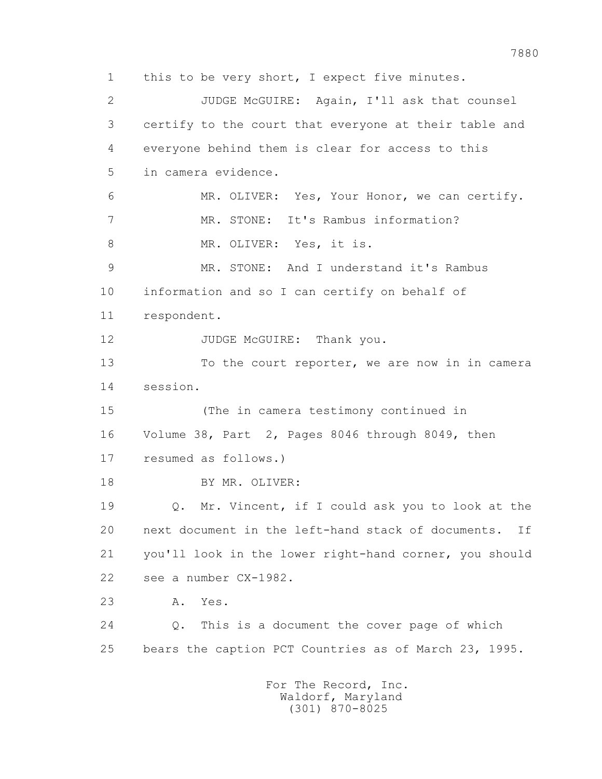1 this to be very short, I expect five minutes. 2 JUDGE McGUIRE: Again, I'll ask that counsel 3 certify to the court that everyone at their table and 4 everyone behind them is clear for access to this 5 in camera evidence. 6 MR. OLIVER: Yes, Your Honor, we can certify. 7 MR. STONE: It's Rambus information? 8 MR. OLIVER: Yes, it is. 9 MR. STONE: And I understand it's Rambus 10 information and so I can certify on behalf of 11 respondent. 12 JUDGE McGUIRE: Thank you. 13 To the court reporter, we are now in in camera 14 session. 15 (The in camera testimony continued in 16 Volume 38, Part 2, Pages 8046 through 8049, then 17 resumed as follows.) 18 BY MR. OLIVER: 19 Q. Mr. Vincent, if I could ask you to look at the 20 next document in the left-hand stack of documents. If 21 you'll look in the lower right-hand corner, you should 22 see a number CX-1982. 23 A. Yes. 24 Q. This is a document the cover page of which 25 bears the caption PCT Countries as of March 23, 1995. For The Record, Inc. Waldorf, Maryland

(301) 870-8025

7880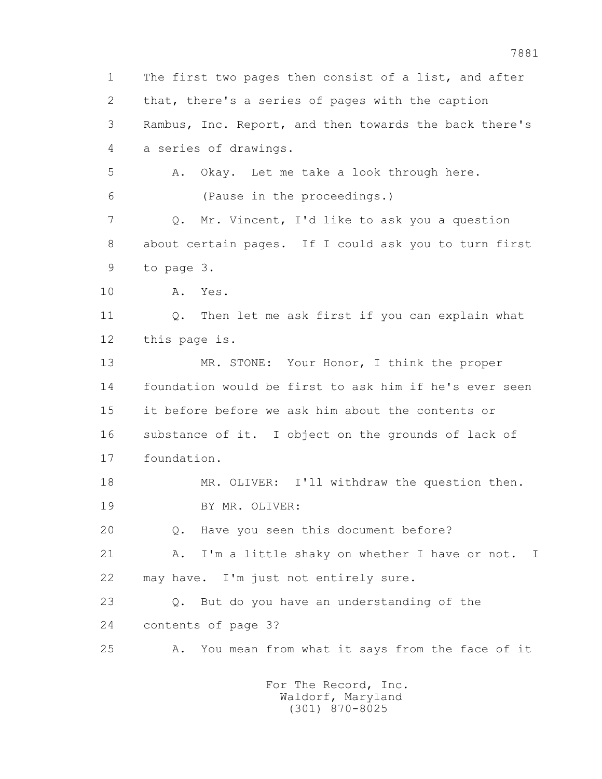1 The first two pages then consist of a list, and after 2 that, there's a series of pages with the caption 3 Rambus, Inc. Report, and then towards the back there's 4 a series of drawings. 5 A. Okay. Let me take a look through here. 6 (Pause in the proceedings.) 7 Q. Mr. Vincent, I'd like to ask you a question 8 about certain pages. If I could ask you to turn first 9 to page 3. 10 A. Yes. 11 Q. Then let me ask first if you can explain what 12 this page is. 13 MR. STONE: Your Honor, I think the proper 14 foundation would be first to ask him if he's ever seen 15 it before before we ask him about the contents or 16 substance of it. I object on the grounds of lack of 17 foundation. 18 MR. OLIVER: I'll withdraw the question then. 19 BY MR. OLIVER: 20 Q. Have you seen this document before? 21 A. I'm a little shaky on whether I have or not. I 22 may have. I'm just not entirely sure. 23 Q. But do you have an understanding of the 24 contents of page 3? 25 A. You mean from what it says from the face of it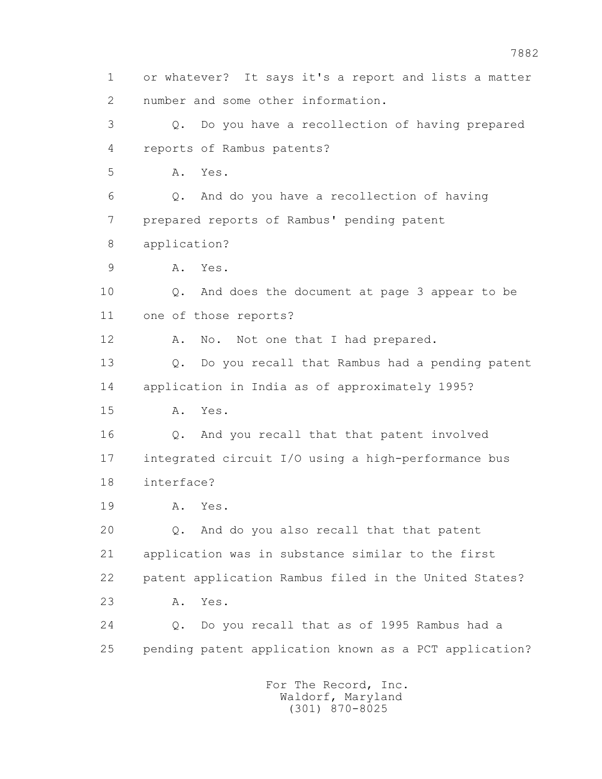1 or whatever? It says it's a report and lists a matter 2 number and some other information. 3 Q. Do you have a recollection of having prepared 4 reports of Rambus patents? 5 A. Yes. 6 Q. And do you have a recollection of having 7 prepared reports of Rambus' pending patent 8 application? 9 A. Yes. 10 Q. And does the document at page 3 appear to be 11 one of those reports? 12 A. No. Not one that I had prepared. 13 Q. Do you recall that Rambus had a pending patent 14 application in India as of approximately 1995? 15 A. Yes. 16 Q. And you recall that that patent involved 17 integrated circuit I/O using a high-performance bus 18 interface? 19 A. Yes. 20 Q. And do you also recall that that patent 21 application was in substance similar to the first 22 patent application Rambus filed in the United States? 23 A. Yes. 24 Q. Do you recall that as of 1995 Rambus had a 25 pending patent application known as a PCT application? For The Record, Inc. Waldorf, Maryland

(301) 870-8025

7882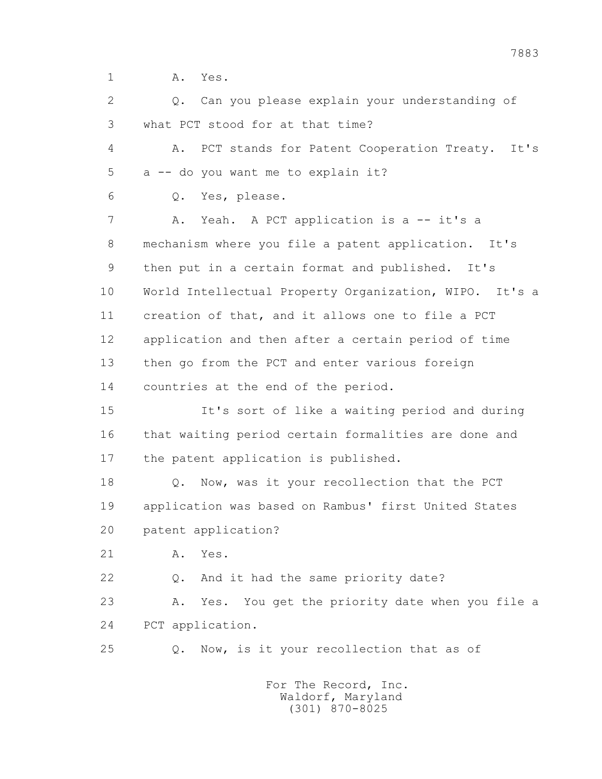1 A. Yes.

 2 Q. Can you please explain your understanding of 3 what PCT stood for at that time? 4 A. PCT stands for Patent Cooperation Treaty. It's 5 a -- do you want me to explain it? 6 Q. Yes, please. 7 A. Yeah. A PCT application is a -- it's a 8 mechanism where you file a patent application. It's 9 then put in a certain format and published. It's 10 World Intellectual Property Organization, WIPO. It's a 11 creation of that, and it allows one to file a PCT 12 application and then after a certain period of time 13 then go from the PCT and enter various foreign 14 countries at the end of the period. 15 It's sort of like a waiting period and during 16 that waiting period certain formalities are done and 17 the patent application is published. 18 Q. Now, was it your recollection that the PCT 19 application was based on Rambus' first United States 20 patent application? 21 A. Yes. 22 Q. And it had the same priority date? 23 A. Yes. You get the priority date when you file a 24 PCT application. 25 Q. Now, is it your recollection that as of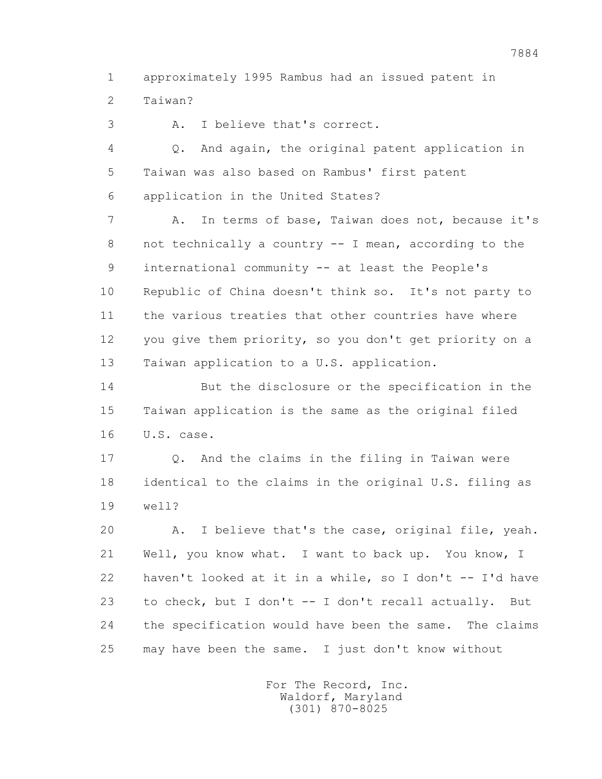1 approximately 1995 Rambus had an issued patent in 2 Taiwan?

3 A. I believe that's correct.

 4 Q. And again, the original patent application in 5 Taiwan was also based on Rambus' first patent 6 application in the United States?

 7 A. In terms of base, Taiwan does not, because it's 8 not technically a country -- I mean, according to the 9 international community -- at least the People's 10 Republic of China doesn't think so. It's not party to 11 the various treaties that other countries have where 12 you give them priority, so you don't get priority on a 13 Taiwan application to a U.S. application.

 14 But the disclosure or the specification in the 15 Taiwan application is the same as the original filed 16 U.S. case.

 17 Q. And the claims in the filing in Taiwan were 18 identical to the claims in the original U.S. filing as 19 well?

 20 A. I believe that's the case, original file, yeah. 21 Well, you know what. I want to back up. You know, I 22 haven't looked at it in a while, so I don't -- I'd have 23 to check, but I don't -- I don't recall actually. But 24 the specification would have been the same. The claims 25 may have been the same. I just don't know without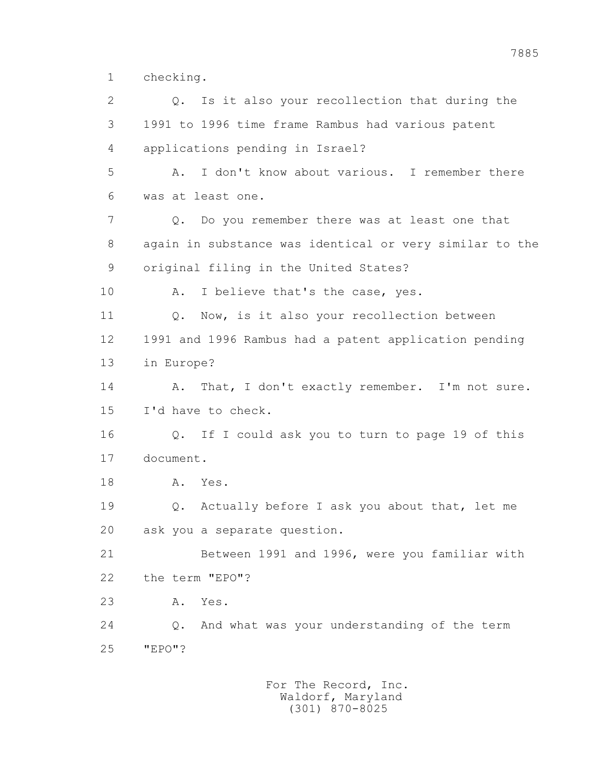1 checking.

 2 Q. Is it also your recollection that during the 3 1991 to 1996 time frame Rambus had various patent 4 applications pending in Israel? 5 A. I don't know about various. I remember there 6 was at least one. 7 Q. Do you remember there was at least one that 8 again in substance was identical or very similar to the 9 original filing in the United States? 10 A. I believe that's the case, yes. 11 Q. Now, is it also your recollection between 12 1991 and 1996 Rambus had a patent application pending 13 in Europe? 14 A. That, I don't exactly remember. I'm not sure. 15 I'd have to check. 16 Q. If I could ask you to turn to page 19 of this 17 document. 18 A. Yes. 19 Q. Actually before I ask you about that, let me 20 ask you a separate question. 21 Between 1991 and 1996, were you familiar with 22 the term "EPO"? 23 A. Yes. 24 Q. And what was your understanding of the term 25 "EPO"?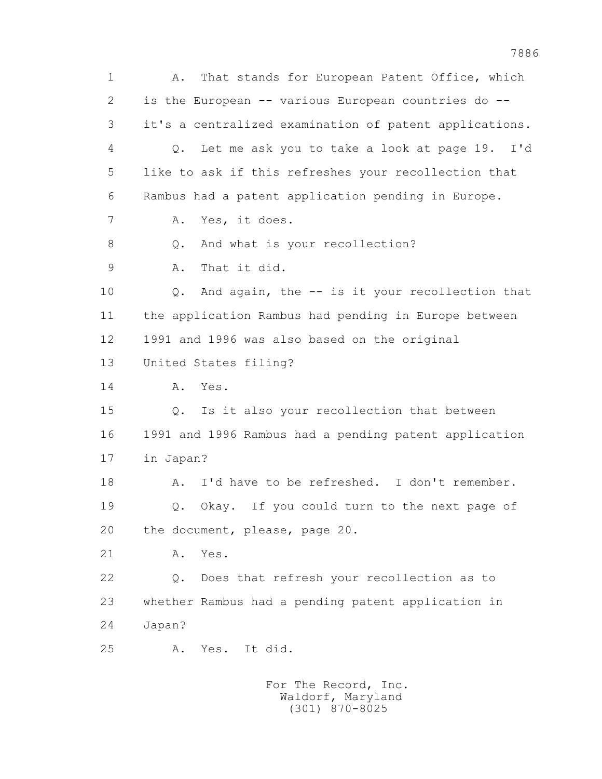1 A. That stands for European Patent Office, which 2 is the European -- various European countries do -- 3 it's a centralized examination of patent applications. 4 Q. Let me ask you to take a look at page 19. I'd 5 like to ask if this refreshes your recollection that 6 Rambus had a patent application pending in Europe. 7 A. Yes, it does. 8 Q. And what is your recollection? 9 A. That it did. 10 Q. And again, the -- is it your recollection that 11 the application Rambus had pending in Europe between 12 1991 and 1996 was also based on the original 13 United States filing? 14 A. Yes. 15 Q. Is it also your recollection that between 16 1991 and 1996 Rambus had a pending patent application 17 in Japan? 18 A. I'd have to be refreshed. I don't remember. 19 Q. Okay. If you could turn to the next page of 20 the document, please, page 20. 21 A. Yes. 22 Q. Does that refresh your recollection as to 23 whether Rambus had a pending patent application in 24 Japan? 25 A. Yes. It did. For The Record, Inc.

 Waldorf, Maryland (301) 870-8025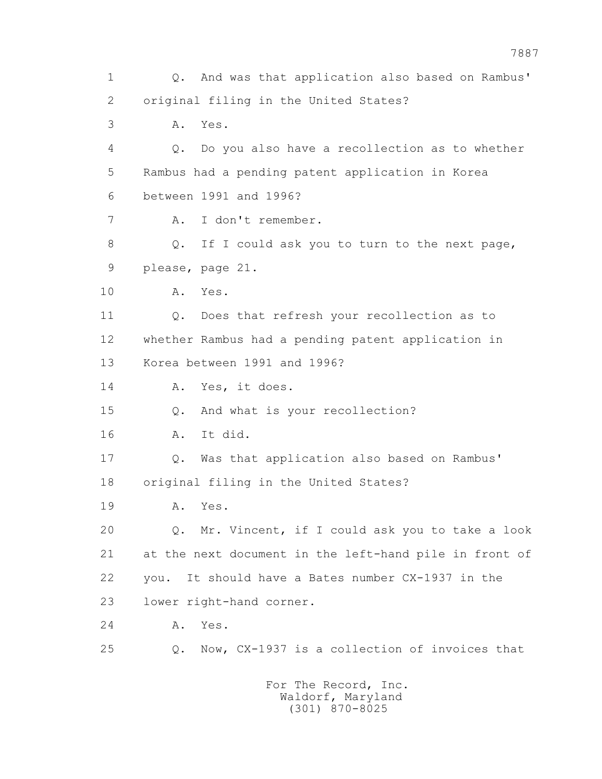1 Q. And was that application also based on Rambus' 2 original filing in the United States? 3 A. Yes. 4 Q. Do you also have a recollection as to whether 5 Rambus had a pending patent application in Korea 6 between 1991 and 1996? 7 A. I don't remember. 8 Q. If I could ask you to turn to the next page, 9 please, page 21. 10 A. Yes. 11 Q. Does that refresh your recollection as to 12 whether Rambus had a pending patent application in 13 Korea between 1991 and 1996? 14 A. Yes, it does. 15 Q. And what is your recollection? 16 A. It did. 17 Q. Was that application also based on Rambus' 18 original filing in the United States? 19 A. Yes. 20 Q. Mr. Vincent, if I could ask you to take a look 21 at the next document in the left-hand pile in front of 22 you. It should have a Bates number CX-1937 in the 23 lower right-hand corner. 24 A. Yes. 25 Q. Now, CX-1937 is a collection of invoices that For The Record, Inc. Waldorf, Maryland

(301) 870-8025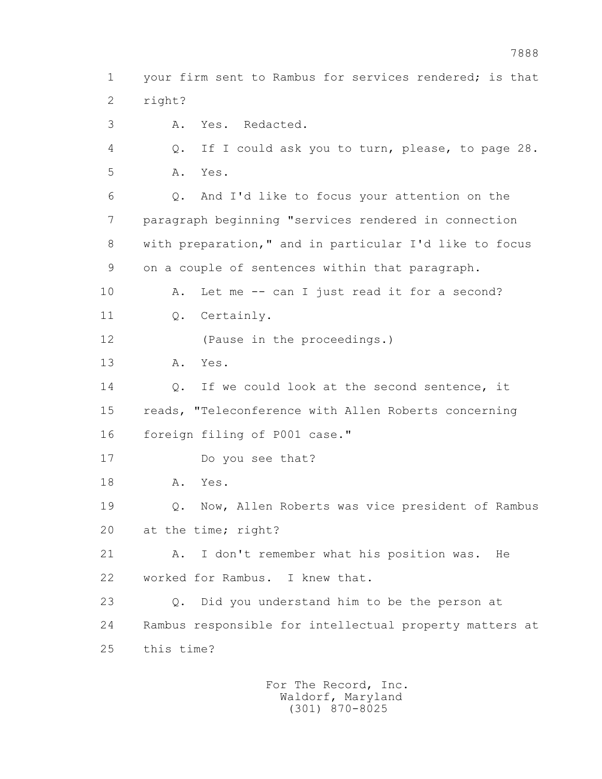1 your firm sent to Rambus for services rendered; is that 2 right?

3 A. Yes. Redacted.

 4 Q. If I could ask you to turn, please, to page 28. 5 A. Yes.

 6 Q. And I'd like to focus your attention on the 7 paragraph beginning "services rendered in connection 8 with preparation," and in particular I'd like to focus 9 on a couple of sentences within that paragraph. 10 A. Let me -- can I just read it for a second?

11 0. Certainly.

12 (Pause in the proceedings.)

13 A. Yes.

14 0. If we could look at the second sentence, it 15 reads, "Teleconference with Allen Roberts concerning 16 foreign filing of P001 case."

17 Do you see that?

18 A. Yes.

 19 Q. Now, Allen Roberts was vice president of Rambus 20 at the time; right?

 21 A. I don't remember what his position was. He 22 worked for Rambus. I knew that.

 23 Q. Did you understand him to be the person at 24 Rambus responsible for intellectual property matters at 25 this time?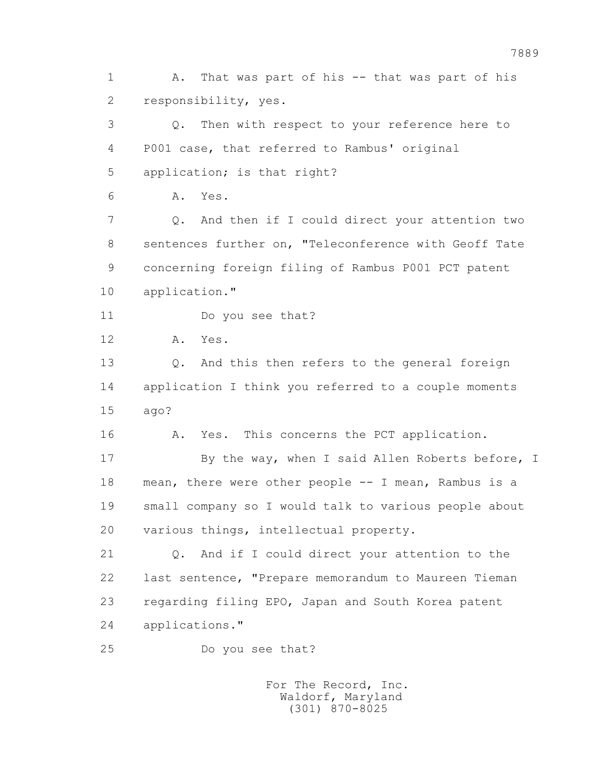1 A. That was part of his -- that was part of his 2 responsibility, yes. 3 Q. Then with respect to your reference here to 4 P001 case, that referred to Rambus' original 5 application; is that right? 6 A. Yes. 7 Q. And then if I could direct your attention two 8 sentences further on, "Teleconference with Geoff Tate 9 concerning foreign filing of Rambus P001 PCT patent 10 application." 11 Do you see that? 12 A. Yes. 13 Q. And this then refers to the general foreign 14 application I think you referred to a couple moments 15 ago? 16 A. Yes. This concerns the PCT application. 17 By the way, when I said Allen Roberts before, I 18 mean, there were other people -- I mean, Rambus is a 19 small company so I would talk to various people about 20 various things, intellectual property. 21 Q. And if I could direct your attention to the 22 last sentence, "Prepare memorandum to Maureen Tieman 23 regarding filing EPO, Japan and South Korea patent 24 applications." 25 Do you see that?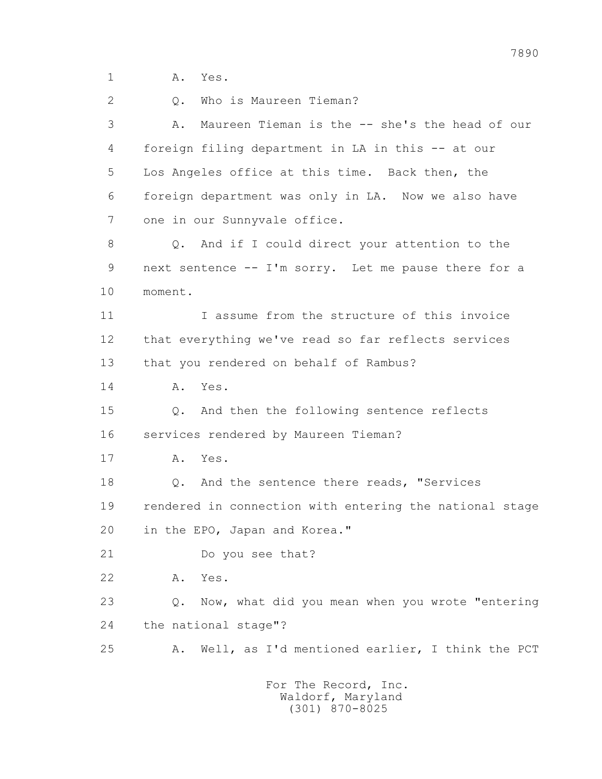1 A. Yes.

2 0. Who is Maureen Tieman?

 3 A. Maureen Tieman is the -- she's the head of our 4 foreign filing department in LA in this -- at our 5 Los Angeles office at this time. Back then, the 6 foreign department was only in LA. Now we also have 7 one in our Sunnyvale office. 8 Q. And if I could direct your attention to the 9 next sentence -- I'm sorry. Let me pause there for a 10 moment. 11 I assume from the structure of this invoice 12 that everything we've read so far reflects services

13 that you rendered on behalf of Rambus?

14 A. Yes.

 15 Q. And then the following sentence reflects 16 services rendered by Maureen Tieman?

17 A. Yes.

18 **Q.** And the sentence there reads, "Services 19 rendered in connection with entering the national stage 20 in the EPO, Japan and Korea."

21 Do you see that?

22 A. Yes.

 23 Q. Now, what did you mean when you wrote "entering 24 the national stage"?

25 A. Well, as I'd mentioned earlier, I think the PCT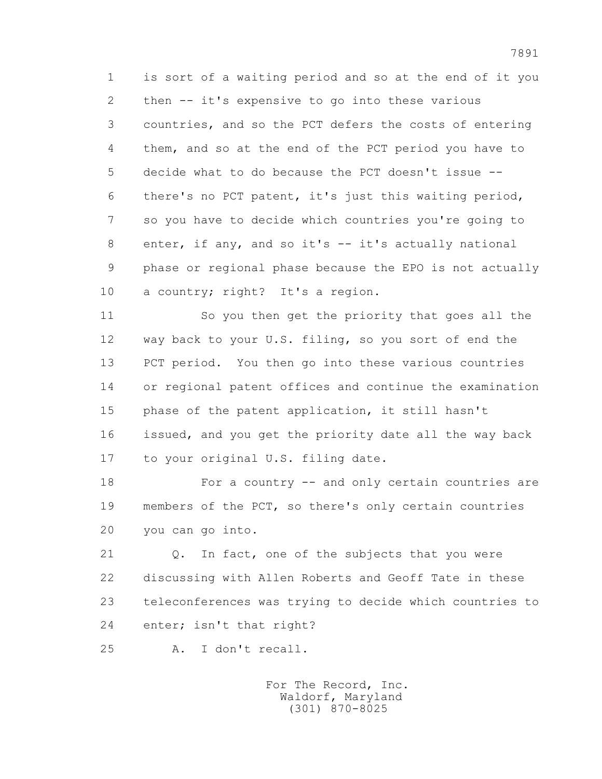1 is sort of a waiting period and so at the end of it you 2 then -- it's expensive to go into these various 3 countries, and so the PCT defers the costs of entering 4 them, and so at the end of the PCT period you have to 5 decide what to do because the PCT doesn't issue -- 6 there's no PCT patent, it's just this waiting period, 7 so you have to decide which countries you're going to 8 enter, if any, and so it's -- it's actually national 9 phase or regional phase because the EPO is not actually 10 a country; right? It's a region.

 11 So you then get the priority that goes all the 12 way back to your U.S. filing, so you sort of end the 13 PCT period. You then go into these various countries 14 or regional patent offices and continue the examination 15 phase of the patent application, it still hasn't 16 issued, and you get the priority date all the way back 17 to your original U.S. filing date.

 18 For a country -- and only certain countries are 19 members of the PCT, so there's only certain countries 20 you can go into.

 21 Q. In fact, one of the subjects that you were 22 discussing with Allen Roberts and Geoff Tate in these 23 teleconferences was trying to decide which countries to 24 enter; isn't that right?

25 A. I don't recall.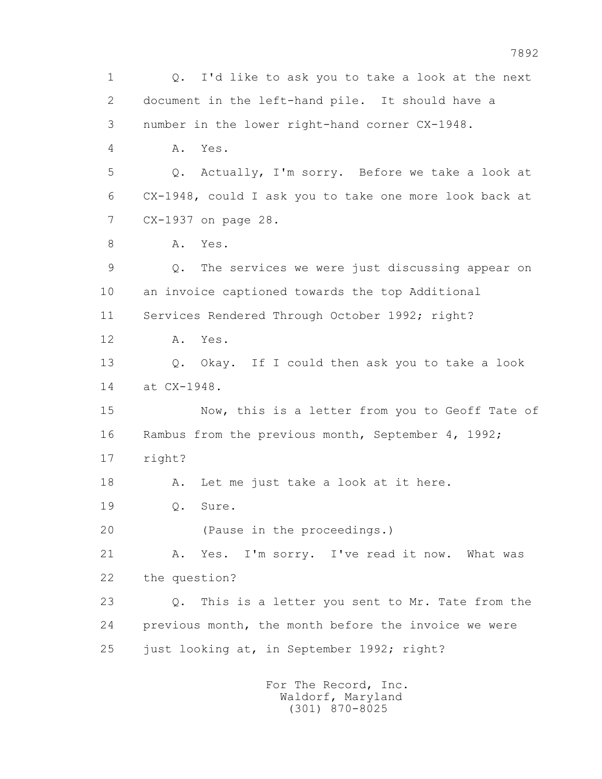1 Q. I'd like to ask you to take a look at the next 2 document in the left-hand pile. It should have a 3 number in the lower right-hand corner CX-1948. 4 A. Yes. 5 Q. Actually, I'm sorry. Before we take a look at 6 CX-1948, could I ask you to take one more look back at 7 CX-1937 on page 28. 8 A. Yes. 9 Q. The services we were just discussing appear on 10 an invoice captioned towards the top Additional 11 Services Rendered Through October 1992; right? 12 A. Yes. 13 Q. Okay. If I could then ask you to take a look 14 at CX-1948. 15 Now, this is a letter from you to Geoff Tate of 16 Rambus from the previous month, September 4, 1992; 17 right? 18 A. Let me just take a look at it here. 19 0. Sure. 20 (Pause in the proceedings.) 21 A. Yes. I'm sorry. I've read it now. What was 22 the question? 23 Q. This is a letter you sent to Mr. Tate from the 24 previous month, the month before the invoice we were 25 just looking at, in September 1992; right? For The Record, Inc. Waldorf, Maryland

(301) 870-8025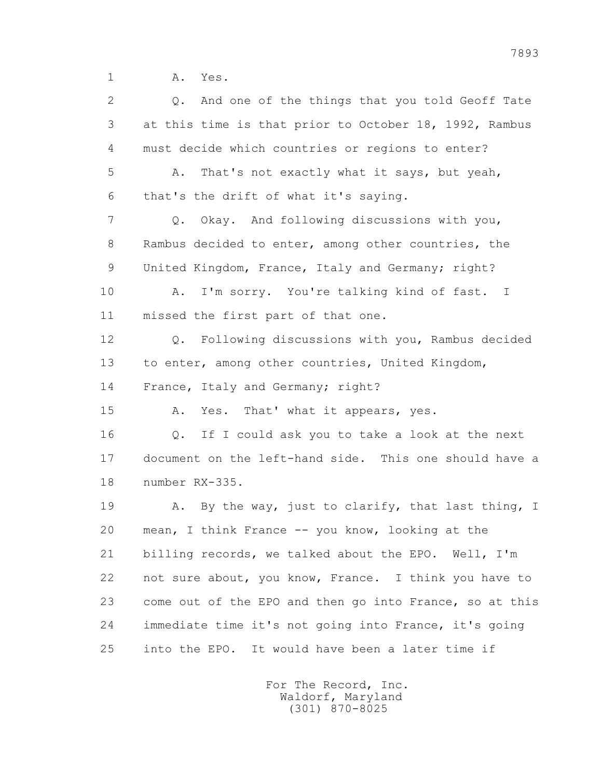1 A. Yes.

 2 Q. And one of the things that you told Geoff Tate 3 at this time is that prior to October 18, 1992, Rambus 4 must decide which countries or regions to enter? 5 A. That's not exactly what it says, but yeah, 6 that's the drift of what it's saying. 7 Q. Okay. And following discussions with you, 8 Rambus decided to enter, among other countries, the 9 United Kingdom, France, Italy and Germany; right? 10 A. I'm sorry. You're talking kind of fast. I 11 missed the first part of that one. 12 Q. Following discussions with you, Rambus decided 13 to enter, among other countries, United Kingdom, 14 France, Italy and Germany; right? 15 A. Yes. That' what it appears, yes. 16 Q. If I could ask you to take a look at the next 17 document on the left-hand side. This one should have a 18 number RX-335. 19 A. By the way, just to clarify, that last thing, I 20 mean, I think France -- you know, looking at the 21 billing records, we talked about the EPO. Well, I'm 22 not sure about, you know, France. I think you have to 23 come out of the EPO and then go into France, so at this 24 immediate time it's not going into France, it's going 25 into the EPO. It would have been a later time if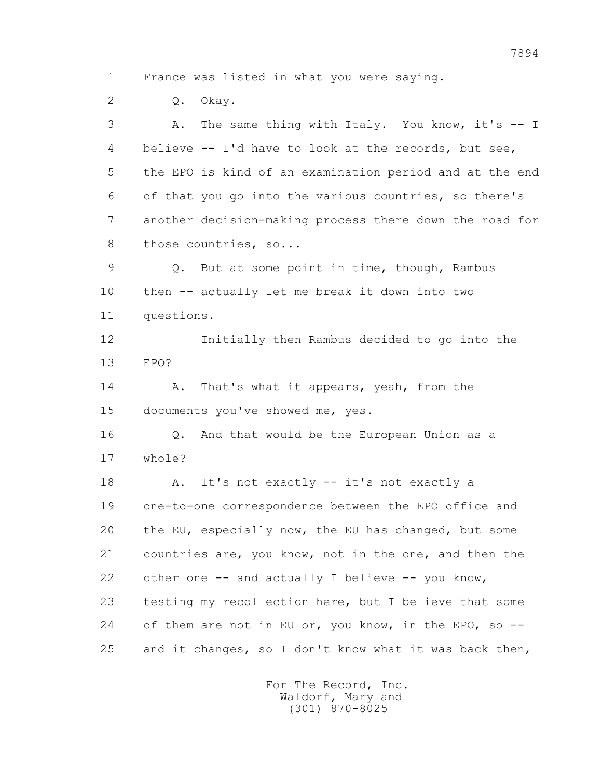1 France was listed in what you were saying.

2 Q. Okay.

 3 A. The same thing with Italy. You know, it's -- I 4 believe -- I'd have to look at the records, but see, 5 the EPO is kind of an examination period and at the end 6 of that you go into the various countries, so there's 7 another decision-making process there down the road for 8 those countries, so... 9 Q. But at some point in time, though, Rambus 10 then -- actually let me break it down into two 11 questions. 12 Initially then Rambus decided to go into the 13 EPO? 14 A. That's what it appears, yeah, from the 15 documents you've showed me, yes. 16 Q. And that would be the European Union as a 17 whole? 18 A. It's not exactly -- it's not exactly a 19 one-to-one correspondence between the EPO office and 20 the EU, especially now, the EU has changed, but some 21 countries are, you know, not in the one, and then the 22 other one -- and actually I believe -- you know, 23 testing my recollection here, but I believe that some 24 of them are not in EU or, you know, in the EPO, so --25 and it changes, so I don't know what it was back then,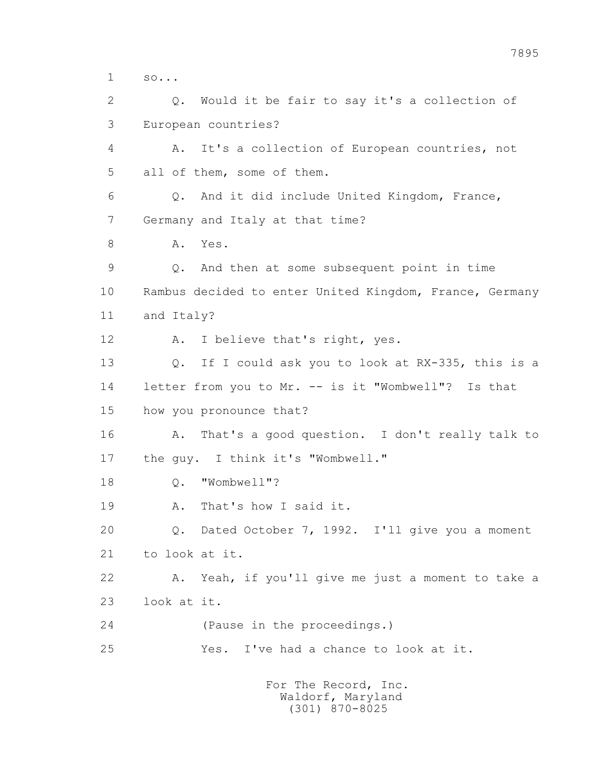1 so... 2 Q. Would it be fair to say it's a collection of 3 European countries? 4 A. It's a collection of European countries, not 5 all of them, some of them. 6 Q. And it did include United Kingdom, France, 7 Germany and Italy at that time? 8 A. Yes. 9 Q. And then at some subsequent point in time 10 Rambus decided to enter United Kingdom, France, Germany 11 and Italy? 12 A. I believe that's right, yes. 13 Q. If I could ask you to look at RX-335, this is a 14 letter from you to Mr. -- is it "Wombwell"? Is that 15 how you pronounce that? 16 A. That's a good question. I don't really talk to 17 the guy. I think it's "Wombwell." 18 Q. "Wombwell"? 19 A. That's how I said it. 20 Q. Dated October 7, 1992. I'll give you a moment 21 to look at it. 22 A. Yeah, if you'll give me just a moment to take a 23 look at it. 24 (Pause in the proceedings.) 25 Yes. I've had a chance to look at it.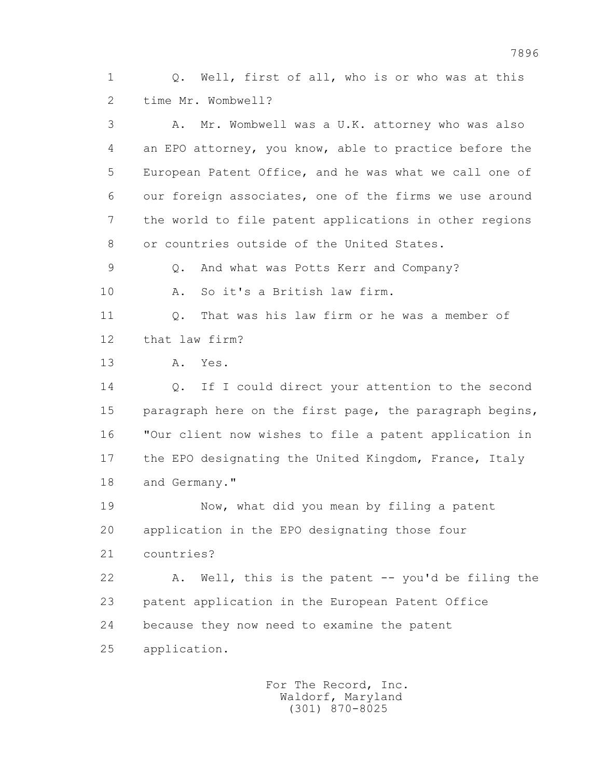1 Q. Well, first of all, who is or who was at this 2 time Mr. Wombwell?

 3 A. Mr. Wombwell was a U.K. attorney who was also 4 an EPO attorney, you know, able to practice before the 5 European Patent Office, and he was what we call one of 6 our foreign associates, one of the firms we use around 7 the world to file patent applications in other regions 8 or countries outside of the United States.

9 Q. And what was Potts Kerr and Company?

10 A. So it's a British law firm.

 11 Q. That was his law firm or he was a member of 12 that law firm?

13 A. Yes.

14 0. If I could direct your attention to the second 15 paragraph here on the first page, the paragraph begins, 16 "Our client now wishes to file a patent application in 17 the EPO designating the United Kingdom, France, Italy 18 and Germany."

 19 Now, what did you mean by filing a patent 20 application in the EPO designating those four

21 countries?

 22 A. Well, this is the patent -- you'd be filing the 23 patent application in the European Patent Office 24 because they now need to examine the patent 25 application.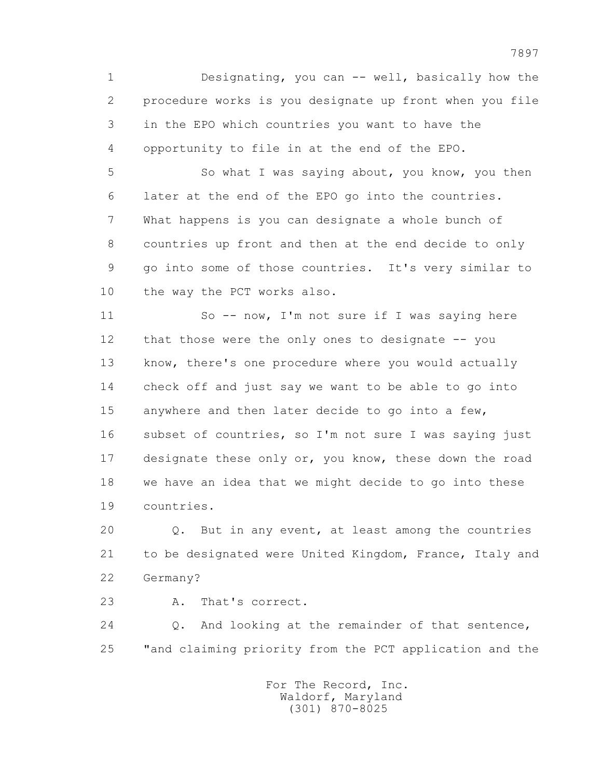1 Designating, you can -- well, basically how the 2 procedure works is you designate up front when you file 3 in the EPO which countries you want to have the 4 opportunity to file in at the end of the EPO.

 5 So what I was saying about, you know, you then 6 later at the end of the EPO go into the countries. 7 What happens is you can designate a whole bunch of 8 countries up front and then at the end decide to only 9 go into some of those countries. It's very similar to 10 the way the PCT works also.

 11 So -- now, I'm not sure if I was saying here 12 that those were the only ones to designate -- you 13 know, there's one procedure where you would actually 14 check off and just say we want to be able to go into 15 anywhere and then later decide to go into a few, 16 subset of countries, so I'm not sure I was saying just 17 designate these only or, you know, these down the road 18 we have an idea that we might decide to go into these 19 countries.

 20 Q. But in any event, at least among the countries 21 to be designated were United Kingdom, France, Italy and 22 Germany?

23 A. That's correct.

 24 Q. And looking at the remainder of that sentence, 25 "and claiming priority from the PCT application and the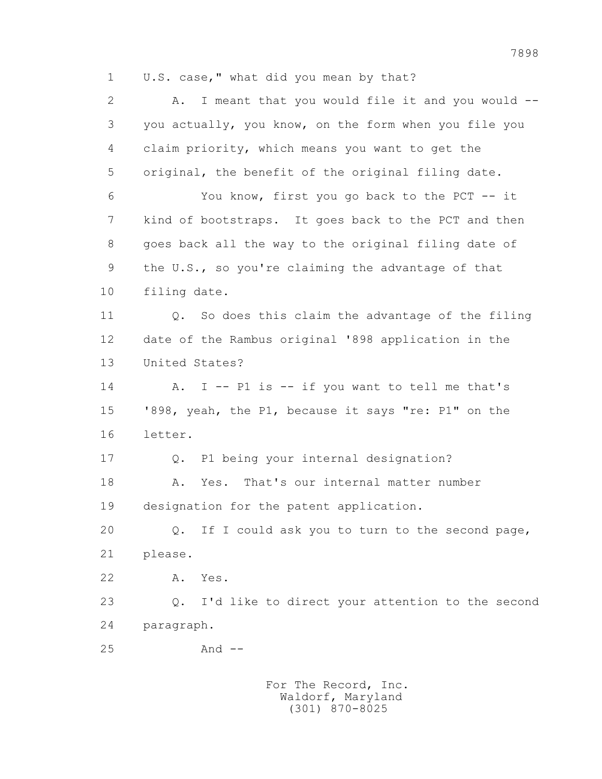1 U.S. case," what did you mean by that?

 2 A. I meant that you would file it and you would -- 3 you actually, you know, on the form when you file you 4 claim priority, which means you want to get the 5 original, the benefit of the original filing date. 6 You know, first you go back to the PCT -- it 7 kind of bootstraps. It goes back to the PCT and then 8 goes back all the way to the original filing date of 9 the U.S., so you're claiming the advantage of that 10 filing date. 11 0. So does this claim the advantage of the filing 12 date of the Rambus original '898 application in the 13 United States? 14 A. I -- Pl is -- if you want to tell me that's 15 '898, yeah, the P1, because it says "re: P1" on the 16 letter. 17 Q. P1 being your internal designation? 18 A. Yes. That's our internal matter number 19 designation for the patent application. 20 Q. If I could ask you to turn to the second page, 21 please. 22 A. Yes. 23 Q. I'd like to direct your attention to the second 24 paragraph. 25 And --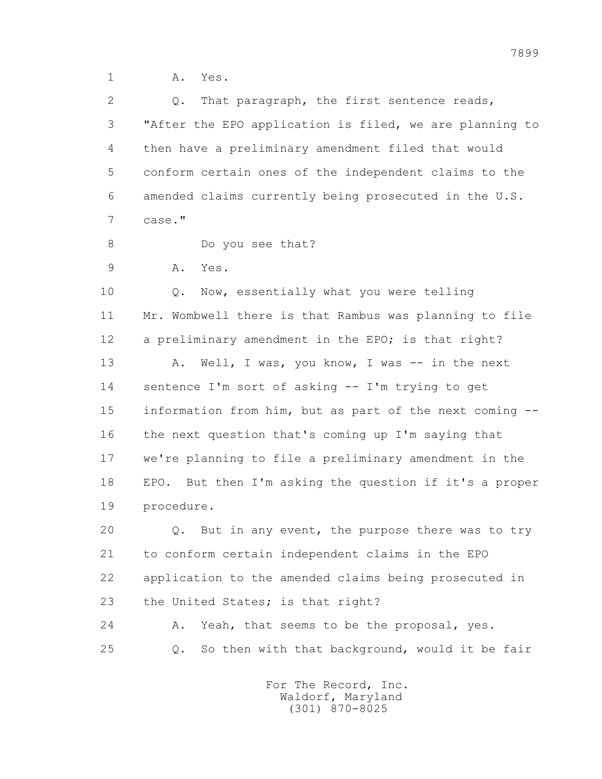1 A. Yes.

2 0. That paragraph, the first sentence reads, 3 "After the EPO application is filed, we are planning to 4 then have a preliminary amendment filed that would 5 conform certain ones of the independent claims to the 6 amended claims currently being prosecuted in the U.S. 7 case." 8 Do you see that? 9 A. Yes. 10 Q. Now, essentially what you were telling 11 Mr. Wombwell there is that Rambus was planning to file 12 a preliminary amendment in the EPO; is that right? 13 A. Well, I was, you know, I was -- in the next 14 sentence I'm sort of asking -- I'm trying to get 15 information from him, but as part of the next coming -- 16 the next question that's coming up I'm saying that 17 we're planning to file a preliminary amendment in the 18 EPO. But then I'm asking the question if it's a proper 19 procedure. 20 Q. But in any event, the purpose there was to try 21 to conform certain independent claims in the EPO 22 application to the amended claims being prosecuted in 23 the United States; is that right? 24 A. Yeah, that seems to be the proposal, yes. 25 Q. So then with that background, would it be fair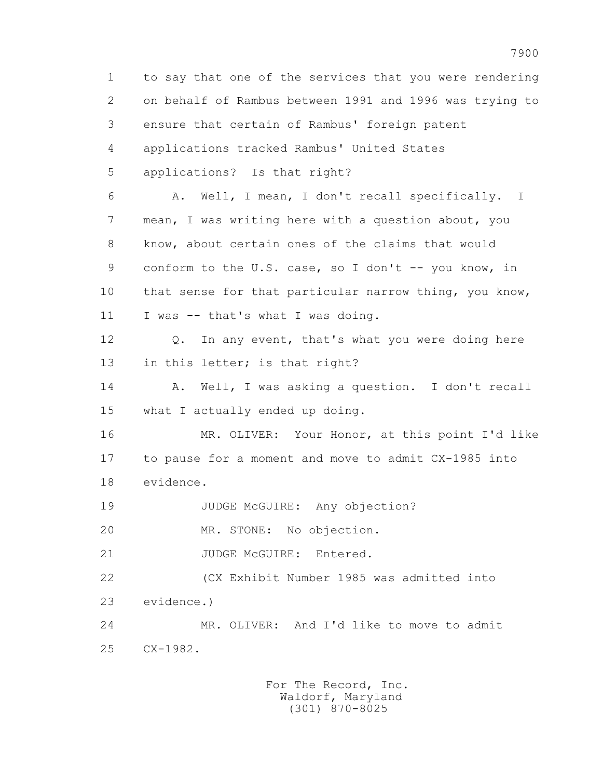1 to say that one of the services that you were rendering 2 on behalf of Rambus between 1991 and 1996 was trying to 3 ensure that certain of Rambus' foreign patent 4 applications tracked Rambus' United States 5 applications? Is that right? 6 A. Well, I mean, I don't recall specifically. I 7 mean, I was writing here with a question about, you 8 know, about certain ones of the claims that would 9 conform to the U.S. case, so I don't -- you know, in 10 that sense for that particular narrow thing, you know, 11 I was -- that's what I was doing. 12 Q. In any event, that's what you were doing here 13 in this letter; is that right? 14 A. Well, I was asking a question. I don't recall 15 what I actually ended up doing. 16 MR. OLIVER: Your Honor, at this point I'd like 17 to pause for a moment and move to admit CX-1985 into 18 evidence. 19 JUDGE McGUIRE: Any objection? 20 MR. STONE: No objection. 21 JUDGE McGUIRE: Entered. 22 (CX Exhibit Number 1985 was admitted into 23 evidence.) 24 MR. OLIVER: And I'd like to move to admit 25 CX-1982.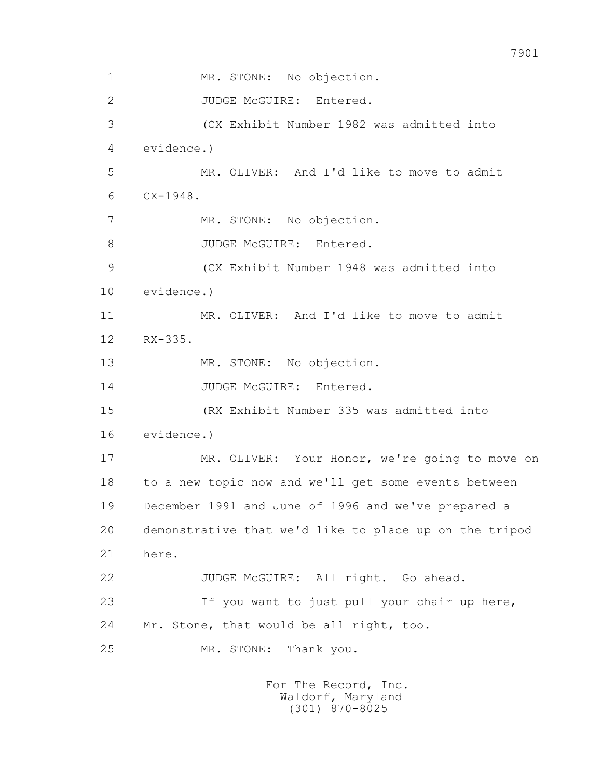1 MR. STONE: No objection. 2 JUDGE McGUIRE: Entered. 3 (CX Exhibit Number 1982 was admitted into 4 evidence.) 5 MR. OLIVER: And I'd like to move to admit 6 CX-1948. 7 MR. STONE: No objection. 8 JUDGE McGUIRE: Entered. 9 (CX Exhibit Number 1948 was admitted into 10 evidence.) 11 MR. OLIVER: And I'd like to move to admit 12 RX-335. 13 MR. STONE: No objection. 14 JUDGE McGUIRE: Entered. 15 (RX Exhibit Number 335 was admitted into 16 evidence.) 17 MR. OLIVER: Your Honor, we're going to move on 18 to a new topic now and we'll get some events between 19 December 1991 and June of 1996 and we've prepared a 20 demonstrative that we'd like to place up on the tripod 21 here. 22 JUDGE McGUIRE: All right. Go ahead. 23 If you want to just pull your chair up here, 24 Mr. Stone, that would be all right, too. 25 MR. STONE: Thank you.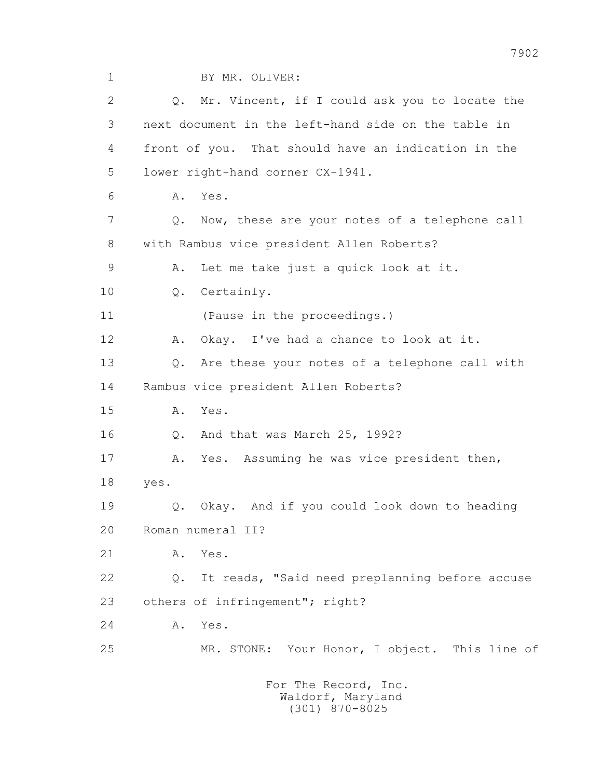1 BY MR. OLIVER:

2 0. Mr. Vincent, if I could ask you to locate the 3 next document in the left-hand side on the table in 4 front of you. That should have an indication in the 5 lower right-hand corner CX-1941. 6 A. Yes. 7 Q. Now, these are your notes of a telephone call 8 with Rambus vice president Allen Roberts? 9 A. Let me take just a quick look at it. 10 Q. Certainly. 11 (Pause in the proceedings.) 12 A. Okay. I've had a chance to look at it. 13 Q. Are these your notes of a telephone call with 14 Rambus vice president Allen Roberts? 15 A. Yes. 16 Q. And that was March 25, 1992? 17 A. Yes. Assuming he was vice president then, 18 yes. 19 Q. Okay. And if you could look down to heading 20 Roman numeral II? 21 A. Yes. 22 Q. It reads, "Said need preplanning before accuse 23 others of infringement"; right? 24 A. Yes. 25 MR. STONE: Your Honor, I object. This line of For The Record, Inc. Waldorf, Maryland

(301) 870-8025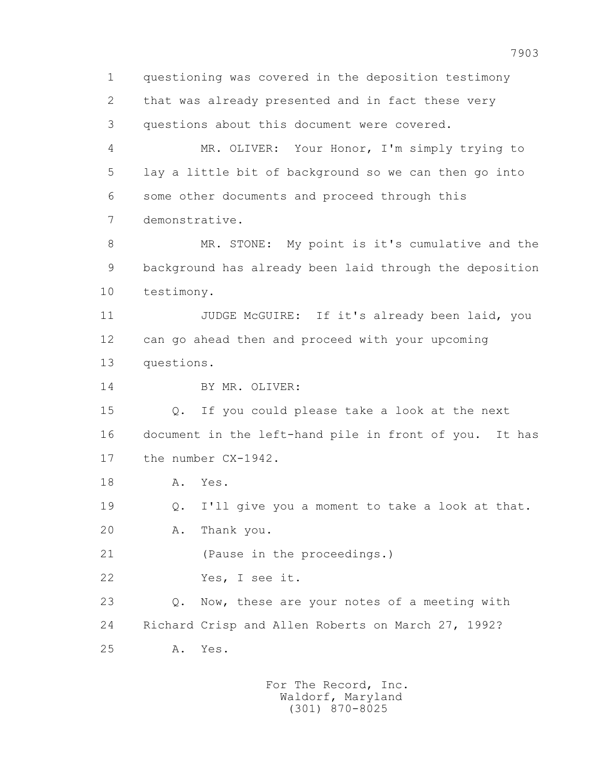1 questioning was covered in the deposition testimony 2 that was already presented and in fact these very 3 questions about this document were covered. 4 MR. OLIVER: Your Honor, I'm simply trying to 5 lay a little bit of background so we can then go into 6 some other documents and proceed through this 7 demonstrative. 8 MR. STONE: My point is it's cumulative and the 9 background has already been laid through the deposition 10 testimony. 11 JUDGE McGUIRE: If it's already been laid, you 12 can go ahead then and proceed with your upcoming 13 questions. 14 BY MR. OLIVER: 15 Q. If you could please take a look at the next 16 document in the left-hand pile in front of you. It has 17 the number CX-1942. 18 A. Yes. 19 Q. I'll give you a moment to take a look at that. 20 A. Thank you. 21 (Pause in the proceedings.) 22 Yes, I see it. 23 Q. Now, these are your notes of a meeting with 24 Richard Crisp and Allen Roberts on March 27, 1992? 25 A. Yes.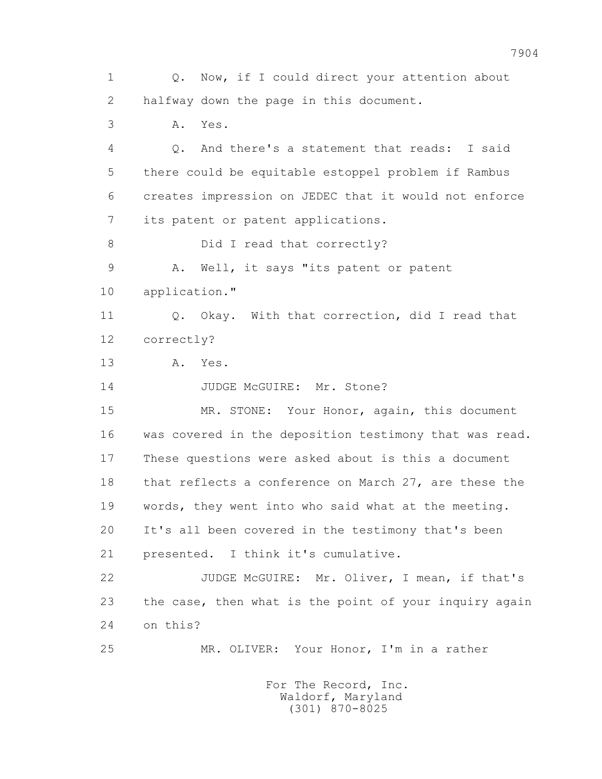1 Q. Now, if I could direct your attention about 2 halfway down the page in this document. 3 A. Yes. 4 Q. And there's a statement that reads: I said 5 there could be equitable estoppel problem if Rambus 6 creates impression on JEDEC that it would not enforce 7 its patent or patent applications. 8 Did I read that correctly? 9 A. Well, it says "its patent or patent 10 application." 11 0. Okay. With that correction, did I read that 12 correctly? 13 A. Yes. 14 JUDGE McGUIRE: Mr. Stone? 15 MR. STONE: Your Honor, again, this document 16 was covered in the deposition testimony that was read. 17 These questions were asked about is this a document 18 that reflects a conference on March 27, are these the 19 words, they went into who said what at the meeting. 20 It's all been covered in the testimony that's been 21 presented. I think it's cumulative. 22 JUDGE McGUIRE: Mr. Oliver, I mean, if that's 23 the case, then what is the point of your inquiry again 24 on this? 25 MR. OLIVER: Your Honor, I'm in a rather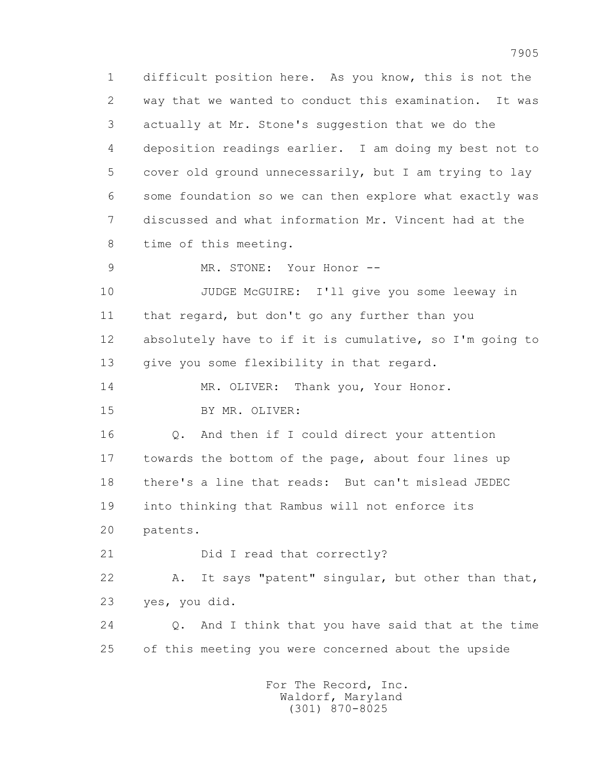1 difficult position here. As you know, this is not the 2 way that we wanted to conduct this examination. It was 3 actually at Mr. Stone's suggestion that we do the 4 deposition readings earlier. I am doing my best not to 5 cover old ground unnecessarily, but I am trying to lay 6 some foundation so we can then explore what exactly was 7 discussed and what information Mr. Vincent had at the 8 time of this meeting.

9 MR. STONE: Your Honor --

 10 JUDGE McGUIRE: I'll give you some leeway in 11 that regard, but don't go any further than you 12 absolutely have to if it is cumulative, so I'm going to 13 give you some flexibility in that regard.

14 MR. OLIVER: Thank you, Your Honor.

15 BY MR. OLIVER:

 16 Q. And then if I could direct your attention 17 towards the bottom of the page, about four lines up 18 there's a line that reads: But can't mislead JEDEC 19 into thinking that Rambus will not enforce its 20 patents.

21 Did I read that correctly?

 22 A. It says "patent" singular, but other than that, 23 yes, you did.

 24 Q. And I think that you have said that at the time 25 of this meeting you were concerned about the upside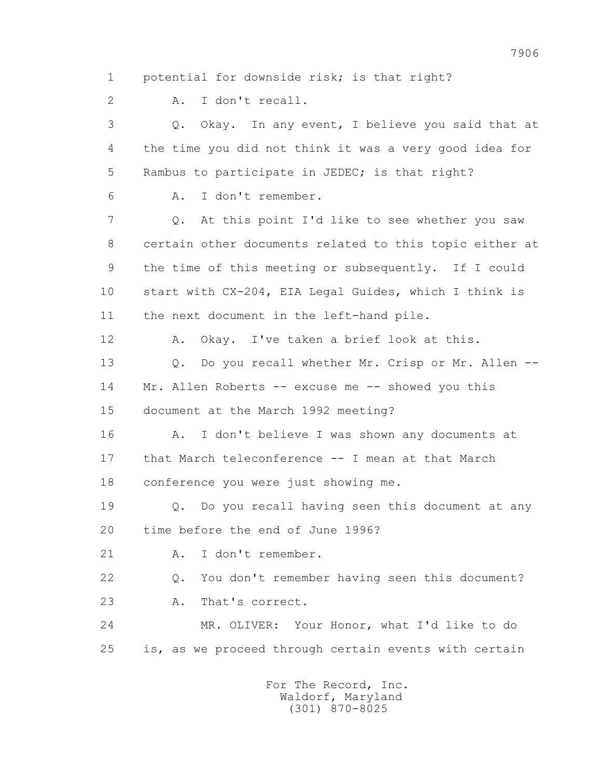1 potential for downside risk; is that right?

2 A. I don't recall.

 3 Q. Okay. In any event, I believe you said that at 4 the time you did not think it was a very good idea for 5 Rambus to participate in JEDEC; is that right? 6 A. I don't remember. 7 Q. At this point I'd like to see whether you saw

 8 certain other documents related to this topic either at 9 the time of this meeting or subsequently. If I could 10 start with CX-204, EIA Legal Guides, which I think is 11 the next document in the left-hand pile.

12 A. Okay. I've taken a brief look at this.

 13 Q. Do you recall whether Mr. Crisp or Mr. Allen -- 14 Mr. Allen Roberts -- excuse me -- showed you this 15 document at the March 1992 meeting?

 16 A. I don't believe I was shown any documents at 17 that March teleconference -- I mean at that March 18 conference you were just showing me.

 19 Q. Do you recall having seen this document at any 20 time before the end of June 1996?

21 A. I don't remember.

 22 Q. You don't remember having seen this document? 23 A. That's correct.

 24 MR. OLIVER: Your Honor, what I'd like to do 25 is, as we proceed through certain events with certain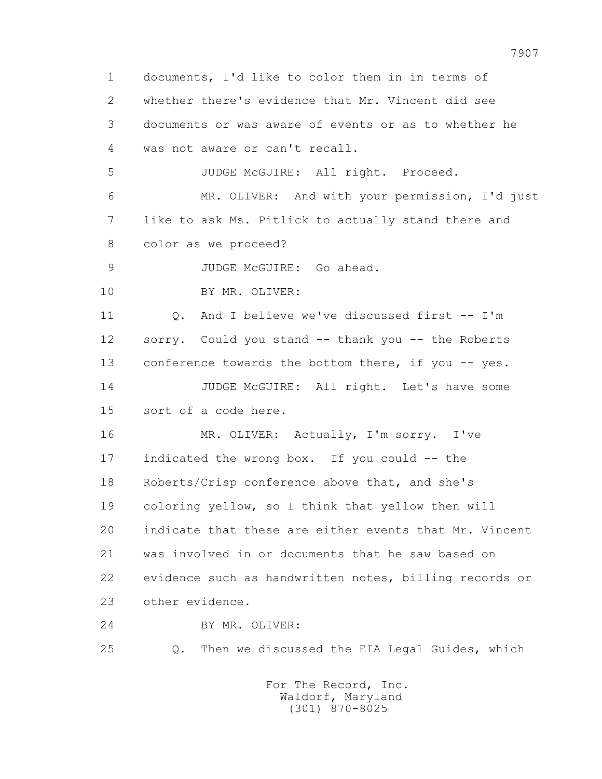1 documents, I'd like to color them in in terms of 2 whether there's evidence that Mr. Vincent did see 3 documents or was aware of events or as to whether he 4 was not aware or can't recall. 5 JUDGE McGUIRE: All right. Proceed. 6 MR. OLIVER: And with your permission, I'd just 7 like to ask Ms. Pitlick to actually stand there and 8 color as we proceed? 9 JUDGE McGUIRE: Go ahead. 10 BY MR. OLIVER: 11 Q. And I believe we've discussed first -- I'm 12 sorry. Could you stand -- thank you -- the Roberts 13 conference towards the bottom there, if you -- yes. 14 JUDGE McGUIRE: All right. Let's have some 15 sort of a code here. 16 MR. OLIVER: Actually, I'm sorry. I've 17 indicated the wrong box. If you could -- the 18 Roberts/Crisp conference above that, and she's 19 coloring yellow, so I think that yellow then will 20 indicate that these are either events that Mr. Vincent 21 was involved in or documents that he saw based on 22 evidence such as handwritten notes, billing records or 23 other evidence. 24 BY MR. OLIVER: 25 Q. Then we discussed the EIA Legal Guides, which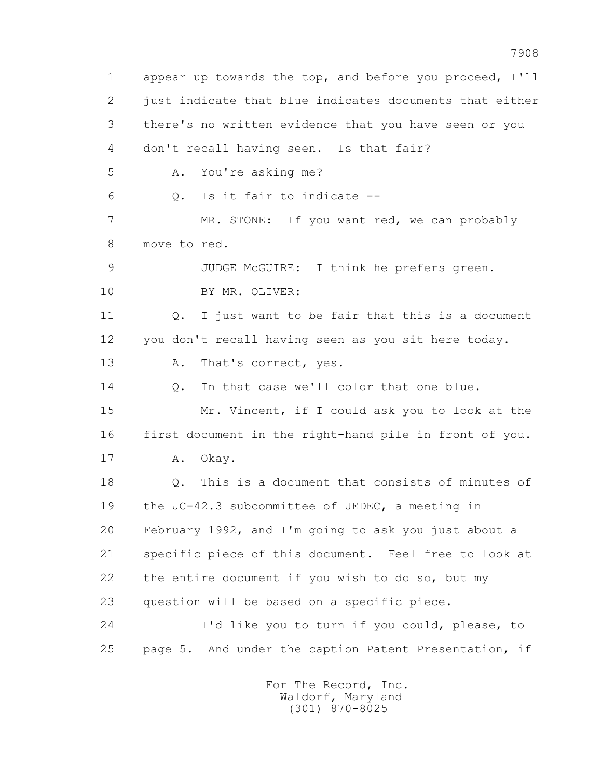1 appear up towards the top, and before you proceed, I'll 2 just indicate that blue indicates documents that either 3 there's no written evidence that you have seen or you 4 don't recall having seen. Is that fair? 5 A. You're asking me? 6 Q. Is it fair to indicate -- 7 MR. STONE: If you want red, we can probably 8 move to red. 9 JUDGE McGUIRE: I think he prefers green. 10 BY MR. OLIVER: 11 Q. I just want to be fair that this is a document 12 you don't recall having seen as you sit here today. 13 A. That's correct, yes. 14 Q. In that case we'll color that one blue. 15 Mr. Vincent, if I could ask you to look at the 16 first document in the right-hand pile in front of you. 17 A. Okay. 18 Q. This is a document that consists of minutes of 19 the JC-42.3 subcommittee of JEDEC, a meeting in 20 February 1992, and I'm going to ask you just about a 21 specific piece of this document. Feel free to look at 22 the entire document if you wish to do so, but my 23 question will be based on a specific piece. 24 I'd like you to turn if you could, please, to 25 page 5. And under the caption Patent Presentation, if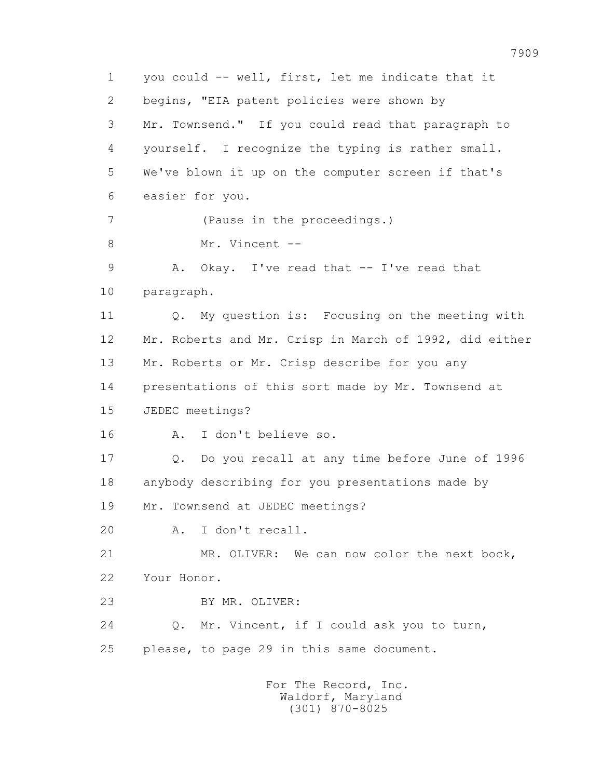1 you could -- well, first, let me indicate that it 2 begins, "EIA patent policies were shown by 3 Mr. Townsend." If you could read that paragraph to 4 yourself. I recognize the typing is rather small. 5 We've blown it up on the computer screen if that's 6 easier for you. 7 (Pause in the proceedings.) 8 Mr. Vincent -- 9 A. Okay. I've read that -- I've read that 10 paragraph. 11 Q. My question is: Focusing on the meeting with 12 Mr. Roberts and Mr. Crisp in March of 1992, did either 13 Mr. Roberts or Mr. Crisp describe for you any 14 presentations of this sort made by Mr. Townsend at 15 JEDEC meetings? 16 A. I don't believe so. 17 Q. Do you recall at any time before June of 1996 18 anybody describing for you presentations made by 19 Mr. Townsend at JEDEC meetings? 20 A. I don't recall. 21 MR. OLIVER: We can now color the next bock, 22 Your Honor. 23 BY MR. OLIVER: 24 Q. Mr. Vincent, if I could ask you to turn, 25 please, to page 29 in this same document. For The Record, Inc.

 Waldorf, Maryland (301) 870-8025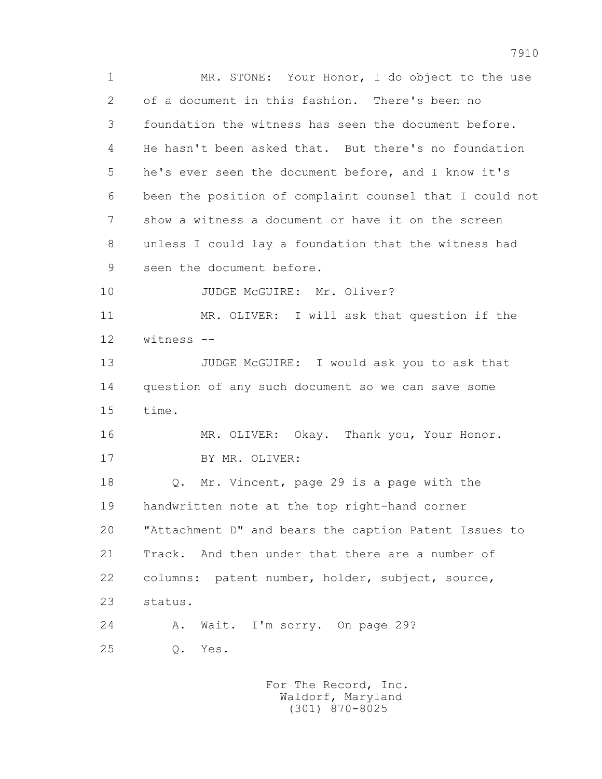1 MR. STONE: Your Honor, I do object to the use 2 of a document in this fashion. There's been no 3 foundation the witness has seen the document before. 4 He hasn't been asked that. But there's no foundation 5 he's ever seen the document before, and I know it's 6 been the position of complaint counsel that I could not 7 show a witness a document or have it on the screen 8 unless I could lay a foundation that the witness had 9 seen the document before. 10 JUDGE McGUIRE: Mr. Oliver? 11 MR. OLIVER: I will ask that question if the 12 witness -- 13 JUDGE McGUIRE: I would ask you to ask that 14 question of any such document so we can save some 15 time. 16 MR. OLIVER: Okay. Thank you, Your Honor. 17 BY MR. OLIVER: 18 Q. Mr. Vincent, page 29 is a page with the 19 handwritten note at the top right-hand corner 20 "Attachment D" and bears the caption Patent Issues to 21 Track. And then under that there are a number of 22 columns: patent number, holder, subject, source, 23 status. 24 A. Wait. I'm sorry. On page 29? 25 Q. Yes.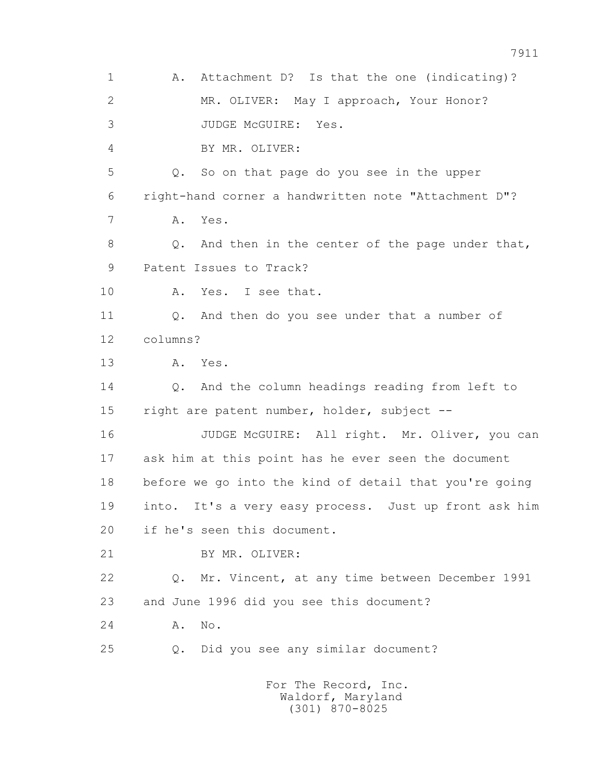1 A. Attachment D? Is that the one (indicating)? 2 MR. OLIVER: May I approach, Your Honor? 3 JUDGE McGUIRE: Yes. 4 BY MR. OLIVER: 5 Q. So on that page do you see in the upper 6 right-hand corner a handwritten note "Attachment D"? 7 A. Yes. 8 Q. And then in the center of the page under that, 9 Patent Issues to Track? 10 A. Yes. I see that. 11 Q. And then do you see under that a number of 12 columns? 13 A. Yes. 14 0. And the column headings reading from left to 15 right are patent number, holder, subject -- 16 JUDGE McGUIRE: All right. Mr. Oliver, you can 17 ask him at this point has he ever seen the document 18 before we go into the kind of detail that you're going 19 into. It's a very easy process. Just up front ask him 20 if he's seen this document. 21 BY MR. OLIVER: 22 Q. Mr. Vincent, at any time between December 1991 23 and June 1996 did you see this document? 24 A. No. 25 Q. Did you see any similar document? For The Record, Inc. Waldorf, Maryland

(301) 870-8025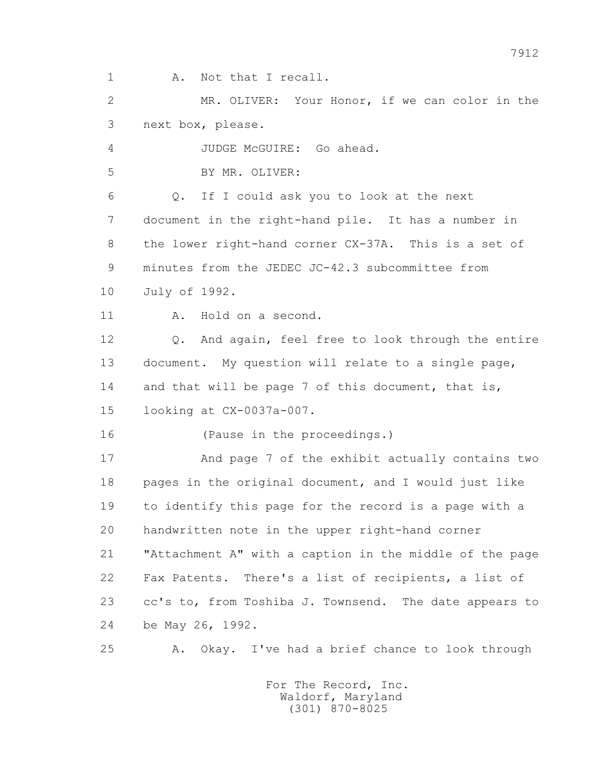1 A. Not that I recall.

 2 MR. OLIVER: Your Honor, if we can color in the 3 next box, please.

4 JUDGE McGUIRE: Go ahead.

5 BY MR. OLIVER:

 6 Q. If I could ask you to look at the next 7 document in the right-hand pile. It has a number in 8 the lower right-hand corner CX-37A. This is a set of 9 minutes from the JEDEC JC-42.3 subcommittee from 10 July of 1992.

11 A. Hold on a second.

 12 Q. And again, feel free to look through the entire 13 document. My question will relate to a single page, 14 and that will be page 7 of this document, that is, 15 looking at CX-0037a-007.

16 (Pause in the proceedings.)

 17 And page 7 of the exhibit actually contains two 18 pages in the original document, and I would just like 19 to identify this page for the record is a page with a 20 handwritten note in the upper right-hand corner 21 "Attachment A" with a caption in the middle of the page 22 Fax Patents. There's a list of recipients, a list of 23 cc's to, from Toshiba J. Townsend. The date appears to 24 be May 26, 1992.

25 A. Okay. I've had a brief chance to look through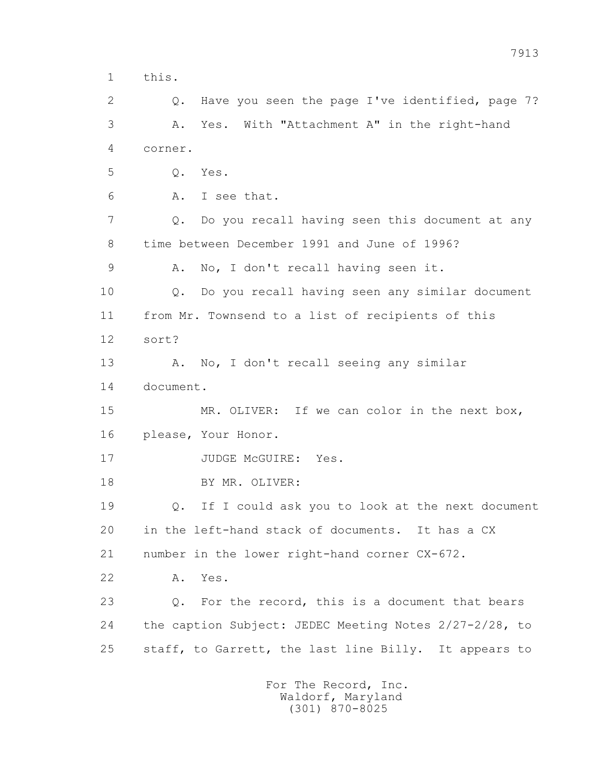1 this.

 2 Q. Have you seen the page I've identified, page 7? 3 A. Yes. With "Attachment A" in the right-hand 4 corner.

5 Q. Yes.

6 A. I see that.

 7 Q. Do you recall having seen this document at any 8 time between December 1991 and June of 1996?

9 A. No, I don't recall having seen it.

 10 Q. Do you recall having seen any similar document 11 from Mr. Townsend to a list of recipients of this 12 sort?

13 A. No, I don't recall seeing any similar 14 document.

15 MR. OLIVER: If we can color in the next box, 16 please, Your Honor.

17 JUDGE McGUIRE: Yes.

18 BY MR. OLIVER:

 19 Q. If I could ask you to look at the next document 20 in the left-hand stack of documents. It has a CX 21 number in the lower right-hand corner CX-672.

22 A. Yes.

 23 Q. For the record, this is a document that bears 24 the caption Subject: JEDEC Meeting Notes 2/27-2/28, to 25 staff, to Garrett, the last line Billy. It appears to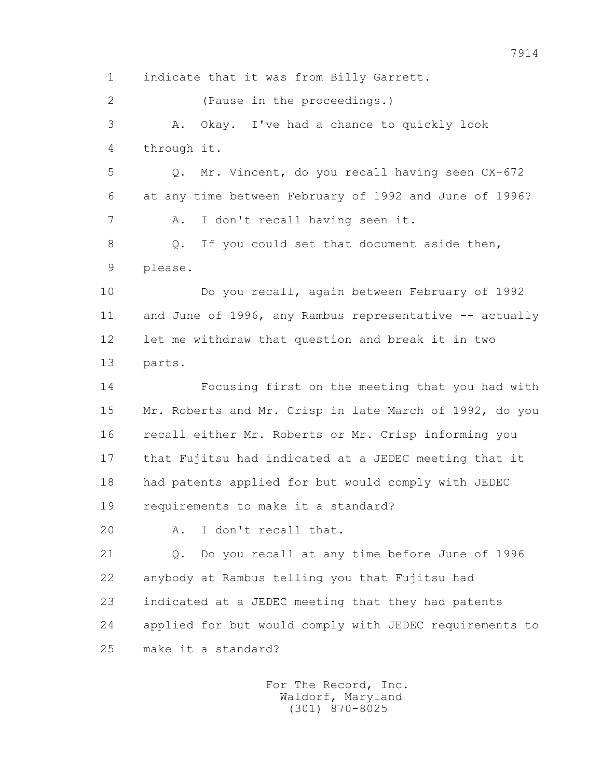1 indicate that it was from Billy Garrett. 2 (Pause in the proceedings.) 3 A. Okay. I've had a chance to quickly look 4 through it. 5 Q. Mr. Vincent, do you recall having seen CX-672 6 at any time between February of 1992 and June of 1996? 7 A. I don't recall having seen it. 8 Q. If you could set that document aside then, 9 please. 10 Do you recall, again between February of 1992 11 and June of 1996, any Rambus representative -- actually 12 let me withdraw that question and break it in two 13 parts. 14 Focusing first on the meeting that you had with 15 Mr. Roberts and Mr. Crisp in late March of 1992, do you 16 recall either Mr. Roberts or Mr. Crisp informing you 17 that Fujitsu had indicated at a JEDEC meeting that it 18 had patents applied for but would comply with JEDEC 19 requirements to make it a standard? 20 A. I don't recall that. 21 Q. Do you recall at any time before June of 1996 22 anybody at Rambus telling you that Fujitsu had 23 indicated at a JEDEC meeting that they had patents 24 applied for but would comply with JEDEC requirements to 25 make it a standard?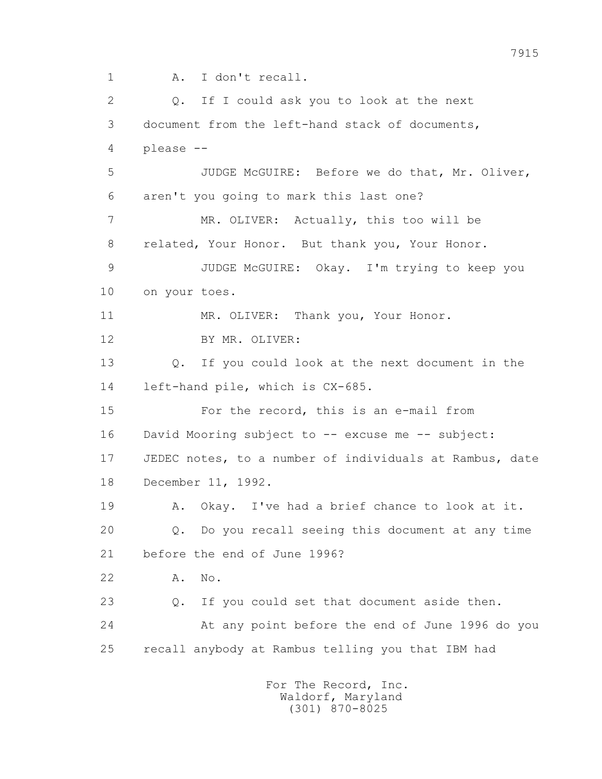1 A. I don't recall.

2 0. If I could ask you to look at the next 3 document from the left-hand stack of documents, 4 please -- 5 JUDGE McGUIRE: Before we do that, Mr. Oliver, 6 aren't you going to mark this last one? 7 MR. OLIVER: Actually, this too will be 8 related, Your Honor. But thank you, Your Honor. 9 JUDGE McGUIRE: Okay. I'm trying to keep you 10 on your toes. 11 MR. OLIVER: Thank you, Your Honor. 12 BY MR. OLIVER: 13 Q. If you could look at the next document in the 14 left-hand pile, which is CX-685. 15 For the record, this is an e-mail from 16 David Mooring subject to -- excuse me -- subject: 17 JEDEC notes, to a number of individuals at Rambus, date 18 December 11, 1992. 19 A. Okay. I've had a brief chance to look at it. 20 Q. Do you recall seeing this document at any time 21 before the end of June 1996? 22 A. No. 23 Q. If you could set that document aside then. 24 At any point before the end of June 1996 do you 25 recall anybody at Rambus telling you that IBM had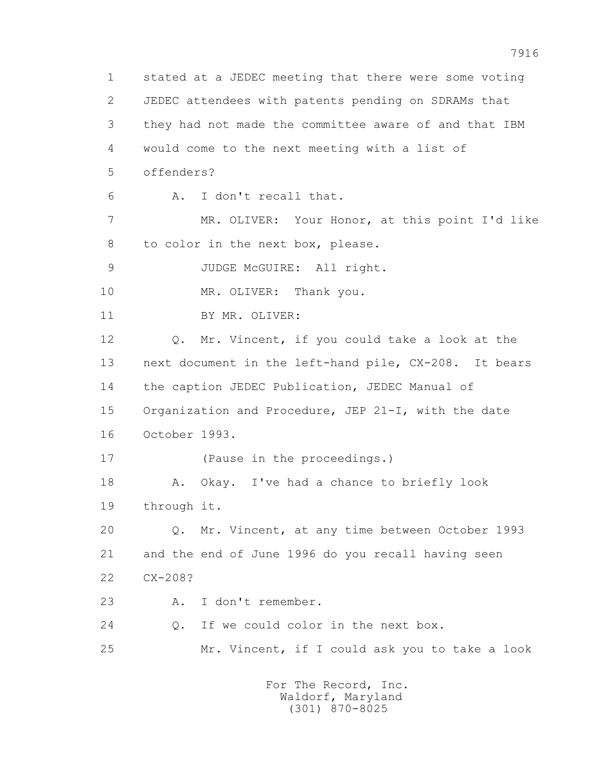1 stated at a JEDEC meeting that there were some voting 2 JEDEC attendees with patents pending on SDRAMs that 3 they had not made the committee aware of and that IBM 4 would come to the next meeting with a list of 5 offenders? 6 A. I don't recall that. 7 MR. OLIVER: Your Honor, at this point I'd like 8 to color in the next box, please. 9 JUDGE McGUIRE: All right. 10 MR. OLIVER: Thank you. 11 BY MR. OLIVER: 12 Q. Mr. Vincent, if you could take a look at the 13 next document in the left-hand pile, CX-208. It bears 14 the caption JEDEC Publication, JEDEC Manual of 15 Organization and Procedure, JEP 21-I, with the date 16 October 1993. 17 (Pause in the proceedings.) 18 A. Okay. I've had a chance to briefly look 19 through it. 20 Q. Mr. Vincent, at any time between October 1993 21 and the end of June 1996 do you recall having seen 22 CX-208? 23 A. I don't remember. 24 Q. If we could color in the next box. 25 Mr. Vincent, if I could ask you to take a look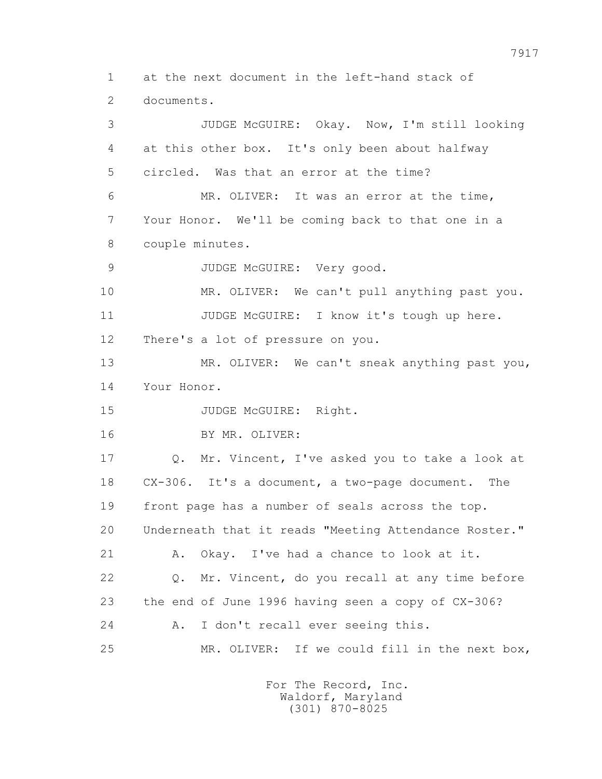1 at the next document in the left-hand stack of 2 documents.

 3 JUDGE McGUIRE: Okay. Now, I'm still looking 4 at this other box. It's only been about halfway 5 circled. Was that an error at the time? 6 MR. OLIVER: It was an error at the time, 7 Your Honor. We'll be coming back to that one in a 8 couple minutes. 9 JUDGE McGUIRE: Very good. 10 MR. OLIVER: We can't pull anything past you. 11 JUDGE McGUIRE: I know it's tough up here. 12 There's a lot of pressure on you. 13 MR. OLIVER: We can't sneak anything past you, 14 Your Honor. 15 JUDGE McGUIRE: Right. 16 BY MR. OLIVER: 17 Q. Mr. Vincent, I've asked you to take a look at 18 CX-306. It's a document, a two-page document. The 19 front page has a number of seals across the top. 20 Underneath that it reads "Meeting Attendance Roster." 21 A. Okay. I've had a chance to look at it. 22 Q. Mr. Vincent, do you recall at any time before 23 the end of June 1996 having seen a copy of CX-306? 24 A. I don't recall ever seeing this. 25 MR. OLIVER: If we could fill in the next box,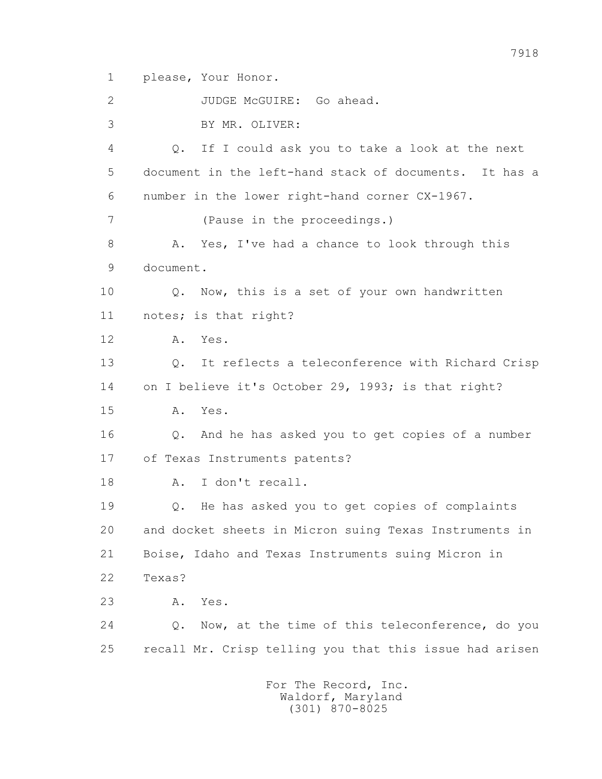1 please, Your Honor.

 2 JUDGE McGUIRE: Go ahead. 3 BY MR. OLIVER: 4 Q. If I could ask you to take a look at the next 5 document in the left-hand stack of documents. It has a 6 number in the lower right-hand corner CX-1967. 7 (Pause in the proceedings.) 8 A. Yes, I've had a chance to look through this 9 document. 10 Q. Now, this is a set of your own handwritten 11 notes; is that right? 12 A. Yes. 13 Q. It reflects a teleconference with Richard Crisp 14 on I believe it's October 29, 1993; is that right? 15 A. Yes. 16 Q. And he has asked you to get copies of a number 17 of Texas Instruments patents? 18 A. I don't recall. 19 Q. He has asked you to get copies of complaints 20 and docket sheets in Micron suing Texas Instruments in 21 Boise, Idaho and Texas Instruments suing Micron in 22 Texas? 23 A. Yes. 24 Q. Now, at the time of this teleconference, do you 25 recall Mr. Crisp telling you that this issue had arisen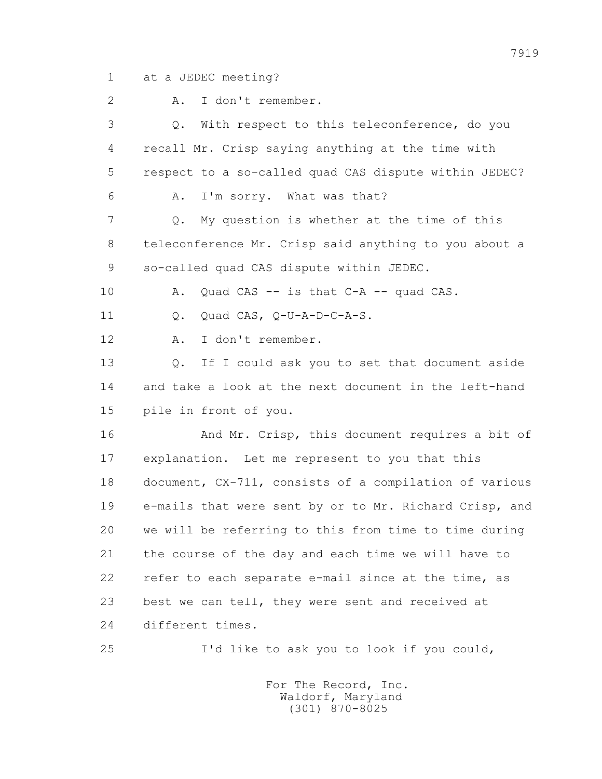1 at a JEDEC meeting?

 2 A. I don't remember. 3 Q. With respect to this teleconference, do you 4 recall Mr. Crisp saying anything at the time with 5 respect to a so-called quad CAS dispute within JEDEC? 6 A. I'm sorry. What was that? 7 Q. My question is whether at the time of this 8 teleconference Mr. Crisp said anything to you about a 9 so-called quad CAS dispute within JEDEC. 10 A. Quad CAS -- is that C-A -- quad CAS. 11 0. Quad CAS, O-U-A-D-C-A-S. 12 A. I don't remember. 13 Q. If I could ask you to set that document aside 14 and take a look at the next document in the left-hand 15 pile in front of you. 16 And Mr. Crisp, this document requires a bit of 17 explanation. Let me represent to you that this 18 document, CX-711, consists of a compilation of various 19 e-mails that were sent by or to Mr. Richard Crisp, and 20 we will be referring to this from time to time during 21 the course of the day and each time we will have to 22 refer to each separate e-mail since at the time, as 23 best we can tell, they were sent and received at 24 different times. 25 I'd like to ask you to look if you could,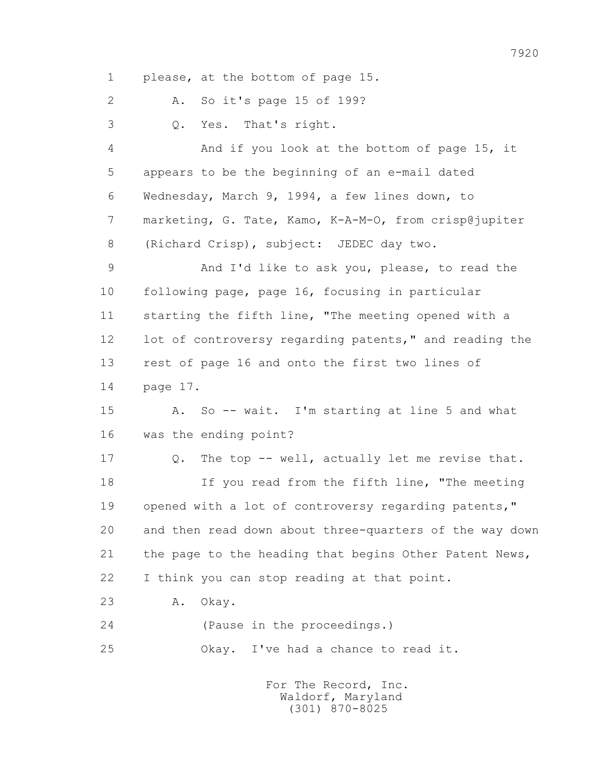1 please, at the bottom of page 15.

2 A. So it's page 15 of 199?

3 Q. Yes. That's right.

 4 And if you look at the bottom of page 15, it 5 appears to be the beginning of an e-mail dated 6 Wednesday, March 9, 1994, a few lines down, to 7 marketing, G. Tate, Kamo, K-A-M-O, from crisp@jupiter 8 (Richard Crisp), subject: JEDEC day two.

 9 And I'd like to ask you, please, to read the 10 following page, page 16, focusing in particular 11 starting the fifth line, "The meeting opened with a 12 lot of controversy regarding patents," and reading the 13 rest of page 16 and onto the first two lines of 14 page 17.

 15 A. So -- wait. I'm starting at line 5 and what 16 was the ending point?

 17 Q. The top -- well, actually let me revise that. 18 If you read from the fifth line, "The meeting 19 opened with a lot of controversy regarding patents," 20 and then read down about three-quarters of the way down 21 the page to the heading that begins Other Patent News, 22 I think you can stop reading at that point.

23 A. Okay.

24 (Pause in the proceedings.)

25 Okay. I've had a chance to read it.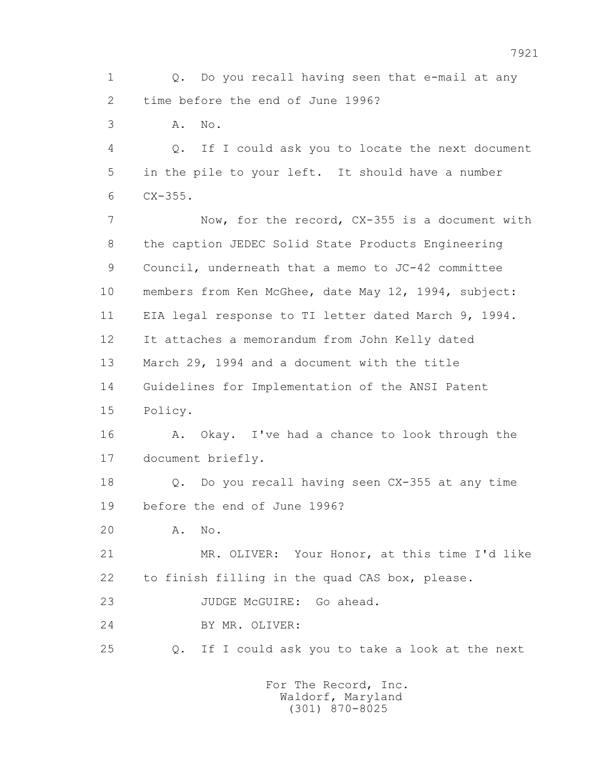1 Q. Do you recall having seen that e-mail at any 2 time before the end of June 1996?

3 A. No.

 4 Q. If I could ask you to locate the next document 5 in the pile to your left. It should have a number 6 CX-355.

 7 Now, for the record, CX-355 is a document with 8 the caption JEDEC Solid State Products Engineering 9 Council, underneath that a memo to JC-42 committee 10 members from Ken McGhee, date May 12, 1994, subject: 11 EIA legal response to TI letter dated March 9, 1994. 12 It attaches a memorandum from John Kelly dated 13 March 29, 1994 and a document with the title 14 Guidelines for Implementation of the ANSI Patent 15 Policy.

 16 A. Okay. I've had a chance to look through the 17 document briefly.

 18 Q. Do you recall having seen CX-355 at any time 19 before the end of June 1996?

20 A. No.

 21 MR. OLIVER: Your Honor, at this time I'd like 22 to finish filling in the quad CAS box, please.

23 JUDGE McGUIRE: Go ahead.

24 BY MR. OLIVER:

25 Q. If I could ask you to take a look at the next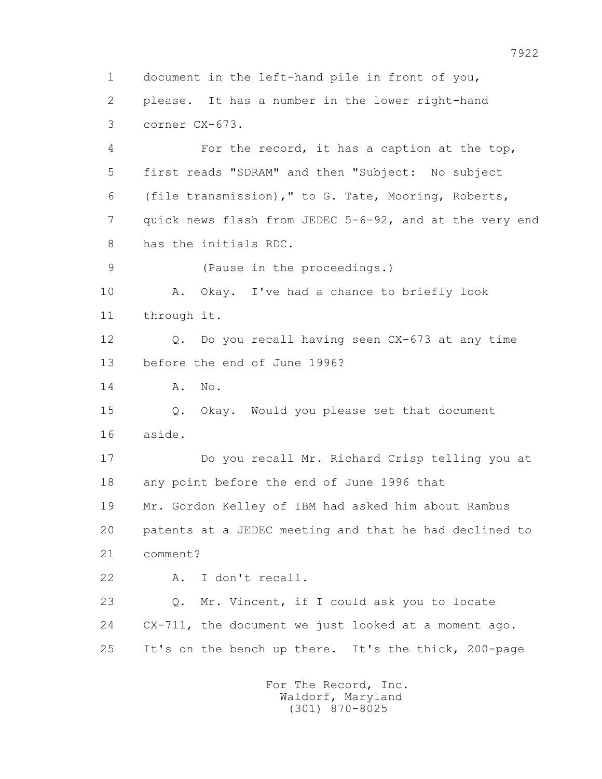1 document in the left-hand pile in front of you, 2 please. It has a number in the lower right-hand 3 corner CX-673. 4 For the record, it has a caption at the top, 5 first reads "SDRAM" and then "Subject: No subject 6 (file transmission)," to G. Tate, Mooring, Roberts, 7 quick news flash from JEDEC 5-6-92, and at the very end 8 has the initials RDC. 9 (Pause in the proceedings.) 10 A. Okay. I've had a chance to briefly look 11 through it. 12 Q. Do you recall having seen CX-673 at any time 13 before the end of June 1996? 14 **A.** No. 15 Q. Okay. Would you please set that document 16 aside. 17 Do you recall Mr. Richard Crisp telling you at 18 any point before the end of June 1996 that 19 Mr. Gordon Kelley of IBM had asked him about Rambus 20 patents at a JEDEC meeting and that he had declined to 21 comment? 22 A. I don't recall. 23 Q. Mr. Vincent, if I could ask you to locate 24 CX-711, the document we just looked at a moment ago. 25 It's on the bench up there. It's the thick, 200-page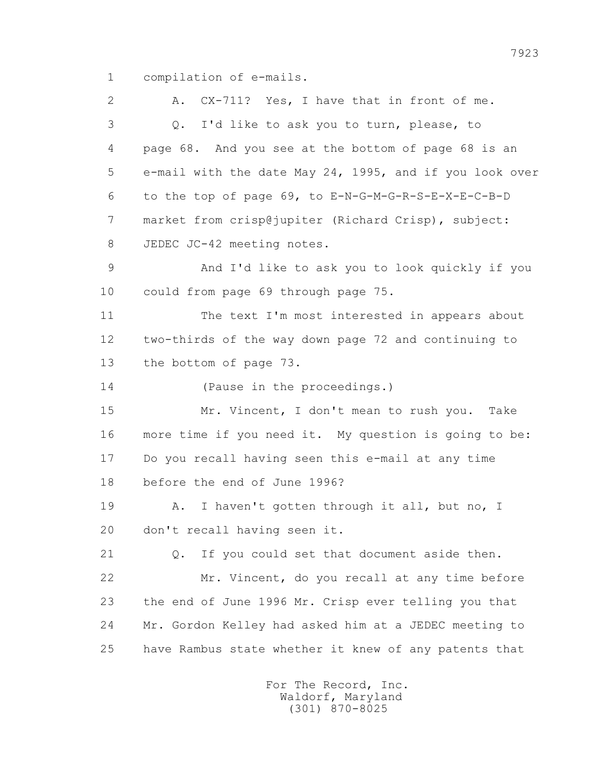1 compilation of e-mails.

 2 A. CX-711? Yes, I have that in front of me. 3 Q. I'd like to ask you to turn, please, to 4 page 68. And you see at the bottom of page 68 is an 5 e-mail with the date May 24, 1995, and if you look over 6 to the top of page 69, to E-N-G-M-G-R-S-E-X-E-C-B-D 7 market from crisp@jupiter (Richard Crisp), subject: 8 JEDEC JC-42 meeting notes. 9 And I'd like to ask you to look quickly if you 10 could from page 69 through page 75. 11 The text I'm most interested in appears about 12 two-thirds of the way down page 72 and continuing to 13 the bottom of page 73. 14 (Pause in the proceedings.) 15 Mr. Vincent, I don't mean to rush you. Take 16 more time if you need it. My question is going to be: 17 Do you recall having seen this e-mail at any time 18 before the end of June 1996? 19 A. I haven't gotten through it all, but no, I 20 don't recall having seen it. 21 Q. If you could set that document aside then. 22 Mr. Vincent, do you recall at any time before 23 the end of June 1996 Mr. Crisp ever telling you that 24 Mr. Gordon Kelley had asked him at a JEDEC meeting to 25 have Rambus state whether it knew of any patents that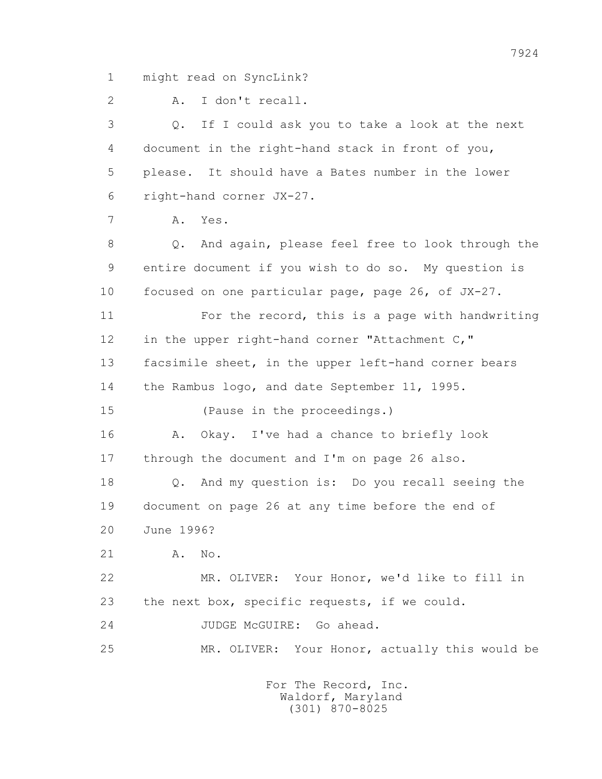1 might read on SyncLink?

2 A. I don't recall.

 3 Q. If I could ask you to take a look at the next 4 document in the right-hand stack in front of you, 5 please. It should have a Bates number in the lower 6 right-hand corner JX-27. 7 A. Yes. 8 Q. And again, please feel free to look through the 9 entire document if you wish to do so. My question is 10 focused on one particular page, page 26, of JX-27. 11 For the record, this is a page with handwriting 12 in the upper right-hand corner "Attachment C," 13 facsimile sheet, in the upper left-hand corner bears 14 the Rambus logo, and date September 11, 1995. 15 (Pause in the proceedings.) 16 A. Okay. I've had a chance to briefly look 17 through the document and I'm on page 26 also. 18 Q. And my question is: Do you recall seeing the 19 document on page 26 at any time before the end of 20 June 1996? 21 A. No. 22 MR. OLIVER: Your Honor, we'd like to fill in 23 the next box, specific requests, if we could. 24 JUDGE McGUIRE: Go ahead. 25 MR. OLIVER: Your Honor, actually this would be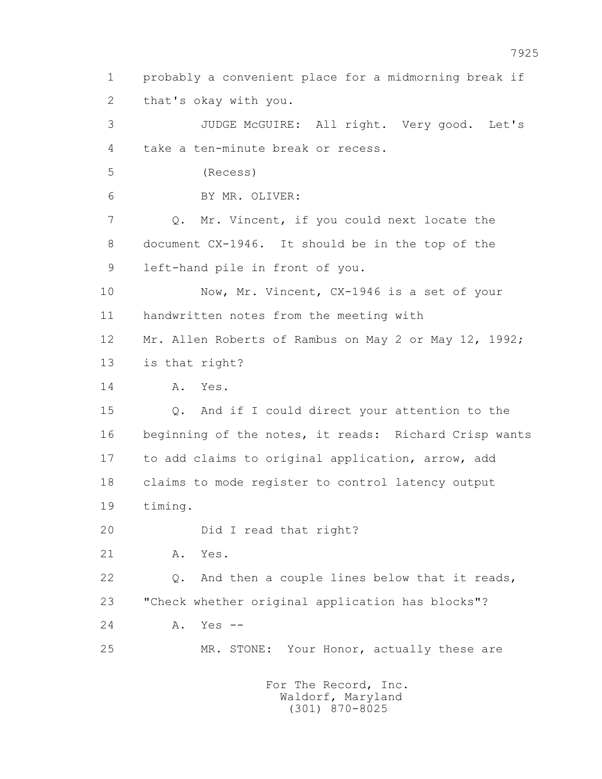1 probably a convenient place for a midmorning break if 2 that's okay with you. 3 JUDGE McGUIRE: All right. Very good. Let's 4 take a ten-minute break or recess. 5 (Recess) 6 BY MR. OLIVER: 7 Q. Mr. Vincent, if you could next locate the 8 document CX-1946. It should be in the top of the 9 left-hand pile in front of you. 10 Now, Mr. Vincent, CX-1946 is a set of your 11 handwritten notes from the meeting with 12 Mr. Allen Roberts of Rambus on May 2 or May 12, 1992; 13 is that right? 14 **A.** Yes. 15 Q. And if I could direct your attention to the 16 beginning of the notes, it reads: Richard Crisp wants 17 to add claims to original application, arrow, add 18 claims to mode register to control latency output 19 timing. 20 Did I read that right? 21 A. Yes. 22 Q. And then a couple lines below that it reads, 23 "Check whether original application has blocks"? 24 A. Yes -- 25 MR. STONE: Your Honor, actually these are For The Record, Inc.

 Waldorf, Maryland (301) 870-8025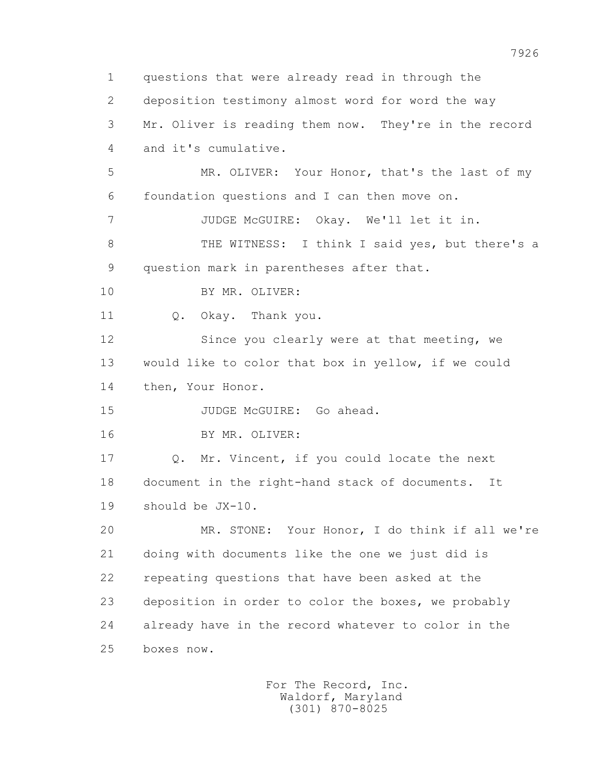1 questions that were already read in through the 2 deposition testimony almost word for word the way 3 Mr. Oliver is reading them now. They're in the record 4 and it's cumulative. 5 MR. OLIVER: Your Honor, that's the last of my 6 foundation questions and I can then move on. 7 JUDGE McGUIRE: Okay. We'll let it in. 8 THE WITNESS: I think I said yes, but there's a 9 question mark in parentheses after that. 10 BY MR. OLIVER: 11 0. Okay. Thank you. 12 Since you clearly were at that meeting, we 13 would like to color that box in yellow, if we could 14 then, Your Honor. 15 JUDGE McGUIRE: Go ahead. 16 BY MR. OLIVER: 17 Q. Mr. Vincent, if you could locate the next 18 document in the right-hand stack of documents. It 19 should be JX-10. 20 MR. STONE: Your Honor, I do think if all we're 21 doing with documents like the one we just did is 22 repeating questions that have been asked at the 23 deposition in order to color the boxes, we probably 24 already have in the record whatever to color in the 25 boxes now.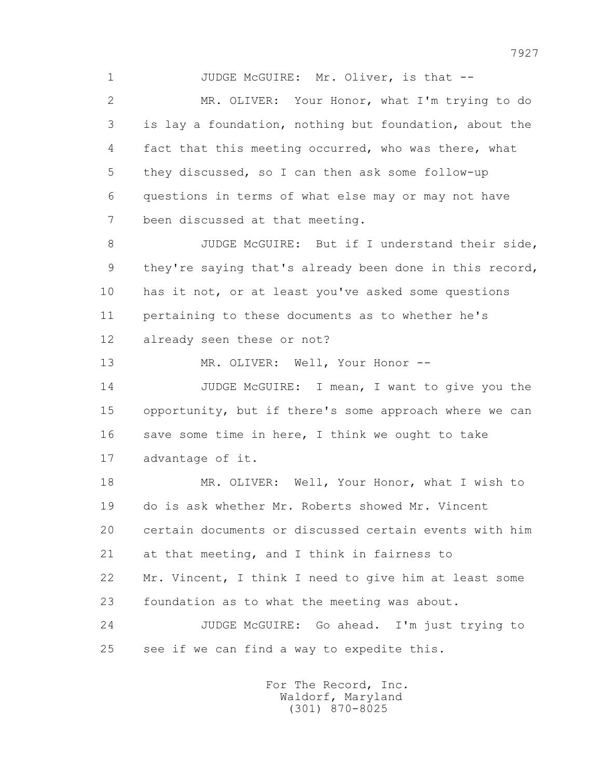1 JUDGE McGUIRE: Mr. Oliver, is that --

 2 MR. OLIVER: Your Honor, what I'm trying to do 3 is lay a foundation, nothing but foundation, about the 4 fact that this meeting occurred, who was there, what 5 they discussed, so I can then ask some follow-up 6 questions in terms of what else may or may not have 7 been discussed at that meeting.

8 JUDGE McGUIRE: But if I understand their side, 9 they're saying that's already been done in this record, 10 has it not, or at least you've asked some questions 11 pertaining to these documents as to whether he's 12 already seen these or not?

13 MR. OLIVER: Well, Your Honor --

 14 JUDGE McGUIRE: I mean, I want to give you the 15 opportunity, but if there's some approach where we can 16 save some time in here, I think we ought to take 17 advantage of it.

 18 MR. OLIVER: Well, Your Honor, what I wish to 19 do is ask whether Mr. Roberts showed Mr. Vincent 20 certain documents or discussed certain events with him 21 at that meeting, and I think in fairness to 22 Mr. Vincent, I think I need to give him at least some 23 foundation as to what the meeting was about. 24 JUDGE McGUIRE: Go ahead. I'm just trying to

25 see if we can find a way to expedite this.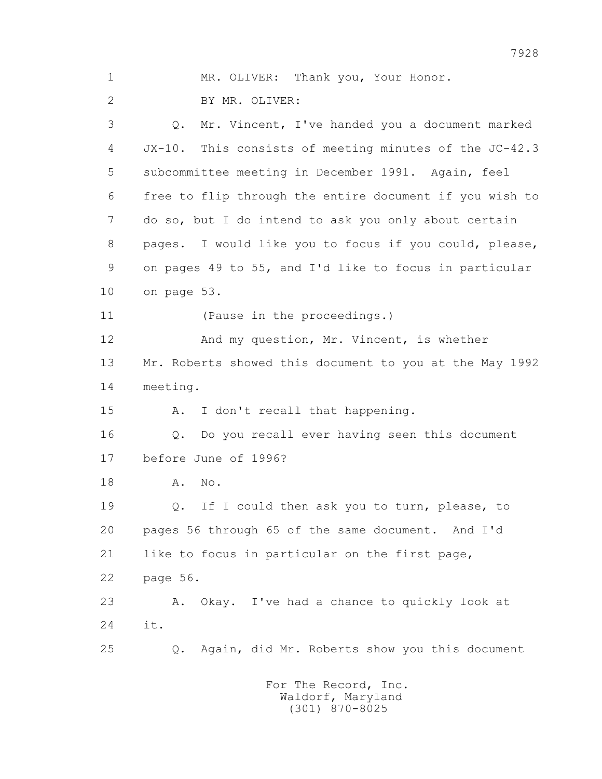1 MR. OLIVER: Thank you, Your Honor. 2 BY MR. OLIVER: 3 Q. Mr. Vincent, I've handed you a document marked 4 JX-10. This consists of meeting minutes of the JC-42.3 5 subcommittee meeting in December 1991. Again, feel 6 free to flip through the entire document if you wish to 7 do so, but I do intend to ask you only about certain 8 pages. I would like you to focus if you could, please, 9 on pages 49 to 55, and I'd like to focus in particular 10 on page 53. 11 (Pause in the proceedings.) 12 And my question, Mr. Vincent, is whether 13 Mr. Roberts showed this document to you at the May 1992 14 meeting. 15 A. I don't recall that happening. 16 Q. Do you recall ever having seen this document 17 before June of 1996? 18 **A.** No. 19 Q. If I could then ask you to turn, please, to 20 pages 56 through 65 of the same document. And I'd 21 like to focus in particular on the first page, 22 page 56. 23 A. Okay. I've had a chance to quickly look at 24 it. 25 Q. Again, did Mr. Roberts show you this document

7928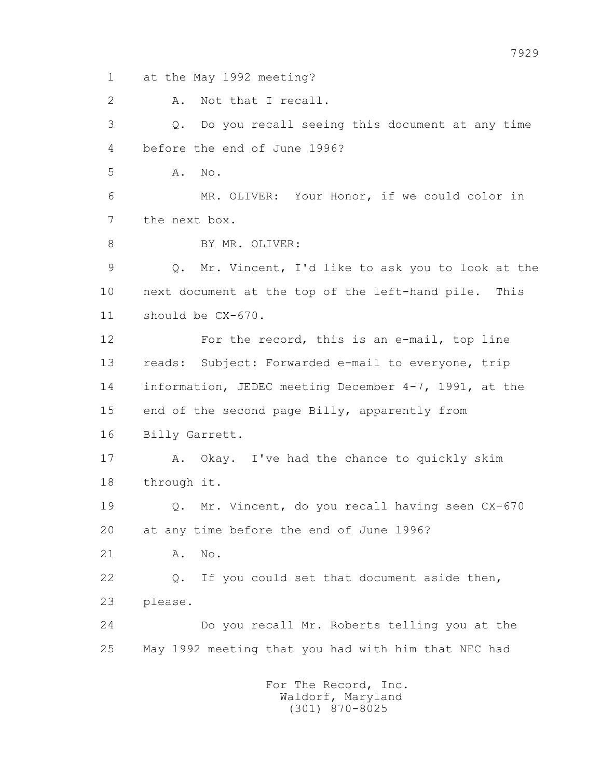1 at the May 1992 meeting?

2 A. Not that I recall.

 3 Q. Do you recall seeing this document at any time 4 before the end of June 1996?

5 A. No.

 6 MR. OLIVER: Your Honor, if we could color in 7 the next box.

8 BY MR. OLIVER:

 9 Q. Mr. Vincent, I'd like to ask you to look at the 10 next document at the top of the left-hand pile. This 11 should be CX-670.

 12 For the record, this is an e-mail, top line 13 reads: Subject: Forwarded e-mail to everyone, trip 14 information, JEDEC meeting December 4-7, 1991, at the 15 end of the second page Billy, apparently from 16 Billy Garrett.

 17 A. Okay. I've had the chance to quickly skim 18 through it.

 19 Q. Mr. Vincent, do you recall having seen CX-670 20 at any time before the end of June 1996?

21 A. No.

 22 Q. If you could set that document aside then, 23 please.

 24 Do you recall Mr. Roberts telling you at the 25 May 1992 meeting that you had with him that NEC had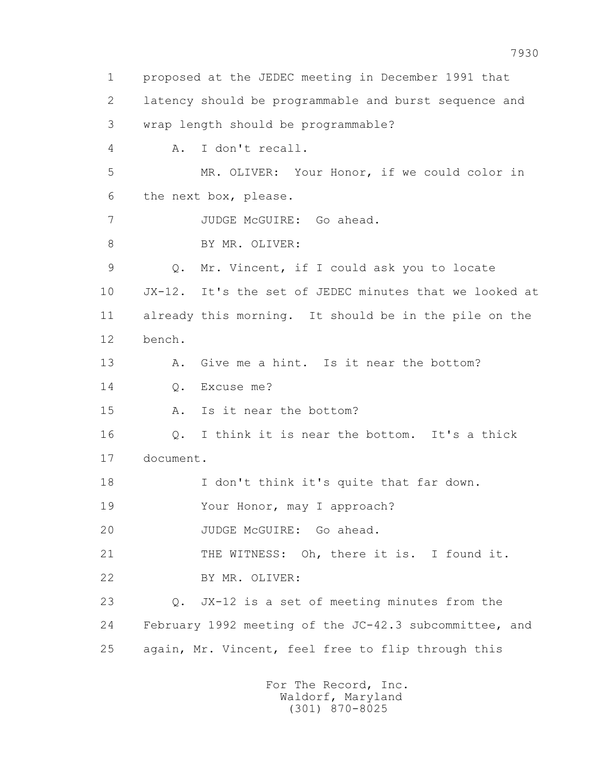1 proposed at the JEDEC meeting in December 1991 that 2 latency should be programmable and burst sequence and 3 wrap length should be programmable? 4 A. I don't recall. 5 MR. OLIVER: Your Honor, if we could color in 6 the next box, please. 7 JUDGE McGUIRE: Go ahead. 8 BY MR. OLIVER: 9 Q. Mr. Vincent, if I could ask you to locate 10 JX-12. It's the set of JEDEC minutes that we looked at 11 already this morning. It should be in the pile on the 12 bench. 13 A. Give me a hint. Is it near the bottom? 14 Q. Excuse me? 15 A. Is it near the bottom? 16 Q. I think it is near the bottom. It's a thick 17 document. 18 I don't think it's quite that far down. 19 Your Honor, may I approach? 20 JUDGE McGUIRE: Go ahead. 21 THE WITNESS: Oh, there it is. I found it. 22 BY MR. OLIVER: 23 Q. JX-12 is a set of meeting minutes from the 24 February 1992 meeting of the JC-42.3 subcommittee, and 25 again, Mr. Vincent, feel free to flip through this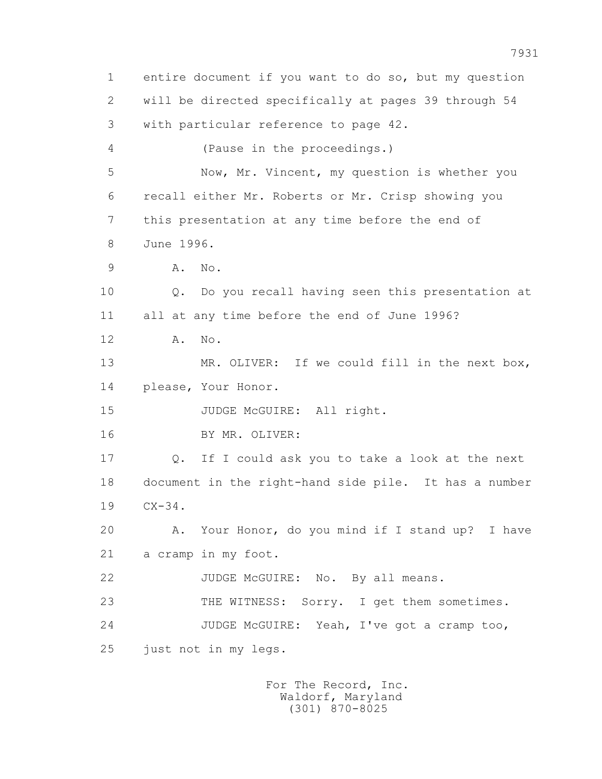1 entire document if you want to do so, but my question 2 will be directed specifically at pages 39 through 54 3 with particular reference to page 42. 4 (Pause in the proceedings.) 5 Now, Mr. Vincent, my question is whether you 6 recall either Mr. Roberts or Mr. Crisp showing you 7 this presentation at any time before the end of 8 June 1996. 9 A. No. 10 Q. Do you recall having seen this presentation at 11 all at any time before the end of June 1996? 12 A. No. 13 MR. OLIVER: If we could fill in the next box, 14 please, Your Honor. 15 JUDGE McGUIRE: All right. 16 BY MR. OLIVER: 17 Q. If I could ask you to take a look at the next 18 document in the right-hand side pile. It has a number 19 CX-34. 20 A. Your Honor, do you mind if I stand up? I have 21 a cramp in my foot. 22 JUDGE McGUIRE: No. By all means. 23 THE WITNESS: Sorry. I get them sometimes. 24 JUDGE McGUIRE: Yeah, I've got a cramp too, 25 just not in my legs.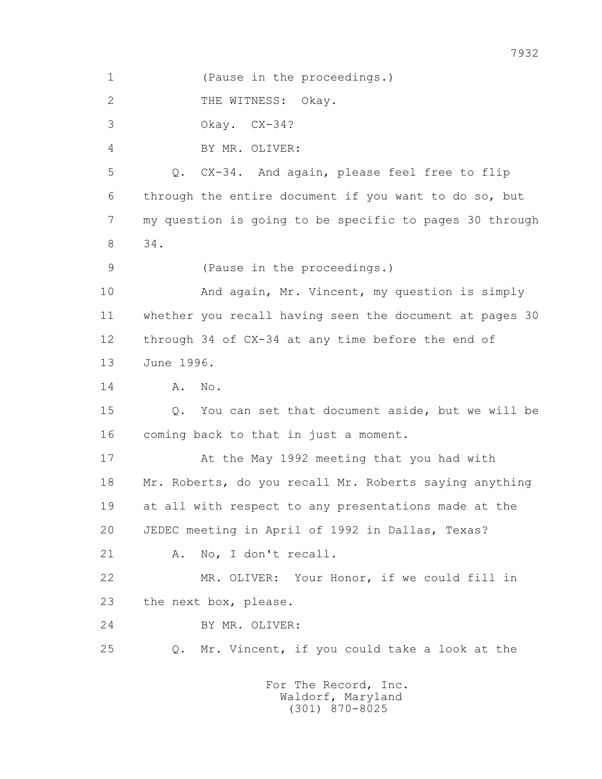1 (Pause in the proceedings.) 2 THE WITNESS: Okay. 3 Okay. CX-34? 4 BY MR. OLIVER: 5 Q. CX-34. And again, please feel free to flip 6 through the entire document if you want to do so, but 7 my question is going to be specific to pages 30 through 8 34. 9 (Pause in the proceedings.) 10 And again, Mr. Vincent, my question is simply 11 whether you recall having seen the document at pages 30 12 through 34 of CX-34 at any time before the end of 13 June 1996. 14 **A.** No. 15 Q. You can set that document aside, but we will be 16 coming back to that in just a moment. 17 At the May 1992 meeting that you had with 18 Mr. Roberts, do you recall Mr. Roberts saying anything 19 at all with respect to any presentations made at the 20 JEDEC meeting in April of 1992 in Dallas, Texas? 21 A. No, I don't recall. 22 MR. OLIVER: Your Honor, if we could fill in 23 the next box, please. 24 BY MR. OLIVER: 25 Q. Mr. Vincent, if you could take a look at the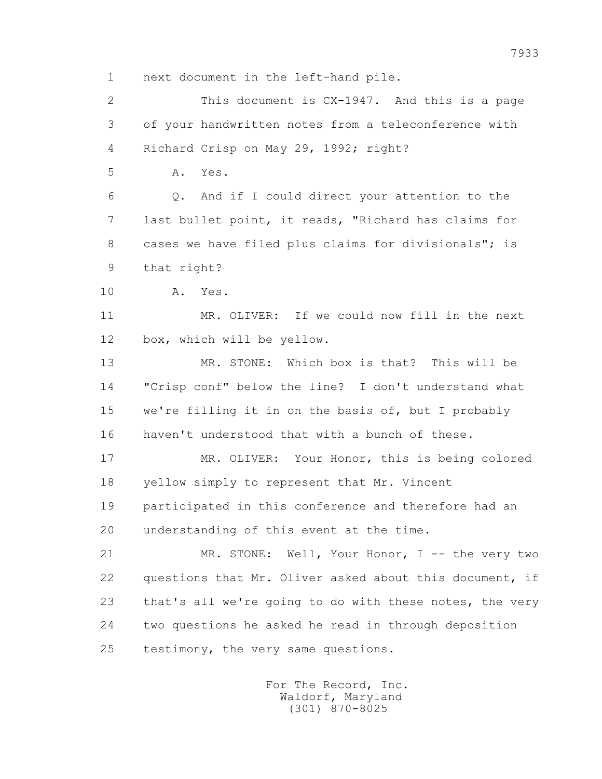1 next document in the left-hand pile.

 2 This document is CX-1947. And this is a page 3 of your handwritten notes from a teleconference with 4 Richard Crisp on May 29, 1992; right?

5 A. Yes.

 6 Q. And if I could direct your attention to the 7 last bullet point, it reads, "Richard has claims for 8 cases we have filed plus claims for divisionals"; is 9 that right?

10 A. Yes.

 11 MR. OLIVER: If we could now fill in the next 12 box, which will be yellow.

 13 MR. STONE: Which box is that? This will be 14 "Crisp conf" below the line? I don't understand what 15 we're filling it in on the basis of, but I probably 16 haven't understood that with a bunch of these.

 17 MR. OLIVER: Your Honor, this is being colored 18 yellow simply to represent that Mr. Vincent 19 participated in this conference and therefore had an 20 understanding of this event at the time.

 21 MR. STONE: Well, Your Honor, I -- the very two 22 questions that Mr. Oliver asked about this document, if 23 that's all we're going to do with these notes, the very 24 two questions he asked he read in through deposition 25 testimony, the very same questions.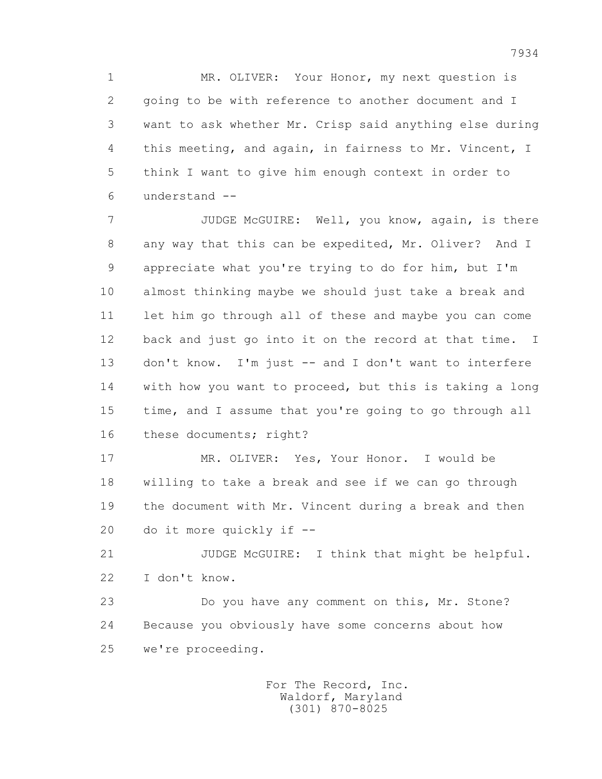1 MR. OLIVER: Your Honor, my next question is 2 going to be with reference to another document and I 3 want to ask whether Mr. Crisp said anything else during 4 this meeting, and again, in fairness to Mr. Vincent, I 5 think I want to give him enough context in order to 6 understand --

 7 JUDGE McGUIRE: Well, you know, again, is there 8 any way that this can be expedited, Mr. Oliver? And I 9 appreciate what you're trying to do for him, but I'm 10 almost thinking maybe we should just take a break and 11 let him go through all of these and maybe you can come 12 back and just go into it on the record at that time. I 13 don't know. I'm just -- and I don't want to interfere 14 with how you want to proceed, but this is taking a long 15 time, and I assume that you're going to go through all 16 these documents; right?

 17 MR. OLIVER: Yes, Your Honor. I would be 18 willing to take a break and see if we can go through 19 the document with Mr. Vincent during a break and then 20 do it more quickly if --

 21 JUDGE McGUIRE: I think that might be helpful. 22 I don't know.

 23 Do you have any comment on this, Mr. Stone? 24 Because you obviously have some concerns about how 25 we're proceeding.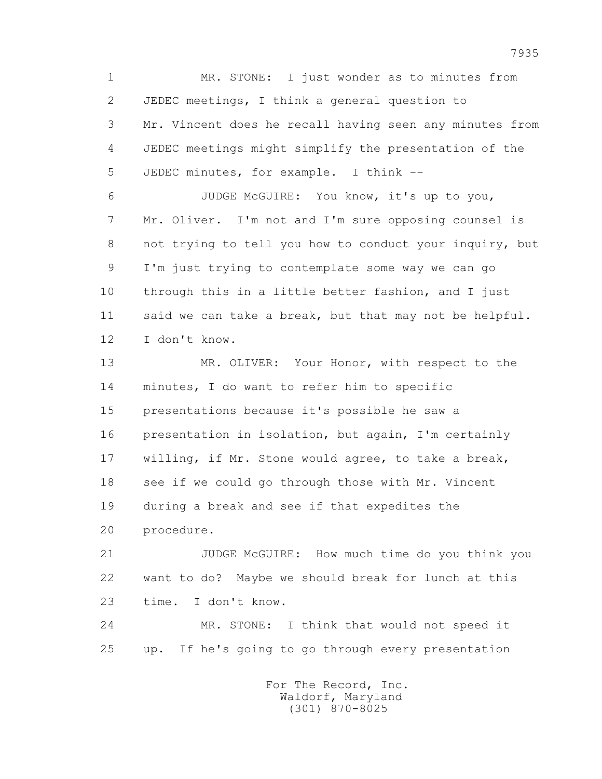1 MR. STONE: I just wonder as to minutes from 2 JEDEC meetings, I think a general question to 3 Mr. Vincent does he recall having seen any minutes from 4 JEDEC meetings might simplify the presentation of the 5 JEDEC minutes, for example. I think -- 6 JUDGE McGUIRE: You know, it's up to you, 7 Mr. Oliver. I'm not and I'm sure opposing counsel is 8 not trying to tell you how to conduct your inquiry, but 9 I'm just trying to contemplate some way we can go 10 through this in a little better fashion, and I just 11 said we can take a break, but that may not be helpful. 12 I don't know. 13 MR. OLIVER: Your Honor, with respect to the

 14 minutes, I do want to refer him to specific 15 presentations because it's possible he saw a 16 presentation in isolation, but again, I'm certainly 17 willing, if Mr. Stone would agree, to take a break, 18 see if we could go through those with Mr. Vincent 19 during a break and see if that expedites the 20 procedure.

 21 JUDGE McGUIRE: How much time do you think you 22 want to do? Maybe we should break for lunch at this 23 time. I don't know.

 24 MR. STONE: I think that would not speed it 25 up. If he's going to go through every presentation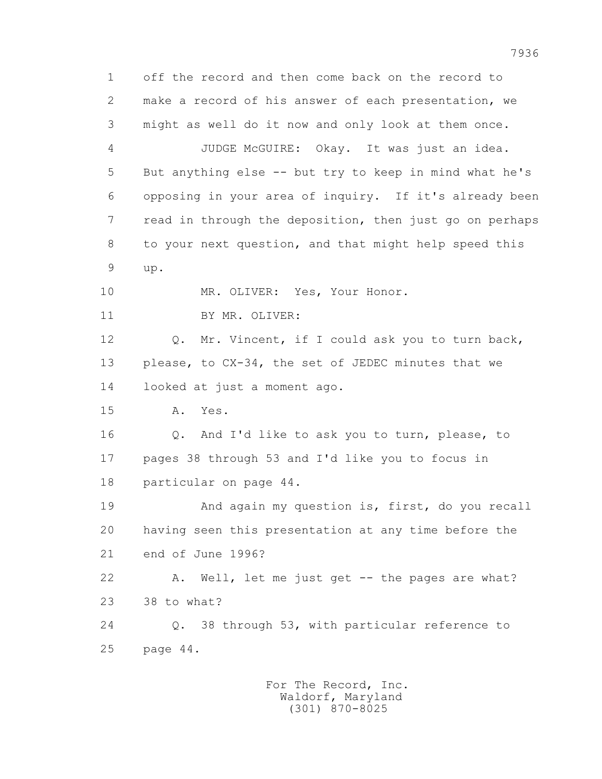1 off the record and then come back on the record to 2 make a record of his answer of each presentation, we 3 might as well do it now and only look at them once. 4 JUDGE McGUIRE: Okay. It was just an idea. 5 But anything else -- but try to keep in mind what he's 6 opposing in your area of inquiry. If it's already been 7 read in through the deposition, then just go on perhaps 8 to your next question, and that might help speed this 9 up. 10 MR. OLIVER: Yes, Your Honor. 11 BY MR. OLIVER: 12 Q. Mr. Vincent, if I could ask you to turn back, 13 please, to CX-34, the set of JEDEC minutes that we 14 looked at just a moment ago. 15 A. Yes. 16 Q. And I'd like to ask you to turn, please, to 17 pages 38 through 53 and I'd like you to focus in 18 particular on page 44. 19 And again my question is, first, do you recall 20 having seen this presentation at any time before the 21 end of June 1996? 22 A. Well, let me just get -- the pages are what? 23 38 to what? 24 Q. 38 through 53, with particular reference to 25 page 44.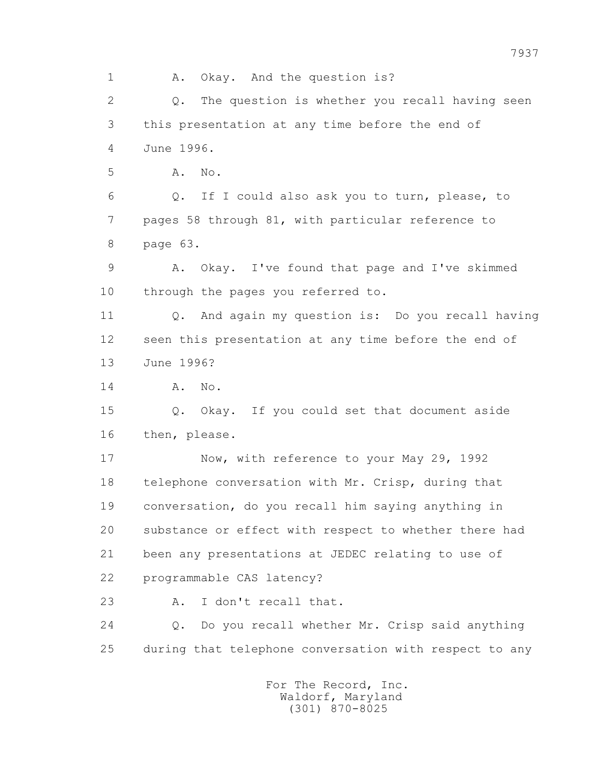1 A. Okay. And the question is? 2 Q. The question is whether you recall having seen 3 this presentation at any time before the end of 4 June 1996. 5 **A.** No. 6 Q. If I could also ask you to turn, please, to 7 pages 58 through 81, with particular reference to 8 page 63. 9 A. Okay. I've found that page and I've skimmed 10 through the pages you referred to. 11 Q. And again my question is: Do you recall having 12 seen this presentation at any time before the end of 13 June 1996? 14 **A.** No. 15 Q. Okay. If you could set that document aside 16 then, please. 17 Now, with reference to your May 29, 1992 18 telephone conversation with Mr. Crisp, during that 19 conversation, do you recall him saying anything in 20 substance or effect with respect to whether there had 21 been any presentations at JEDEC relating to use of 22 programmable CAS latency? 23 A. I don't recall that. 24 Q. Do you recall whether Mr. Crisp said anything 25 during that telephone conversation with respect to any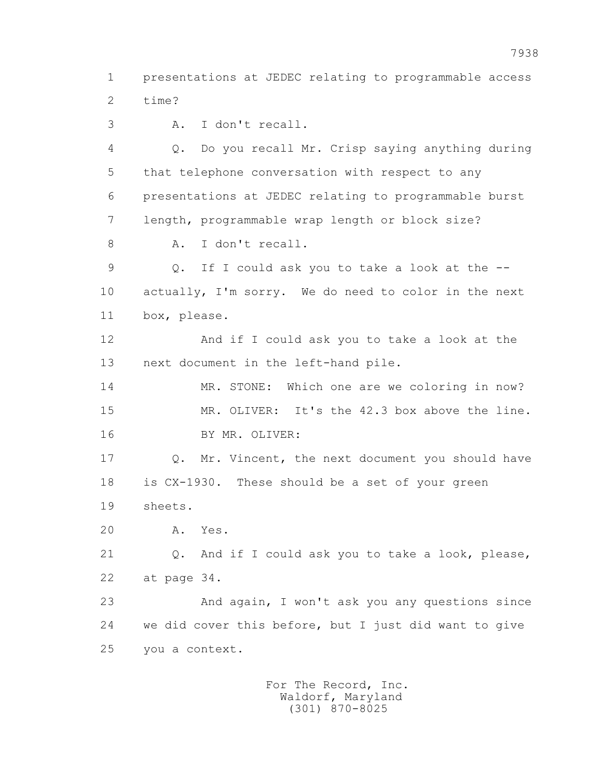1 presentations at JEDEC relating to programmable access 2 time?

3 A. I don't recall.

 4 Q. Do you recall Mr. Crisp saying anything during 5 that telephone conversation with respect to any 6 presentations at JEDEC relating to programmable burst 7 length, programmable wrap length or block size? 8 A. I don't recall. 9 Q. If I could ask you to take a look at the -- 10 actually, I'm sorry. We do need to color in the next 11 box, please. 12 And if I could ask you to take a look at the 13 next document in the left-hand pile. 14 MR. STONE: Which one are we coloring in now? 15 MR. OLIVER: It's the 42.3 box above the line. 16 BY MR. OLIVER: 17 Q. Mr. Vincent, the next document you should have 18 is CX-1930. These should be a set of your green

19 sheets.

20 A. Yes.

 21 Q. And if I could ask you to take a look, please, 22 at page 34.

 23 And again, I won't ask you any questions since 24 we did cover this before, but I just did want to give 25 you a context.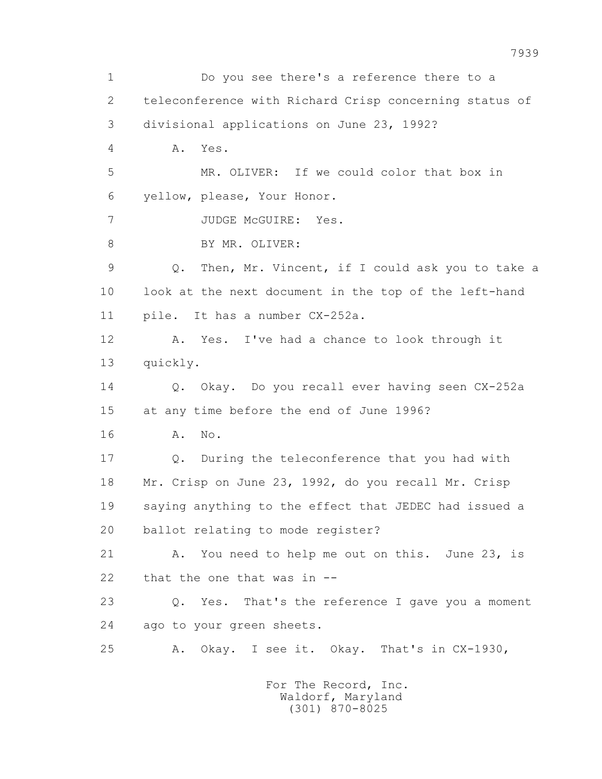1 Do you see there's a reference there to a 2 teleconference with Richard Crisp concerning status of 3 divisional applications on June 23, 1992? 4 A. Yes. 5 MR. OLIVER: If we could color that box in 6 yellow, please, Your Honor. 7 JUDGE McGUIRE: Yes. 8 BY MR. OLIVER: 9 Q. Then, Mr. Vincent, if I could ask you to take a 10 look at the next document in the top of the left-hand 11 pile. It has a number CX-252a. 12 A. Yes. I've had a chance to look through it 13 quickly. 14 Q. Okay. Do you recall ever having seen CX-252a 15 at any time before the end of June 1996? 16 A. No. 17 Q. During the teleconference that you had with 18 Mr. Crisp on June 23, 1992, do you recall Mr. Crisp 19 saying anything to the effect that JEDEC had issued a 20 ballot relating to mode register? 21 A. You need to help me out on this. June 23, is 22 that the one that was in -- 23 Q. Yes. That's the reference I gave you a moment 24 ago to your green sheets. 25 A. Okay. I see it. Okay. That's in CX-1930,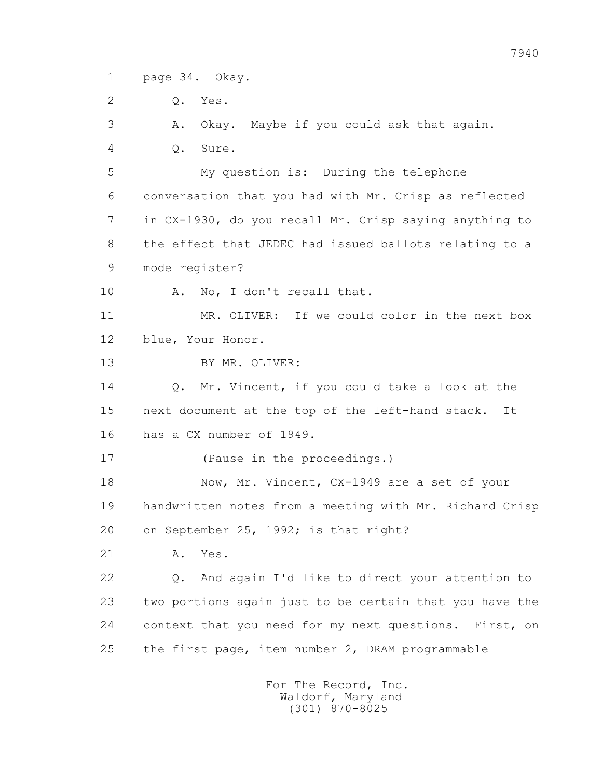1 page 34. Okay.

2 Q. Yes.

3 A. Okay. Maybe if you could ask that again.

4 Q. Sure.

 5 My question is: During the telephone 6 conversation that you had with Mr. Crisp as reflected 7 in CX-1930, do you recall Mr. Crisp saying anything to 8 the effect that JEDEC had issued ballots relating to a 9 mode register?

10 A. No, I don't recall that.

 11 MR. OLIVER: If we could color in the next box 12 blue, Your Honor.

13 BY MR. OLIVER:

 14 Q. Mr. Vincent, if you could take a look at the 15 next document at the top of the left-hand stack. It 16 has a CX number of 1949.

17 (Pause in the proceedings.)

 18 Now, Mr. Vincent, CX-1949 are a set of your 19 handwritten notes from a meeting with Mr. Richard Crisp 20 on September 25, 1992; is that right?

21 A. Yes.

 22 Q. And again I'd like to direct your attention to 23 two portions again just to be certain that you have the 24 context that you need for my next questions. First, on 25 the first page, item number 2, DRAM programmable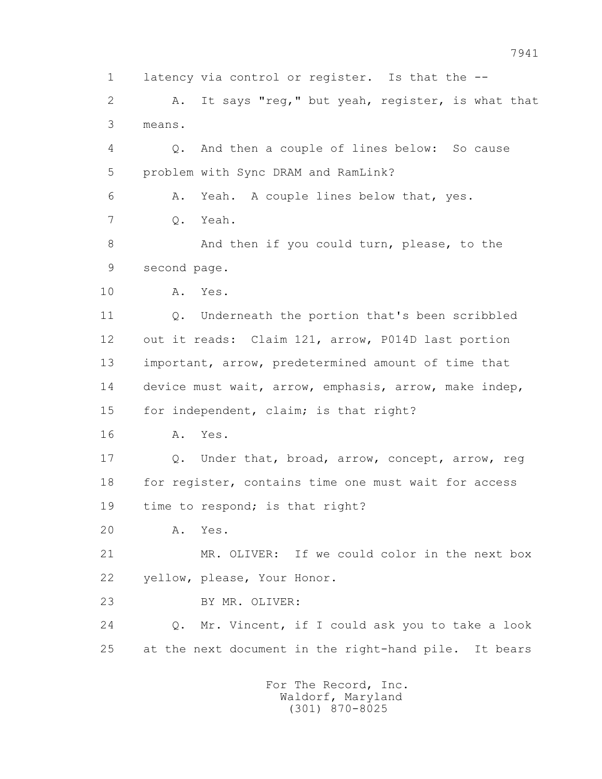1 latency via control or register. Is that the -- 2 A. It says "reg," but yeah, register, is what that 3 means. 4 Q. And then a couple of lines below: So cause 5 problem with Sync DRAM and RamLink? 6 A. Yeah. A couple lines below that, yes. 7 Q. Yeah. 8 And then if you could turn, please, to the 9 second page. 10 A. Yes. 11 Q. Underneath the portion that's been scribbled 12 out it reads: Claim 121, arrow, P014D last portion 13 important, arrow, predetermined amount of time that 14 device must wait, arrow, emphasis, arrow, make indep, 15 for independent, claim; is that right? 16 A. Yes. 17 Q. Under that, broad, arrow, concept, arrow, reg 18 for register, contains time one must wait for access 19 time to respond; is that right? 20 A. Yes. 21 MR. OLIVER: If we could color in the next box 22 yellow, please, Your Honor. 23 BY MR. OLIVER: 24 Q. Mr. Vincent, if I could ask you to take a look 25 at the next document in the right-hand pile. It bears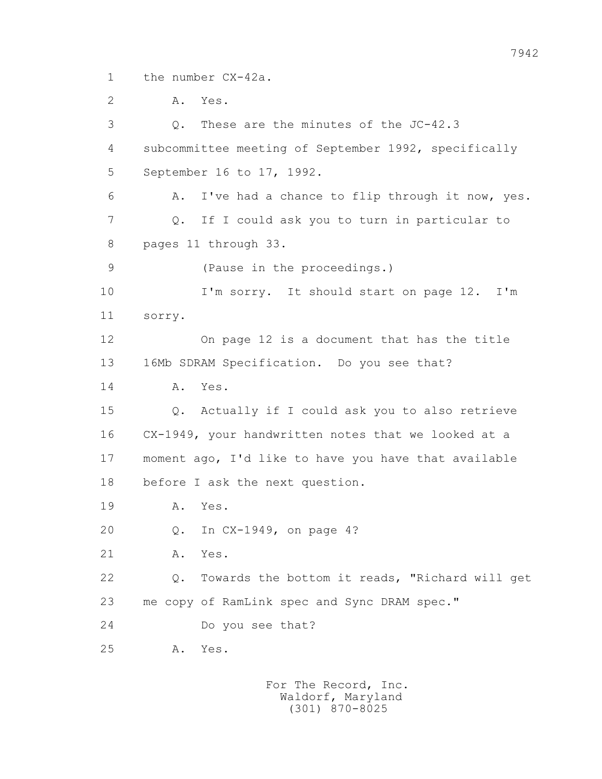1 the number CX-42a.

 2 A. Yes. 3 Q. These are the minutes of the JC-42.3 4 subcommittee meeting of September 1992, specifically 5 September 16 to 17, 1992. 6 A. I've had a chance to flip through it now, yes. 7 Q. If I could ask you to turn in particular to 8 pages 11 through 33. 9 (Pause in the proceedings.) 10 I'm sorry. It should start on page 12. I'm 11 sorry. 12 On page 12 is a document that has the title 13 16Mb SDRAM Specification. Do you see that? 14 A. Yes. 15 Q. Actually if I could ask you to also retrieve 16 CX-1949, your handwritten notes that we looked at a 17 moment ago, I'd like to have you have that available 18 before I ask the next question. 19 A. Yes. 20 Q. In CX-1949, on page 4? 21 A. Yes. 22 Q. Towards the bottom it reads, "Richard will get 23 me copy of RamLink spec and Sync DRAM spec." 24 Do you see that? 25 A. Yes.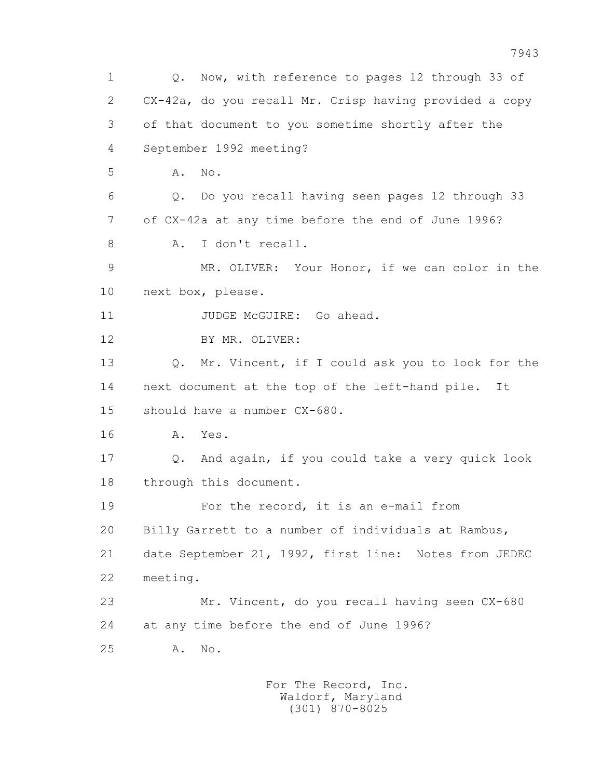1 Q. Now, with reference to pages 12 through 33 of 2 CX-42a, do you recall Mr. Crisp having provided a copy 3 of that document to you sometime shortly after the 4 September 1992 meeting? 5 **A.** No. 6 Q. Do you recall having seen pages 12 through 33 7 of CX-42a at any time before the end of June 1996? 8 A. I don't recall. 9 MR. OLIVER: Your Honor, if we can color in the 10 next box, please. 11 JUDGE McGUIRE: Go ahead. 12 BY MR. OLIVER: 13 Q. Mr. Vincent, if I could ask you to look for the 14 next document at the top of the left-hand pile. It 15 should have a number CX-680. 16 A. Yes. 17 Q. And again, if you could take a very quick look 18 through this document. 19 For the record, it is an e-mail from 20 Billy Garrett to a number of individuals at Rambus, 21 date September 21, 1992, first line: Notes from JEDEC 22 meeting. 23 Mr. Vincent, do you recall having seen CX-680 24 at any time before the end of June 1996? 25 A. No.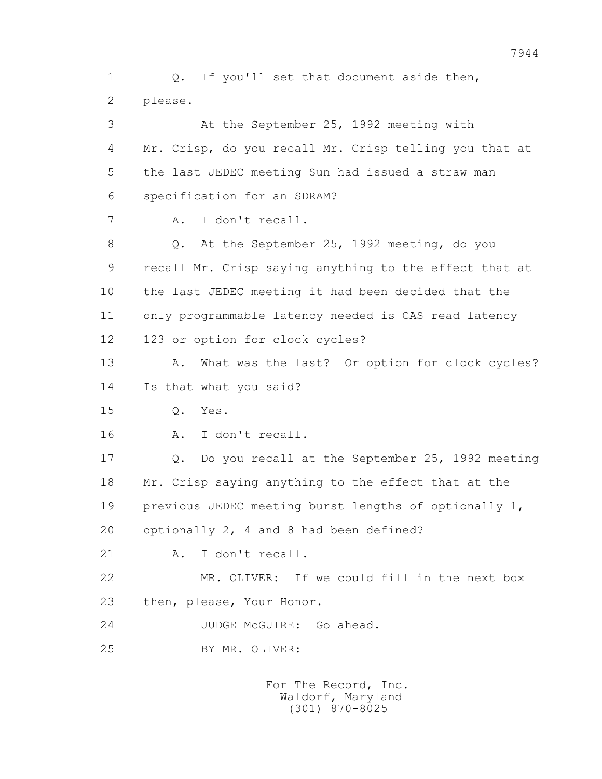1 0. If you'll set that document aside then, 2 please.

 3 At the September 25, 1992 meeting with 4 Mr. Crisp, do you recall Mr. Crisp telling you that at 5 the last JEDEC meeting Sun had issued a straw man 6 specification for an SDRAM? 7 A. I don't recall. 8 Q. At the September 25, 1992 meeting, do you 9 recall Mr. Crisp saying anything to the effect that at 10 the last JEDEC meeting it had been decided that the 11 only programmable latency needed is CAS read latency 12 123 or option for clock cycles? 13 A. What was the last? Or option for clock cycles? 14 Is that what you said? 15 Q. Yes. 16 A. I don't recall. 17 Q. Do you recall at the September 25, 1992 meeting 18 Mr. Crisp saying anything to the effect that at the 19 previous JEDEC meeting burst lengths of optionally 1, 20 optionally 2, 4 and 8 had been defined? 21 A. I don't recall. 22 MR. OLIVER: If we could fill in the next box 23 then, please, Your Honor. 24 JUDGE McGUIRE: Go ahead. 25 BY MR. OLIVER: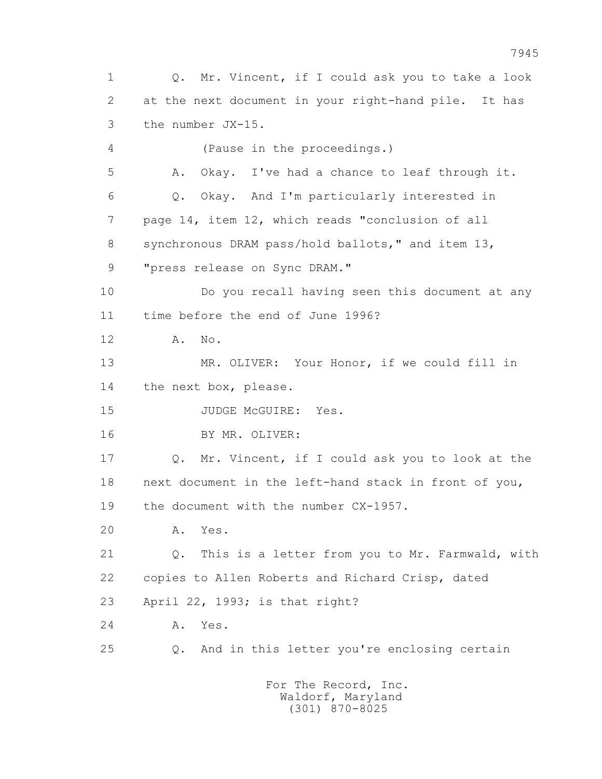1 Q. Mr. Vincent, if I could ask you to take a look 2 at the next document in your right-hand pile. It has 3 the number JX-15. 4 (Pause in the proceedings.) 5 A. Okay. I've had a chance to leaf through it. 6 Q. Okay. And I'm particularly interested in 7 page 14, item 12, which reads "conclusion of all 8 synchronous DRAM pass/hold ballots," and item 13, 9 "press release on Sync DRAM." 10 Do you recall having seen this document at any 11 time before the end of June 1996? 12 A. No. 13 MR. OLIVER: Your Honor, if we could fill in 14 the next box, please. 15 JUDGE McGUIRE: Yes. 16 BY MR. OLIVER: 17 Q. Mr. Vincent, if I could ask you to look at the 18 next document in the left-hand stack in front of you, 19 the document with the number CX-1957. 20 A. Yes. 21 Q. This is a letter from you to Mr. Farmwald, with 22 copies to Allen Roberts and Richard Crisp, dated 23 April 22, 1993; is that right? 24 A. Yes. 25 Q. And in this letter you're enclosing certain For The Record, Inc.

 Waldorf, Maryland (301) 870-8025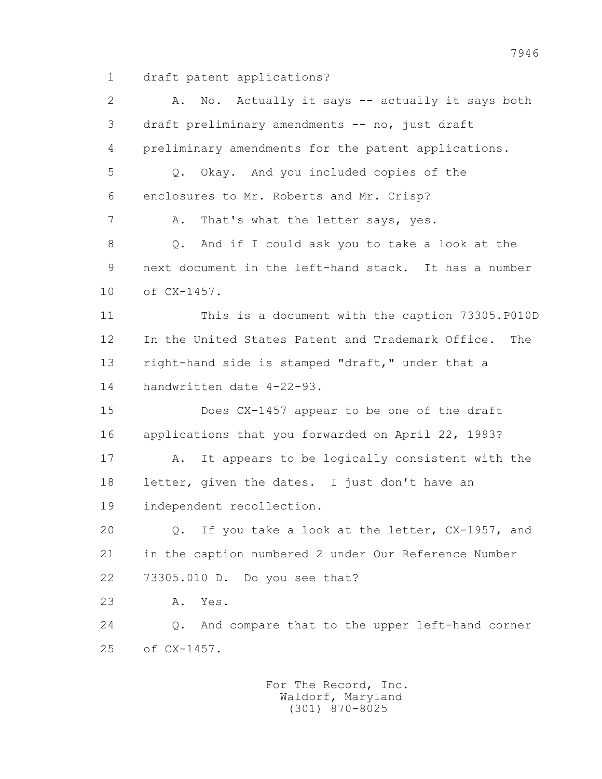1 draft patent applications?

 2 A. No. Actually it says -- actually it says both 3 draft preliminary amendments -- no, just draft 4 preliminary amendments for the patent applications. 5 Q. Okay. And you included copies of the 6 enclosures to Mr. Roberts and Mr. Crisp? 7 A. That's what the letter says, yes. 8 Q. And if I could ask you to take a look at the 9 next document in the left-hand stack. It has a number 10 of CX-1457. 11 This is a document with the caption 73305.P010D 12 In the United States Patent and Trademark Office. The 13 right-hand side is stamped "draft," under that a 14 handwritten date 4-22-93. 15 Does CX-1457 appear to be one of the draft 16 applications that you forwarded on April 22, 1993? 17 A. It appears to be logically consistent with the 18 letter, given the dates. I just don't have an 19 independent recollection. 20 Q. If you take a look at the letter, CX-1957, and 21 in the caption numbered 2 under Our Reference Number 22 73305.010 D. Do you see that? 23 A. Yes. 24 Q. And compare that to the upper left-hand corner 25 of CX-1457.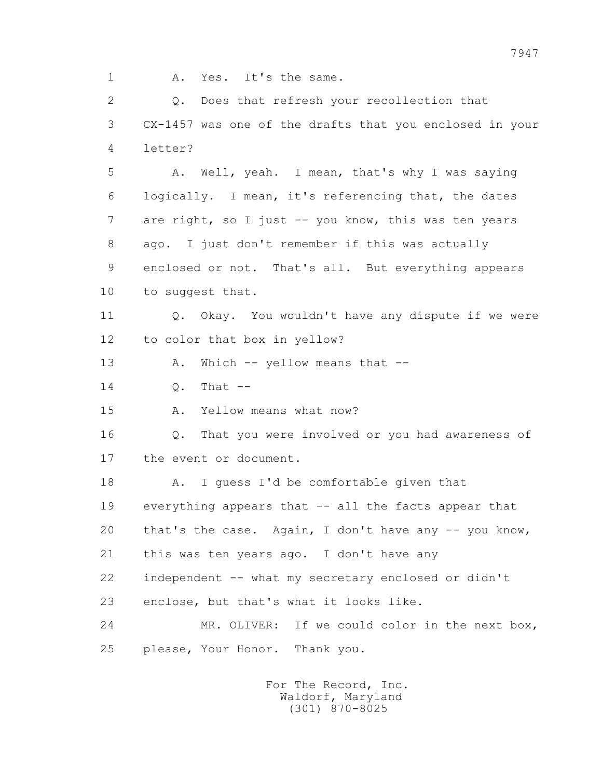1 A. Yes. It's the same.

 2 Q. Does that refresh your recollection that 3 CX-1457 was one of the drafts that you enclosed in your 4 letter? 5 A. Well, yeah. I mean, that's why I was saying 6 logically. I mean, it's referencing that, the dates 7 are right, so I just -- you know, this was ten years 8 ago. I just don't remember if this was actually 9 enclosed or not. That's all. But everything appears 10 to suggest that. 11 0. Okay. You wouldn't have any dispute if we were 12 to color that box in yellow? 13 A. Which -- yellow means that -- $14$  O. That  $-$  15 A. Yellow means what now? 16 Q. That you were involved or you had awareness of 17 the event or document. 18 A. I quess I'd be comfortable given that 19 everything appears that -- all the facts appear that 20 that's the case. Again, I don't have any -- you know, 21 this was ten years ago. I don't have any 22 independent -- what my secretary enclosed or didn't 23 enclose, but that's what it looks like. 24 MR. OLIVER: If we could color in the next box, 25 please, Your Honor. Thank you.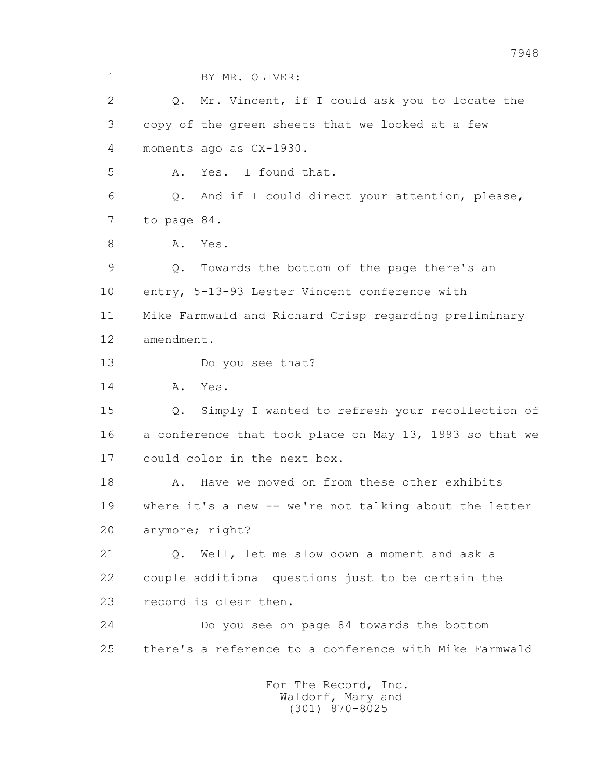1 BY MR. OLIVER:

2 0. Mr. Vincent, if I could ask you to locate the 3 copy of the green sheets that we looked at a few 4 moments ago as CX-1930.

5 A. Yes. I found that.

 6 Q. And if I could direct your attention, please, 7 to page 84.

8 A. Yes.

 9 Q. Towards the bottom of the page there's an 10 entry, 5-13-93 Lester Vincent conference with 11 Mike Farmwald and Richard Crisp regarding preliminary 12 amendment.

13 Do you see that?

14 A. Yes.

 15 Q. Simply I wanted to refresh your recollection of 16 a conference that took place on May 13, 1993 so that we 17 could color in the next box.

18 A. Have we moved on from these other exhibits 19 where it's a new -- we're not talking about the letter 20 anymore; right?

 21 Q. Well, let me slow down a moment and ask a 22 couple additional questions just to be certain the 23 record is clear then.

 24 Do you see on page 84 towards the bottom 25 there's a reference to a conference with Mike Farmwald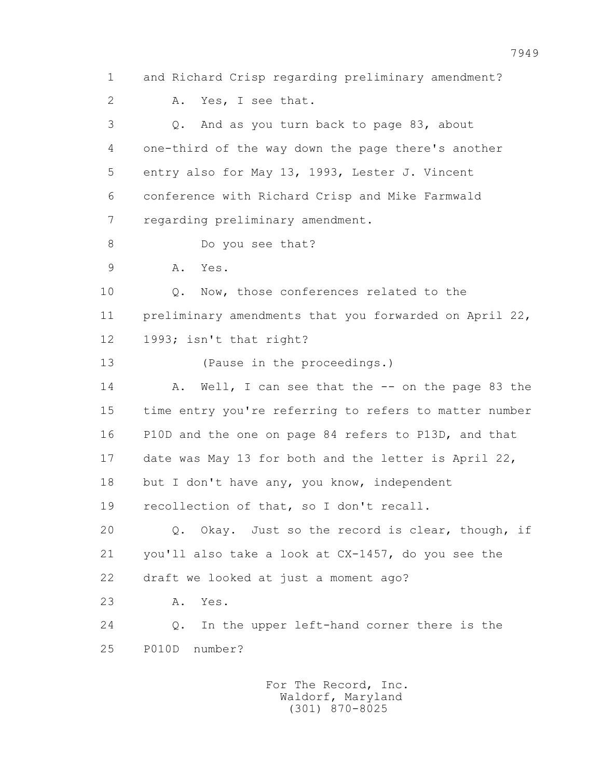1 and Richard Crisp regarding preliminary amendment? 2 A. Yes, I see that. 3 Q. And as you turn back to page 83, about 4 one-third of the way down the page there's another 5 entry also for May 13, 1993, Lester J. Vincent 6 conference with Richard Crisp and Mike Farmwald 7 regarding preliminary amendment. 8 Do you see that? 9 A. Yes. 10 Q. Now, those conferences related to the 11 preliminary amendments that you forwarded on April 22, 12 1993; isn't that right? 13 (Pause in the proceedings.) 14 A. Well, I can see that the -- on the page 83 the 15 time entry you're referring to refers to matter number 16 P10D and the one on page 84 refers to P13D, and that 17 date was May 13 for both and the letter is April 22, 18 but I don't have any, you know, independent 19 recollection of that, so I don't recall. 20 Q. Okay. Just so the record is clear, though, if 21 you'll also take a look at CX-1457, do you see the 22 draft we looked at just a moment ago? 23 A. Yes. 24 Q. In the upper left-hand corner there is the 25 P010D number?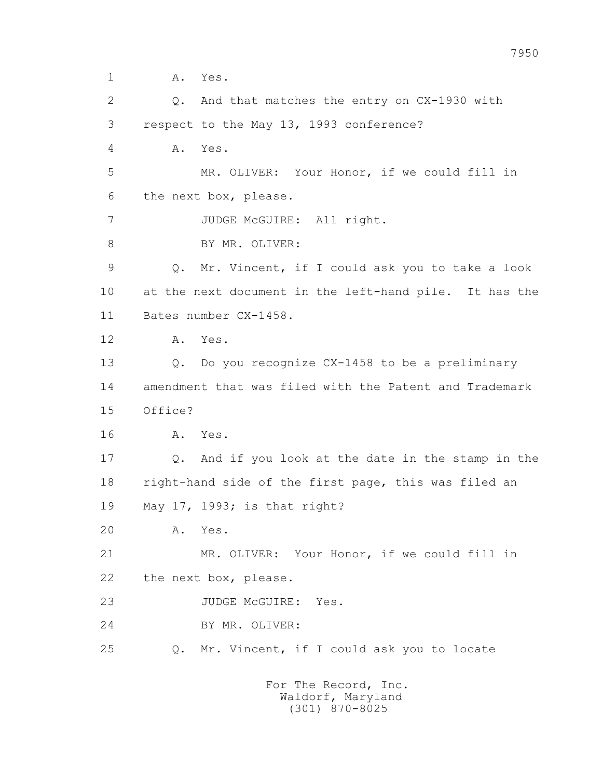1 A. Yes.

 2 Q. And that matches the entry on CX-1930 with 3 respect to the May 13, 1993 conference? 4 A. Yes. 5 MR. OLIVER: Your Honor, if we could fill in 6 the next box, please. 7 JUDGE McGUIRE: All right. 8 BY MR. OLIVER: 9 Q. Mr. Vincent, if I could ask you to take a look 10 at the next document in the left-hand pile. It has the 11 Bates number CX-1458. 12 A. Yes. 13 Q. Do you recognize CX-1458 to be a preliminary 14 amendment that was filed with the Patent and Trademark 15 Office? 16 A. Yes. 17 Q. And if you look at the date in the stamp in the 18 right-hand side of the first page, this was filed an 19 May 17, 1993; is that right? 20 A. Yes. 21 MR. OLIVER: Your Honor, if we could fill in 22 the next box, please. 23 JUDGE McGUIRE: Yes. 24 BY MR. OLIVER: 25 Q. Mr. Vincent, if I could ask you to locate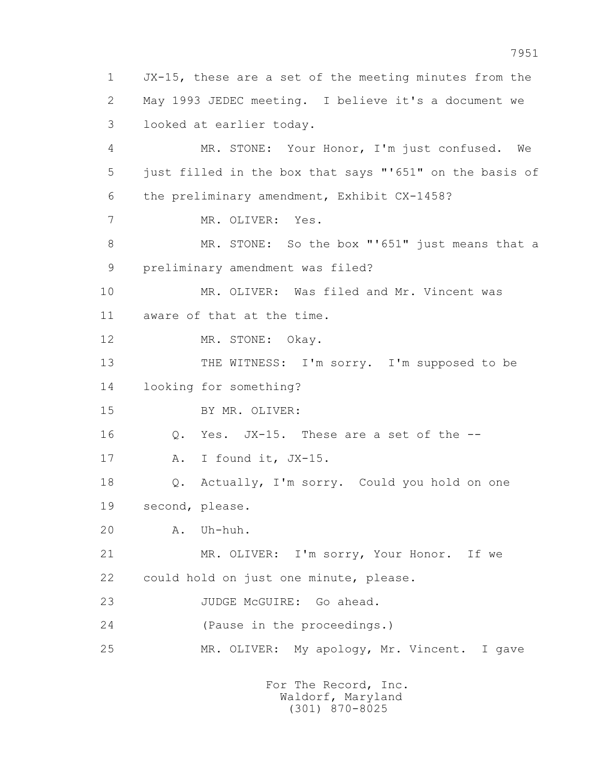1 JX-15, these are a set of the meeting minutes from the 2 May 1993 JEDEC meeting. I believe it's a document we 3 looked at earlier today. 4 MR. STONE: Your Honor, I'm just confused. We 5 just filled in the box that says "'651" on the basis of 6 the preliminary amendment, Exhibit CX-1458? 7 MR. OLIVER: Yes. 8 MR. STONE: So the box "'651" just means that a 9 preliminary amendment was filed? 10 MR. OLIVER: Was filed and Mr. Vincent was 11 aware of that at the time. 12 MR. STONE: Okay. 13 THE WITNESS: I'm sorry. I'm supposed to be 14 looking for something? 15 BY MR. OLIVER: 16 Q. Yes. JX-15. These are a set of the -- 17 A. I found it, JX-15. 18 Q. Actually, I'm sorry. Could you hold on one 19 second, please. 20 A. Uh-huh. 21 MR. OLIVER: I'm sorry, Your Honor. If we 22 could hold on just one minute, please. 23 JUDGE McGUIRE: Go ahead. 24 (Pause in the proceedings.) 25 MR. OLIVER: My apology, Mr. Vincent. I gave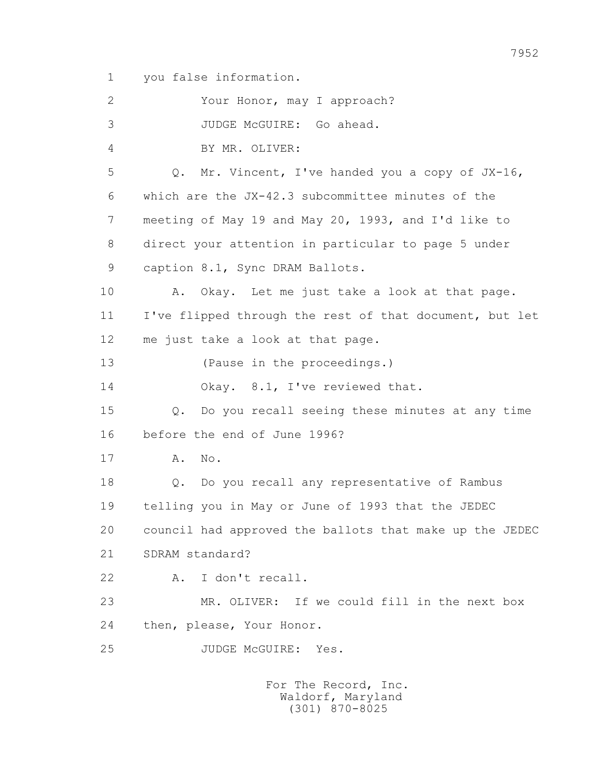1 you false information.

 2 Your Honor, may I approach? 3 JUDGE McGUIRE: Go ahead. 4 BY MR. OLIVER: 5 Q. Mr. Vincent, I've handed you a copy of JX-16, 6 which are the JX-42.3 subcommittee minutes of the 7 meeting of May 19 and May 20, 1993, and I'd like to 8 direct your attention in particular to page 5 under 9 caption 8.1, Sync DRAM Ballots. 10 A. Okay. Let me just take a look at that page. 11 I've flipped through the rest of that document, but let 12 me just take a look at that page. 13 (Pause in the proceedings.) 14 Okay. 8.1, I've reviewed that. 15 Q. Do you recall seeing these minutes at any time 16 before the end of June 1996? 17 A. No. 18 Q. Do you recall any representative of Rambus 19 telling you in May or June of 1993 that the JEDEC 20 council had approved the ballots that make up the JEDEC 21 SDRAM standard? 22 A. I don't recall. 23 MR. OLIVER: If we could fill in the next box 24 then, please, Your Honor. 25 JUDGE McGUIRE: Yes.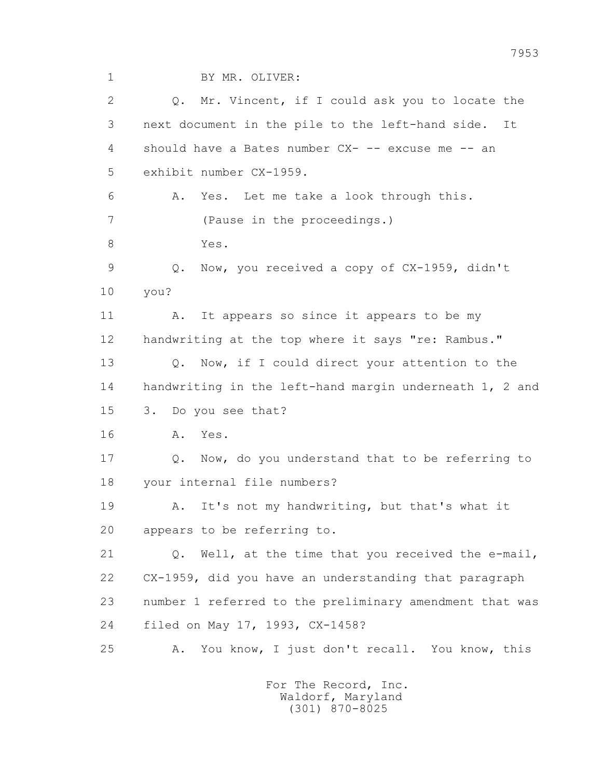1 BY MR. OLIVER:

2 0. Mr. Vincent, if I could ask you to locate the 3 next document in the pile to the left-hand side. It 4 should have a Bates number CX- -- excuse me -- an 5 exhibit number CX-1959. 6 A. Yes. Let me take a look through this. 7 (Pause in the proceedings.) 8 Yes. 9 Q. Now, you received a copy of CX-1959, didn't 10 you? 11 A. It appears so since it appears to be my 12 handwriting at the top where it says "re: Rambus." 13 Q. Now, if I could direct your attention to the 14 handwriting in the left-hand margin underneath 1, 2 and 15 3. Do you see that? 16 A. Yes. 17 Q. Now, do you understand that to be referring to 18 your internal file numbers? 19 A. It's not my handwriting, but that's what it 20 appears to be referring to. 21 Q. Well, at the time that you received the e-mail, 22 CX-1959, did you have an understanding that paragraph 23 number 1 referred to the preliminary amendment that was 24 filed on May 17, 1993, CX-1458? 25 A. You know, I just don't recall. You know, this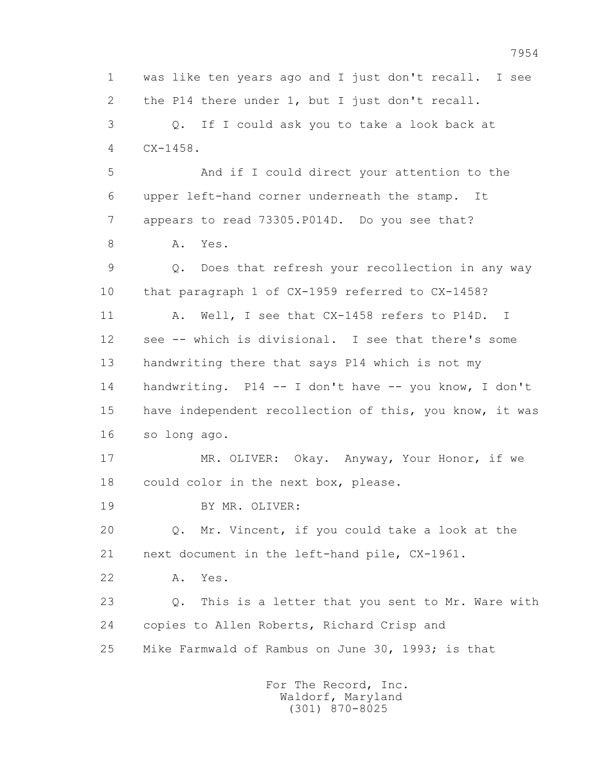1 was like ten years ago and I just don't recall. I see 2 the P14 there under 1, but I just don't recall. 3 Q. If I could ask you to take a look back at 4 CX-1458. 5 And if I could direct your attention to the 6 upper left-hand corner underneath the stamp. It 7 appears to read 73305.P014D. Do you see that? 8 A. Yes. 9 Q. Does that refresh your recollection in any way 10 that paragraph 1 of CX-1959 referred to CX-1458? 11 A. Well, I see that CX-1458 refers to P14D. I 12 see -- which is divisional. I see that there's some 13 handwriting there that says P14 which is not my 14 handwriting. P14 -- I don't have -- you know, I don't 15 have independent recollection of this, you know, it was 16 so long ago. 17 MR. OLIVER: Okay. Anyway, Your Honor, if we 18 could color in the next box, please. 19 BY MR. OLIVER: 20 Q. Mr. Vincent, if you could take a look at the 21 next document in the left-hand pile, CX-1961. 22 A. Yes. 23 Q. This is a letter that you sent to Mr. Ware with 24 copies to Allen Roberts, Richard Crisp and 25 Mike Farmwald of Rambus on June 30, 1993; is that For The Record, Inc.

 Waldorf, Maryland (301) 870-8025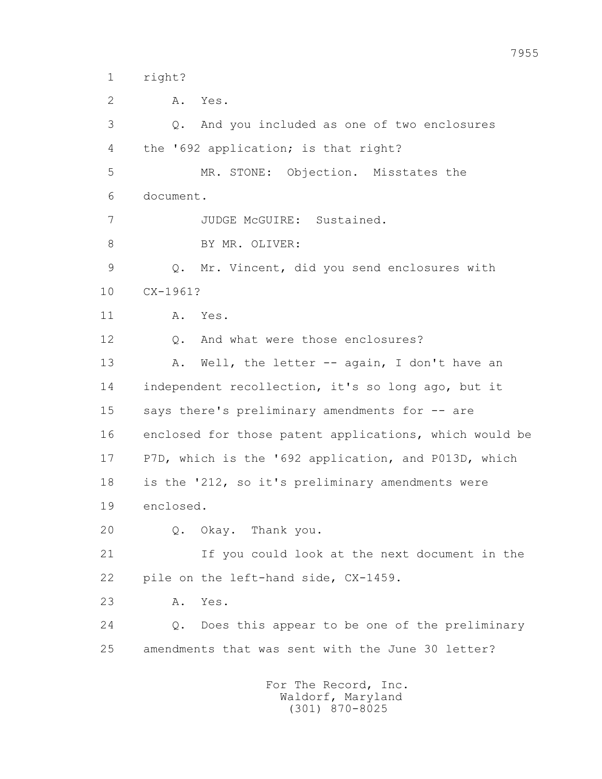1 right?

2 A. Yes.

 3 Q. And you included as one of two enclosures 4 the '692 application; is that right? 5 MR. STONE: Objection. Misstates the 6 document. 7 JUDGE McGUIRE: Sustained. 8 BY MR. OLIVER: 9 Q. Mr. Vincent, did you send enclosures with 10 CX-1961? 11 A. Yes. 12 Q. And what were those enclosures? 13 A. Well, the letter -- again, I don't have an 14 independent recollection, it's so long ago, but it 15 says there's preliminary amendments for -- are 16 enclosed for those patent applications, which would be 17 P7D, which is the '692 application, and P013D, which 18 is the '212, so it's preliminary amendments were 19 enclosed. 20 Q. Okay. Thank you. 21 If you could look at the next document in the 22 pile on the left-hand side, CX-1459. 23 A. Yes. 24 Q. Does this appear to be one of the preliminary 25 amendments that was sent with the June 30 letter?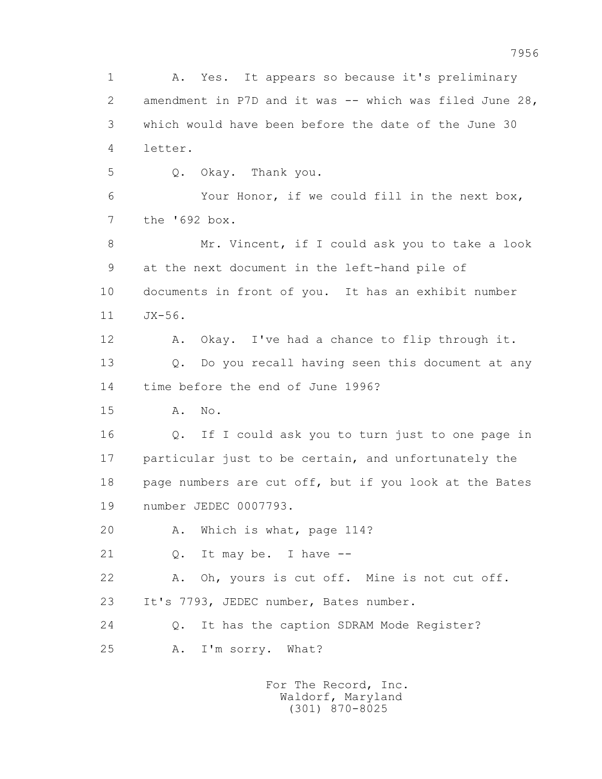1 A. Yes. It appears so because it's preliminary 2 amendment in P7D and it was -- which was filed June 28, 3 which would have been before the date of the June 30 4 letter. 5 Q. Okay. Thank you. 6 Your Honor, if we could fill in the next box, 7 the '692 box. 8 Mr. Vincent, if I could ask you to take a look 9 at the next document in the left-hand pile of 10 documents in front of you. It has an exhibit number 11 JX-56. 12 A. Okay. I've had a chance to flip through it. 13 Q. Do you recall having seen this document at any 14 time before the end of June 1996? 15 A. No. 16 Q. If I could ask you to turn just to one page in 17 particular just to be certain, and unfortunately the 18 page numbers are cut off, but if you look at the Bates 19 number JEDEC 0007793. 20 A. Which is what, page 114? 21 Q. It may be. I have -- 22 A. Oh, yours is cut off. Mine is not cut off. 23 It's 7793, JEDEC number, Bates number. 24 Q. It has the caption SDRAM Mode Register? 25 A. I'm sorry. What?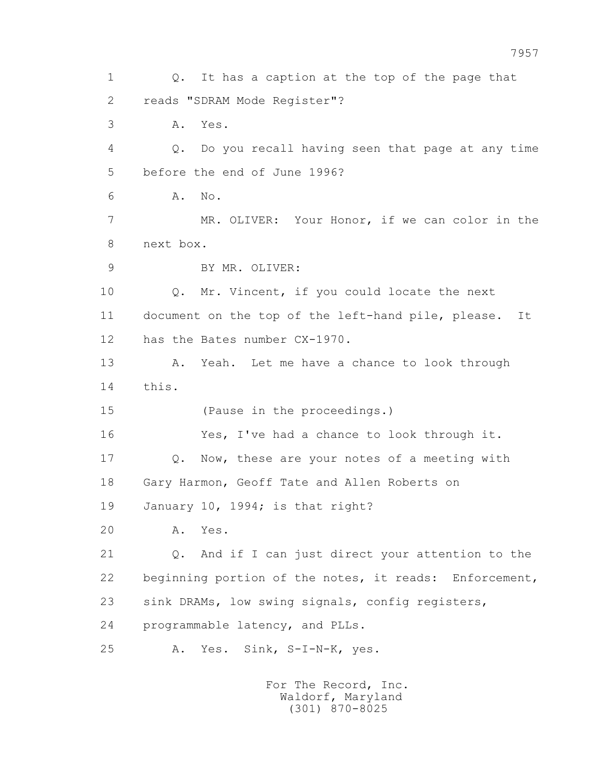1 0. It has a caption at the top of the page that 2 reads "SDRAM Mode Register"? 3 A. Yes. 4 Q. Do you recall having seen that page at any time 5 before the end of June 1996? 6 A. No. 7 MR. OLIVER: Your Honor, if we can color in the 8 next box. 9 BY MR. OLIVER: 10 Q. Mr. Vincent, if you could locate the next 11 document on the top of the left-hand pile, please. It 12 has the Bates number CX-1970. 13 A. Yeah. Let me have a chance to look through 14 this. 15 (Pause in the proceedings.) 16 Yes, I've had a chance to look through it. 17 Q. Now, these are your notes of a meeting with 18 Gary Harmon, Geoff Tate and Allen Roberts on 19 January 10, 1994; is that right? 20 A. Yes. 21 Q. And if I can just direct your attention to the 22 beginning portion of the notes, it reads: Enforcement, 23 sink DRAMs, low swing signals, config registers, 24 programmable latency, and PLLs. 25 A. Yes. Sink, S-I-N-K, yes.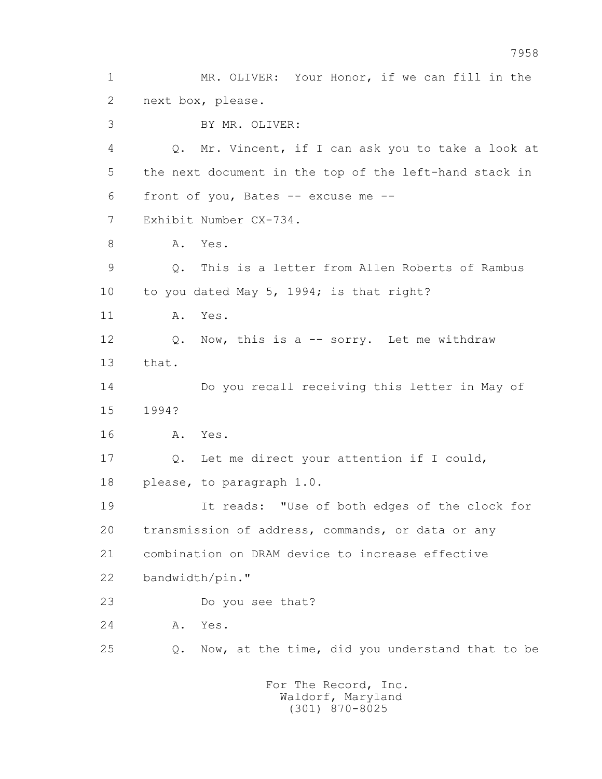1 MR. OLIVER: Your Honor, if we can fill in the 2 next box, please. 3 BY MR. OLIVER: 4 Q. Mr. Vincent, if I can ask you to take a look at 5 the next document in the top of the left-hand stack in 6 front of you, Bates -- excuse me -- 7 Exhibit Number CX-734. 8 A. Yes. 9 Q. This is a letter from Allen Roberts of Rambus 10 to you dated May 5, 1994; is that right? 11 A. Yes. 12 Q. Now, this is a -- sorry. Let me withdraw 13 that. 14 Do you recall receiving this letter in May of 15 1994? 16 A. Yes. 17 Q. Let me direct your attention if I could, 18 please, to paragraph 1.0. 19 It reads: "Use of both edges of the clock for 20 transmission of address, commands, or data or any 21 combination on DRAM device to increase effective 22 bandwidth/pin." 23 Do you see that? 24 A. Yes. 25 Q. Now, at the time, did you understand that to be For The Record, Inc.

 Waldorf, Maryland (301) 870-8025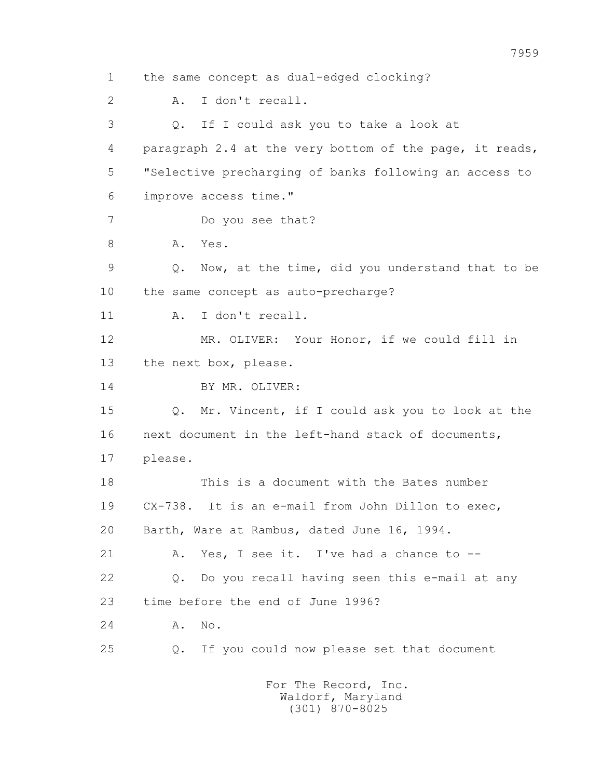1 the same concept as dual-edged clocking? 2 A. I don't recall. 3 Q. If I could ask you to take a look at 4 paragraph 2.4 at the very bottom of the page, it reads, 5 "Selective precharging of banks following an access to 6 improve access time." 7 Do you see that? 8 A. Yes. 9 Q. Now, at the time, did you understand that to be 10 the same concept as auto-precharge? 11 A. I don't recall. 12 MR. OLIVER: Your Honor, if we could fill in 13 the next box, please. 14 BY MR. OLIVER: 15 Q. Mr. Vincent, if I could ask you to look at the 16 next document in the left-hand stack of documents, 17 please. 18 This is a document with the Bates number 19 CX-738. It is an e-mail from John Dillon to exec, 20 Barth, Ware at Rambus, dated June 16, 1994. 21 A. Yes, I see it. I've had a chance to -- 22 Q. Do you recall having seen this e-mail at any 23 time before the end of June 1996? 24 A. No. 25 Q. If you could now please set that document For The Record, Inc.

 Waldorf, Maryland (301) 870-8025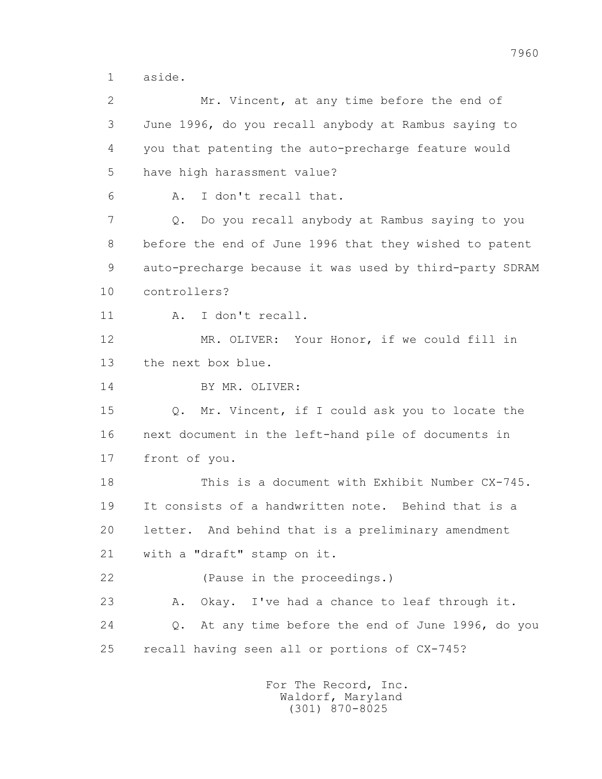1 aside.

 2 Mr. Vincent, at any time before the end of 3 June 1996, do you recall anybody at Rambus saying to 4 you that patenting the auto-precharge feature would 5 have high harassment value? 6 A. I don't recall that. 7 Q. Do you recall anybody at Rambus saying to you 8 before the end of June 1996 that they wished to patent 9 auto-precharge because it was used by third-party SDRAM 10 controllers? 11 A. I don't recall. 12 MR. OLIVER: Your Honor, if we could fill in 13 the next box blue. 14 BY MR. OLIVER: 15 Q. Mr. Vincent, if I could ask you to locate the 16 next document in the left-hand pile of documents in 17 front of you. 18 This is a document with Exhibit Number CX-745. 19 It consists of a handwritten note. Behind that is a 20 letter. And behind that is a preliminary amendment 21 with a "draft" stamp on it. 22 (Pause in the proceedings.) 23 A. Okay. I've had a chance to leaf through it. 24 Q. At any time before the end of June 1996, do you 25 recall having seen all or portions of CX-745?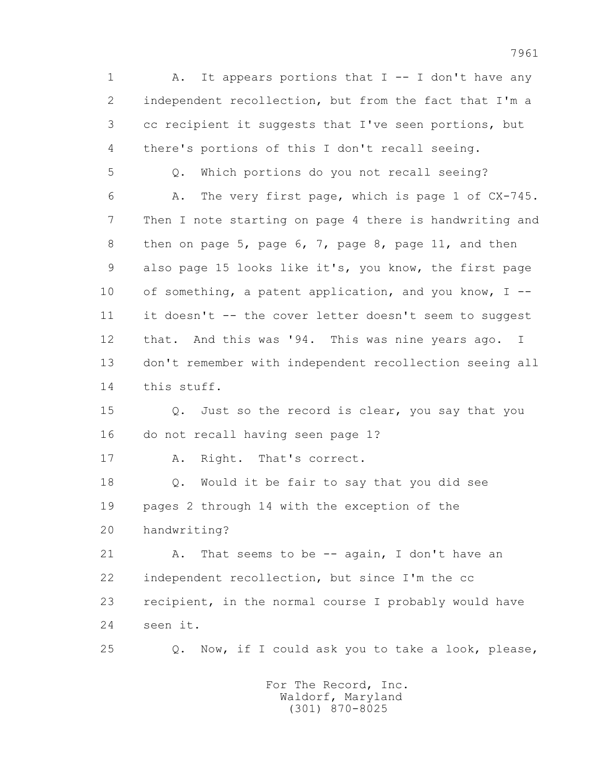1 A. It appears portions that I -- I don't have any 2 independent recollection, but from the fact that I'm a 3 cc recipient it suggests that I've seen portions, but 4 there's portions of this I don't recall seeing.

 5 Q. Which portions do you not recall seeing? 6 A. The very first page, which is page 1 of CX-745. 7 Then I note starting on page 4 there is handwriting and 8 then on page 5, page 6, 7, page 8, page 11, and then 9 also page 15 looks like it's, you know, the first page 10 of something, a patent application, and you know, I -- 11 it doesn't -- the cover letter doesn't seem to suggest 12 that. And this was '94. This was nine years ago. I 13 don't remember with independent recollection seeing all 14 this stuff.

 15 Q. Just so the record is clear, you say that you 16 do not recall having seen page 1?

17 A. Right. That's correct.

 18 Q. Would it be fair to say that you did see 19 pages 2 through 14 with the exception of the 20 handwriting?

21 A. That seems to be -- again, I don't have an 22 independent recollection, but since I'm the cc 23 recipient, in the normal course I probably would have 24 seen it.

25 Q. Now, if I could ask you to take a look, please,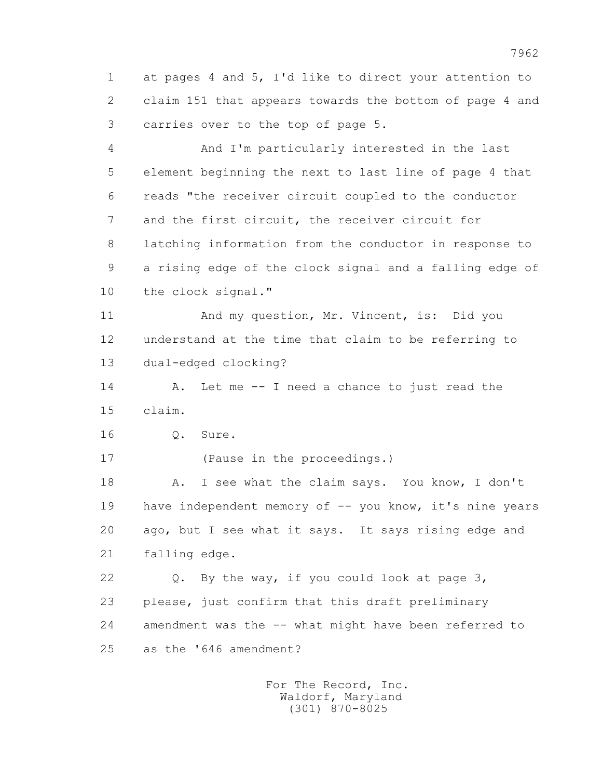1 at pages 4 and 5, I'd like to direct your attention to 2 claim 151 that appears towards the bottom of page 4 and 3 carries over to the top of page 5.

 4 And I'm particularly interested in the last 5 element beginning the next to last line of page 4 that 6 reads "the receiver circuit coupled to the conductor 7 and the first circuit, the receiver circuit for 8 latching information from the conductor in response to 9 a rising edge of the clock signal and a falling edge of 10 the clock signal."

 11 And my question, Mr. Vincent, is: Did you 12 understand at the time that claim to be referring to 13 dual-edged clocking?

14 A. Let me -- I need a chance to just read the 15 claim.

16 Q. Sure.

17 (Pause in the proceedings.)

 18 A. I see what the claim says. You know, I don't 19 have independent memory of -- you know, it's nine years 20 ago, but I see what it says. It says rising edge and 21 falling edge.

 22 Q. By the way, if you could look at page 3, 23 please, just confirm that this draft preliminary 24 amendment was the -- what might have been referred to 25 as the '646 amendment?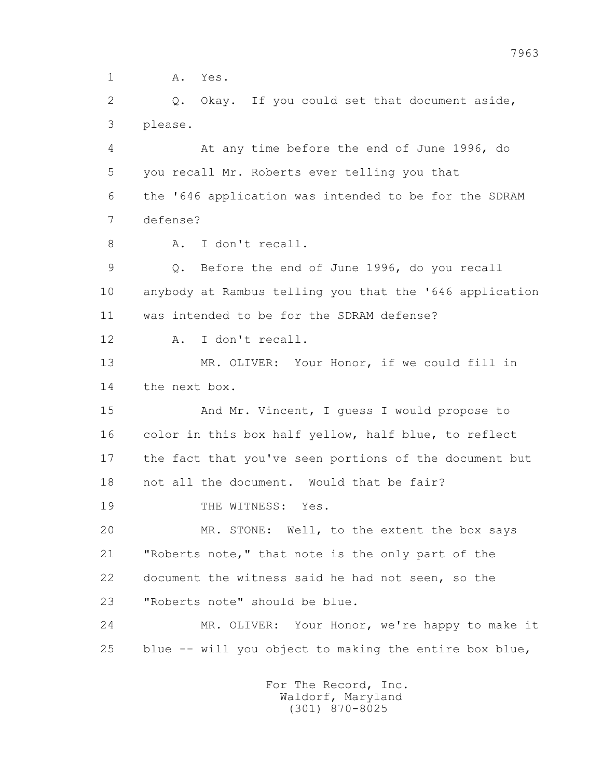1 A. Yes.

2 0. Okay. If you could set that document aside, 3 please.

 4 At any time before the end of June 1996, do 5 you recall Mr. Roberts ever telling you that 6 the '646 application was intended to be for the SDRAM 7 defense?

8 A. I don't recall.

 9 Q. Before the end of June 1996, do you recall 10 anybody at Rambus telling you that the '646 application 11 was intended to be for the SDRAM defense?

12 A. I don't recall.

 13 MR. OLIVER: Your Honor, if we could fill in 14 the next box.

15 And Mr. Vincent, I guess I would propose to 16 color in this box half yellow, half blue, to reflect 17 the fact that you've seen portions of the document but 18 not all the document. Would that be fair? 19 THE WITNESS: Yes.

 20 MR. STONE: Well, to the extent the box says 21 "Roberts note," that note is the only part of the 22 document the witness said he had not seen, so the 23 "Roberts note" should be blue.

 24 MR. OLIVER: Your Honor, we're happy to make it 25 blue -- will you object to making the entire box blue,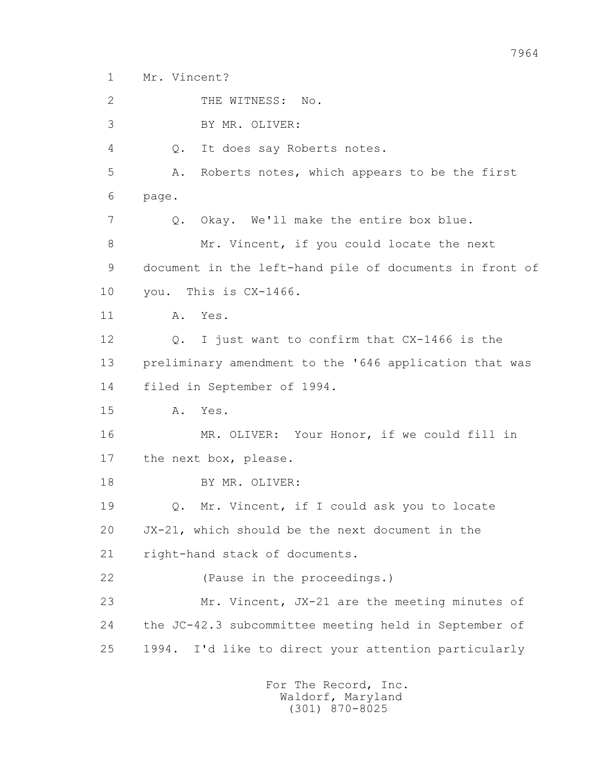1 Mr. Vincent?

2 THE WITNESS: No.

3 BY MR. OLIVER:

4 Q. It does say Roberts notes.

5 A. Roberts notes, which appears to be the first

6 page.

7 Q. Okay. We'll make the entire box blue.

8 Mr. Vincent, if you could locate the next 9 document in the left-hand pile of documents in front of 10 you. This is CX-1466.

11 A. Yes.

 12 Q. I just want to confirm that CX-1466 is the 13 preliminary amendment to the '646 application that was 14 filed in September of 1994.

15 A. Yes.

 16 MR. OLIVER: Your Honor, if we could fill in 17 the next box, please.

18 BY MR. OLIVER:

 19 Q. Mr. Vincent, if I could ask you to locate 20 JX-21, which should be the next document in the 21 right-hand stack of documents.

22 (Pause in the proceedings.)

 23 Mr. Vincent, JX-21 are the meeting minutes of 24 the JC-42.3 subcommittee meeting held in September of 25 1994. I'd like to direct your attention particularly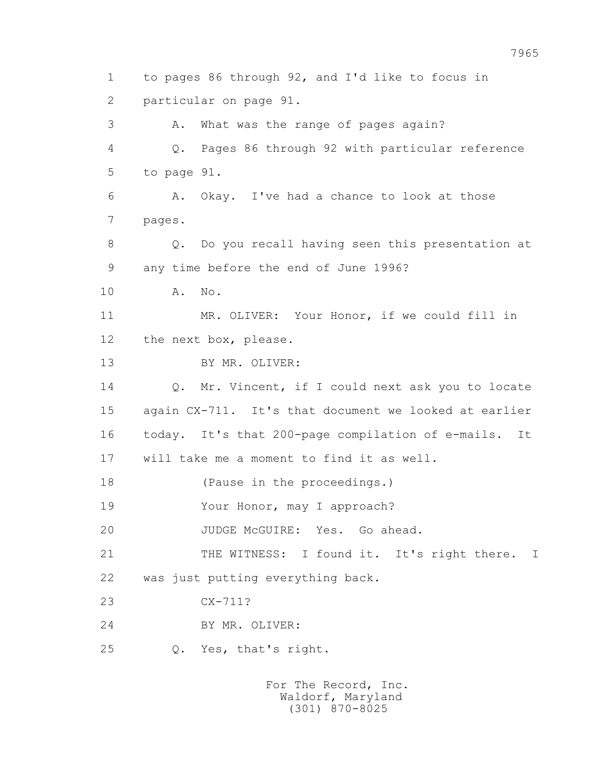1 to pages 86 through 92, and I'd like to focus in 2 particular on page 91. 3 A. What was the range of pages again? 4 Q. Pages 86 through 92 with particular reference 5 to page 91. 6 A. Okay. I've had a chance to look at those 7 pages. 8 Q. Do you recall having seen this presentation at 9 any time before the end of June 1996? 10 A. No. 11 MR. OLIVER: Your Honor, if we could fill in 12 the next box, please. 13 BY MR. OLIVER: 14 0. Mr. Vincent, if I could next ask you to locate 15 again CX-711. It's that document we looked at earlier 16 today. It's that 200-page compilation of e-mails. It 17 will take me a moment to find it as well. 18 (Pause in the proceedings.) 19 Your Honor, may I approach? 20 JUDGE McGUIRE: Yes. Go ahead. 21 THE WITNESS: I found it. It's right there. I 22 was just putting everything back. 23 CX-711? 24 BY MR. OLIVER: 25 Q. Yes, that's right.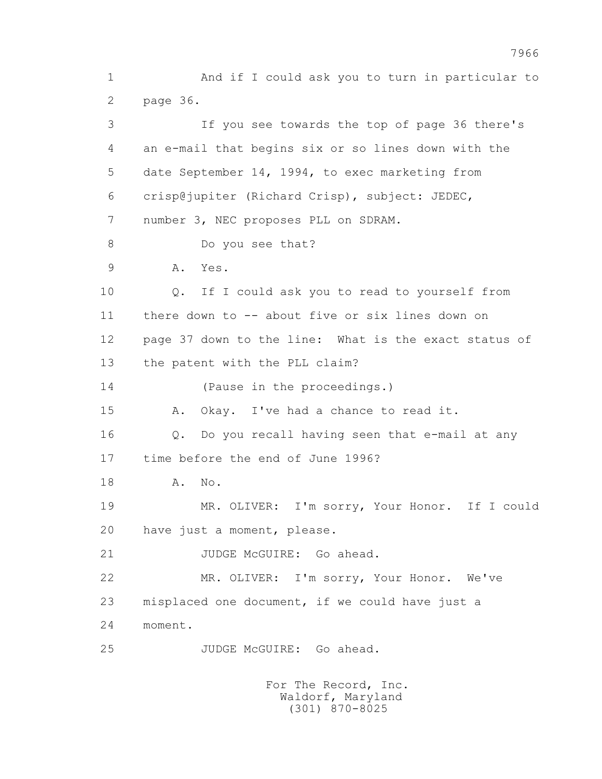1 And if I could ask you to turn in particular to 2 page 36. 3 If you see towards the top of page 36 there's 4 an e-mail that begins six or so lines down with the 5 date September 14, 1994, to exec marketing from 6 crisp@jupiter (Richard Crisp), subject: JEDEC, 7 number 3, NEC proposes PLL on SDRAM. 8 Do you see that? 9 A. Yes. 10 Q. If I could ask you to read to yourself from 11 there down to -- about five or six lines down on 12 page 37 down to the line: What is the exact status of 13 the patent with the PLL claim? 14 (Pause in the proceedings.) 15 A. Okay. I've had a chance to read it. 16 Q. Do you recall having seen that e-mail at any 17 time before the end of June 1996? 18 **A.** No. 19 MR. OLIVER: I'm sorry, Your Honor. If I could 20 have just a moment, please. 21 JUDGE McGUIRE: Go ahead. 22 MR. OLIVER: I'm sorry, Your Honor. We've 23 misplaced one document, if we could have just a 24 moment. 25 JUDGE McGUIRE: Go ahead.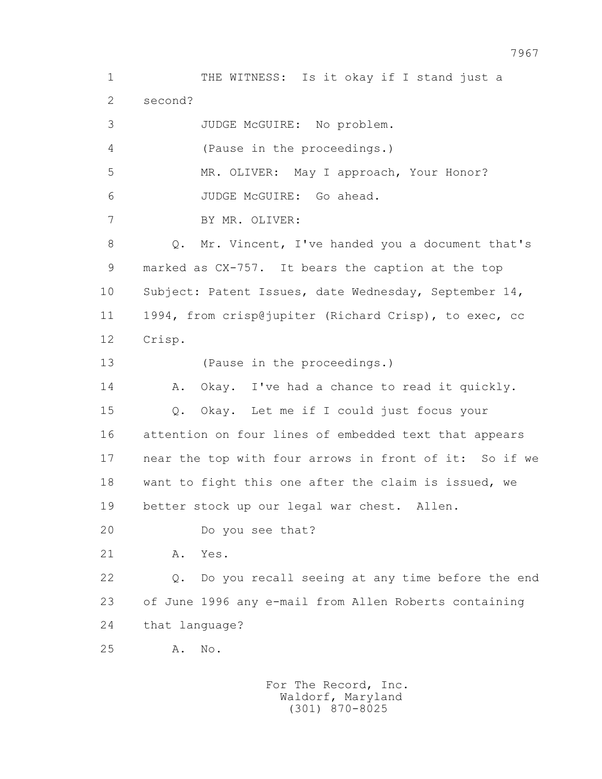1 THE WITNESS: Is it okay if I stand just a 2 second? 3 JUDGE McGUIRE: No problem. 4 (Pause in the proceedings.) 5 MR. OLIVER: May I approach, Your Honor? 6 JUDGE McGUIRE: Go ahead. 7 BY MR. OLIVER: 8 Q. Mr. Vincent, I've handed you a document that's 9 marked as CX-757. It bears the caption at the top 10 Subject: Patent Issues, date Wednesday, September 14, 11 1994, from crisp@jupiter (Richard Crisp), to exec, cc 12 Crisp. 13 (Pause in the proceedings.) 14 A. Okay. I've had a chance to read it quickly. 15 Q. Okay. Let me if I could just focus your 16 attention on four lines of embedded text that appears 17 near the top with four arrows in front of it: So if we 18 want to fight this one after the claim is issued, we 19 better stock up our legal war chest. Allen. 20 Do you see that? 21 A. Yes. 22 Q. Do you recall seeing at any time before the end 23 of June 1996 any e-mail from Allen Roberts containing 24 that language? 25 A. No.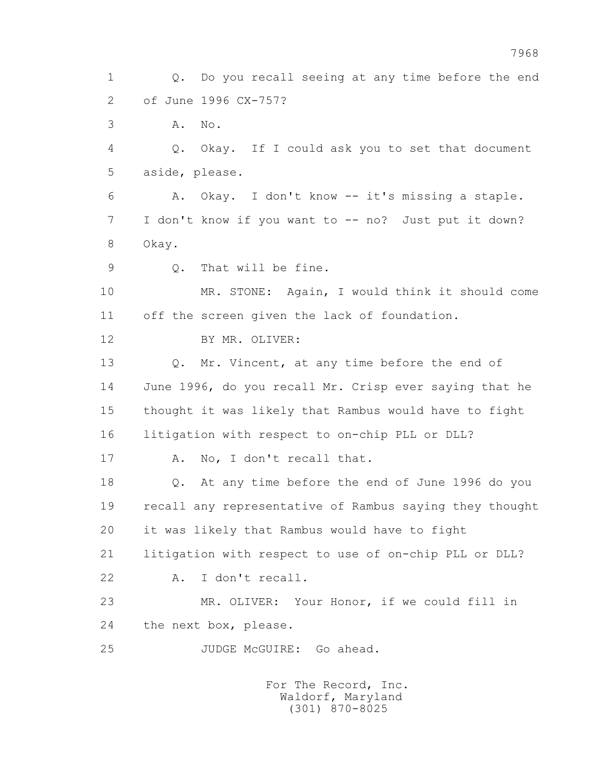1 Q. Do you recall seeing at any time before the end 2 of June 1996 CX-757? 3 A. No. 4 Q. Okay. If I could ask you to set that document 5 aside, please. 6 A. Okay. I don't know -- it's missing a staple. 7 I don't know if you want to -- no? Just put it down? 8 Okay. 9 Q. That will be fine. 10 MR. STONE: Again, I would think it should come 11 off the screen given the lack of foundation. 12 BY MR. OLIVER: 13 Q. Mr. Vincent, at any time before the end of 14 June 1996, do you recall Mr. Crisp ever saying that he 15 thought it was likely that Rambus would have to fight 16 litigation with respect to on-chip PLL or DLL? 17 A. No, I don't recall that. 18 Q. At any time before the end of June 1996 do you 19 recall any representative of Rambus saying they thought 20 it was likely that Rambus would have to fight 21 litigation with respect to use of on-chip PLL or DLL? 22 A. I don't recall. 23 MR. OLIVER: Your Honor, if we could fill in 24 the next box, please. 25 JUDGE McGUIRE: Go ahead.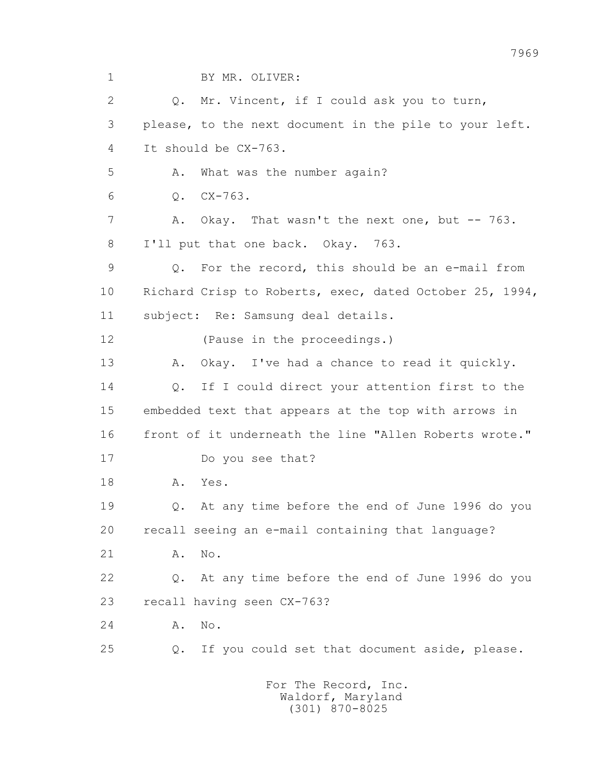1 BY MR. OLIVER:

 2 Q. Mr. Vincent, if I could ask you to turn, 3 please, to the next document in the pile to your left. 4 It should be CX-763. 5 A. What was the number again? 6 Q. CX-763. 7 A. Okay. That wasn't the next one, but -- 763. 8 I'll put that one back. Okay. 763. 9 Q. For the record, this should be an e-mail from 10 Richard Crisp to Roberts, exec, dated October 25, 1994, 11 subject: Re: Samsung deal details. 12 (Pause in the proceedings.) 13 A. Okay. I've had a chance to read it quickly. 14 0. If I could direct your attention first to the 15 embedded text that appears at the top with arrows in 16 front of it underneath the line "Allen Roberts wrote." 17 Do you see that? 18 A. Yes. 19 Q. At any time before the end of June 1996 do you 20 recall seeing an e-mail containing that language? 21 A. No. 22 Q. At any time before the end of June 1996 do you 23 recall having seen CX-763? 24 A. No. 25 Q. If you could set that document aside, please.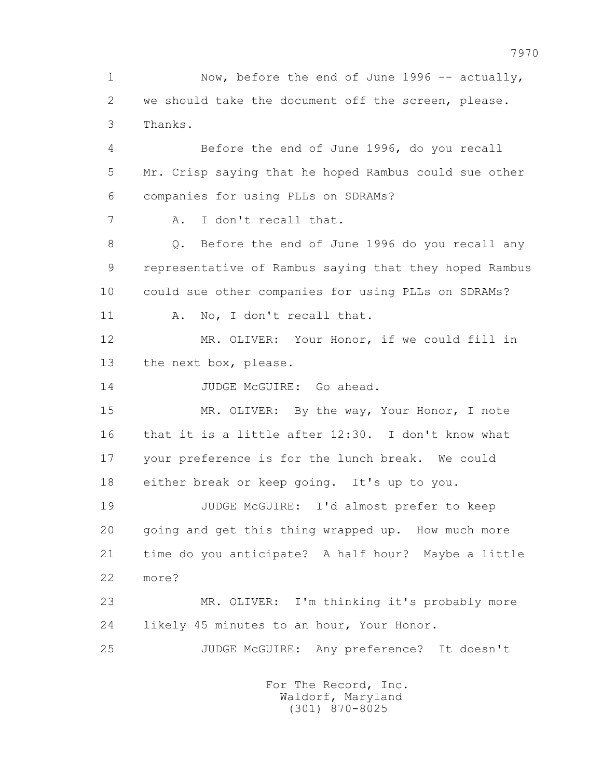1 Now, before the end of June 1996 -- actually, 2 we should take the document off the screen, please. 3 Thanks. 4 Before the end of June 1996, do you recall 5 Mr. Crisp saying that he hoped Rambus could sue other 6 companies for using PLLs on SDRAMs? 7 A. I don't recall that. 8 0. Before the end of June 1996 do you recall any 9 representative of Rambus saying that they hoped Rambus 10 could sue other companies for using PLLs on SDRAMs? 11 A. No, I don't recall that. 12 MR. OLIVER: Your Honor, if we could fill in 13 the next box, please. 14 JUDGE McGUIRE: Go ahead. 15 MR. OLIVER: By the way, Your Honor, I note 16 that it is a little after 12:30. I don't know what 17 your preference is for the lunch break. We could 18 either break or keep going. It's up to you. 19 JUDGE McGUIRE: I'd almost prefer to keep 20 going and get this thing wrapped up. How much more 21 time do you anticipate? A half hour? Maybe a little 22 more? 23 MR. OLIVER: I'm thinking it's probably more 24 likely 45 minutes to an hour, Your Honor. 25 JUDGE McGUIRE: Any preference? It doesn't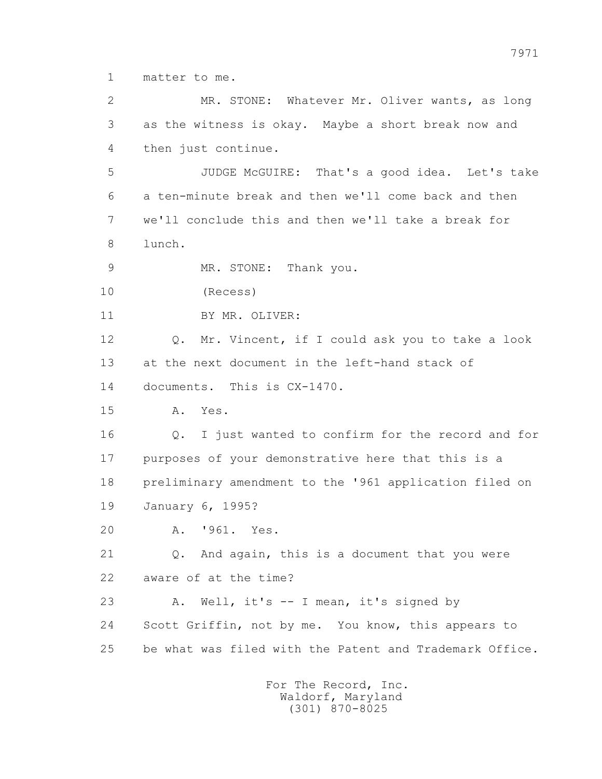1 matter to me.

 2 MR. STONE: Whatever Mr. Oliver wants, as long 3 as the witness is okay. Maybe a short break now and 4 then just continue.

 5 JUDGE McGUIRE: That's a good idea. Let's take 6 a ten-minute break and then we'll come back and then 7 we'll conclude this and then we'll take a break for 8 lunch.

9 MR. STONE: Thank you.

10 (Recess)

11 BY MR. OLIVER:

 12 Q. Mr. Vincent, if I could ask you to take a look 13 at the next document in the left-hand stack of 14 documents. This is CX-1470.

15 A. Yes.

 16 Q. I just wanted to confirm for the record and for 17 purposes of your demonstrative here that this is a 18 preliminary amendment to the '961 application filed on 19 January 6, 1995?

20 A. '961. Yes.

21 Q. And again, this is a document that you were 22 aware of at the time?

 23 A. Well, it's -- I mean, it's signed by 24 Scott Griffin, not by me. You know, this appears to 25 be what was filed with the Patent and Trademark Office.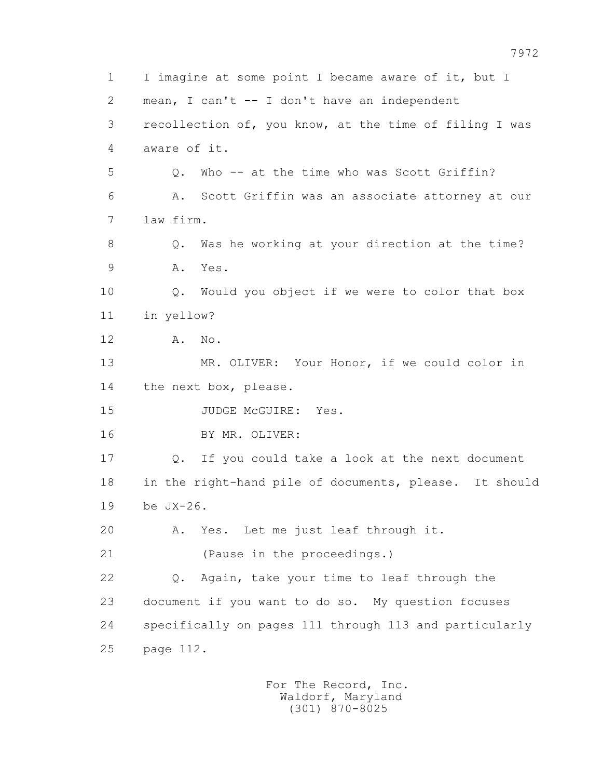1 I imagine at some point I became aware of it, but I 2 mean, I can't -- I don't have an independent 3 recollection of, you know, at the time of filing I was 4 aware of it. 5 Q. Who -- at the time who was Scott Griffin? 6 A. Scott Griffin was an associate attorney at our 7 law firm. 8 Q. Was he working at your direction at the time? 9 A. Yes. 10 Q. Would you object if we were to color that box 11 in yellow? 12 A. No. 13 MR. OLIVER: Your Honor, if we could color in 14 the next box, please. 15 JUDGE McGUIRE: Yes. 16 BY MR. OLIVER: 17 Q. If you could take a look at the next document 18 in the right-hand pile of documents, please. It should 19 be JX-26. 20 A. Yes. Let me just leaf through it. 21 (Pause in the proceedings.) 22 Q. Again, take your time to leaf through the 23 document if you want to do so. My question focuses 24 specifically on pages 111 through 113 and particularly 25 page 112.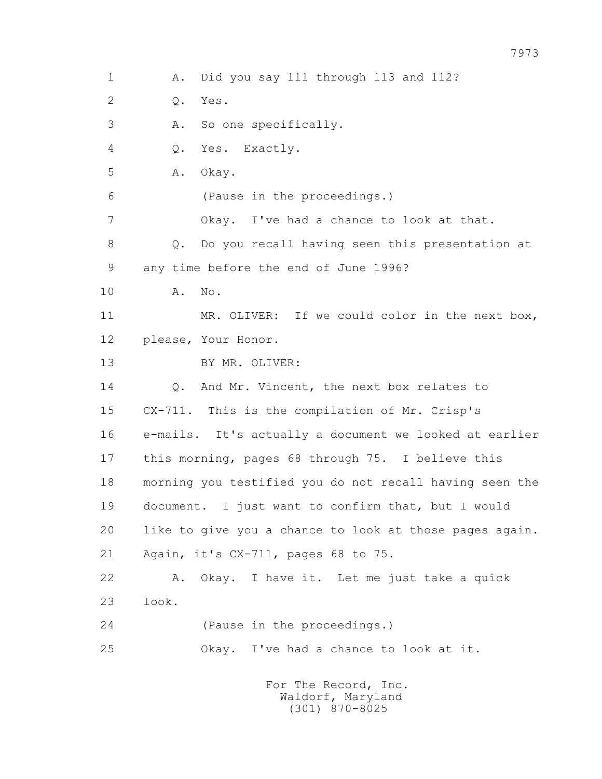1 A. Did you say 111 through 113 and 112? 2 Q. Yes. 3 A. So one specifically. 4 Q. Yes. Exactly. 5 A. Okay. 6 (Pause in the proceedings.) 7 Okay. I've had a chance to look at that. 8 Q. Do you recall having seen this presentation at 9 any time before the end of June 1996? 10 A. No. 11 MR. OLIVER: If we could color in the next box, 12 please, Your Honor. 13 BY MR. OLIVER: 14 0. And Mr. Vincent, the next box relates to 15 CX-711. This is the compilation of Mr. Crisp's 16 e-mails. It's actually a document we looked at earlier 17 this morning, pages 68 through 75. I believe this 18 morning you testified you do not recall having seen the 19 document. I just want to confirm that, but I would 20 like to give you a chance to look at those pages again. 21 Again, it's CX-711, pages 68 to 75. 22 A. Okay. I have it. Let me just take a quick 23 look. 24 (Pause in the proceedings.) 25 Okay. I've had a chance to look at it. For The Record, Inc. Waldorf, Maryland

(301) 870-8025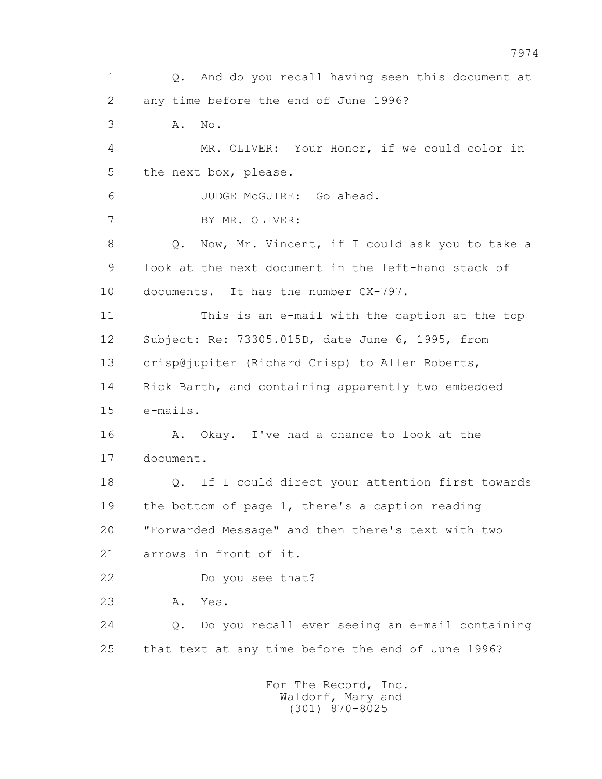1 Q. And do you recall having seen this document at 2 any time before the end of June 1996? 3 A. No. 4 MR. OLIVER: Your Honor, if we could color in 5 the next box, please. 6 JUDGE McGUIRE: Go ahead. 7 BY MR. OLIVER: 8 Q. Now, Mr. Vincent, if I could ask you to take a 9 look at the next document in the left-hand stack of 10 documents. It has the number CX-797. 11 This is an e-mail with the caption at the top 12 Subject: Re: 73305.015D, date June 6, 1995, from 13 crisp@jupiter (Richard Crisp) to Allen Roberts, 14 Rick Barth, and containing apparently two embedded 15 e-mails. 16 A. Okay. I've had a chance to look at the 17 document. 18 Q. If I could direct your attention first towards 19 the bottom of page 1, there's a caption reading 20 "Forwarded Message" and then there's text with two 21 arrows in front of it. 22 Do you see that? 23 A. Yes. 24 Q. Do you recall ever seeing an e-mail containing 25 that text at any time before the end of June 1996? For The Record, Inc. Waldorf, Maryland

(301) 870-8025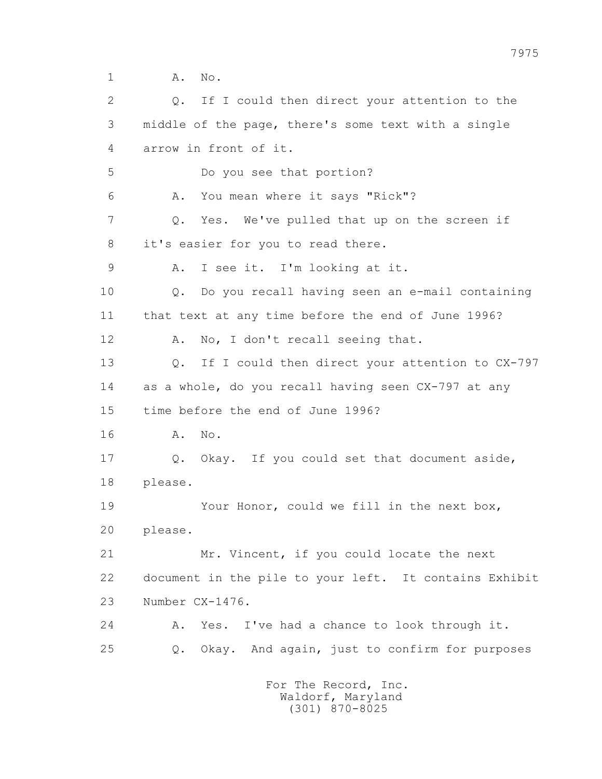1 **A.** No.

 2 Q. If I could then direct your attention to the 3 middle of the page, there's some text with a single 4 arrow in front of it. 5 Do you see that portion? 6 A. You mean where it says "Rick"? 7 Q. Yes. We've pulled that up on the screen if 8 it's easier for you to read there. 9 A. I see it. I'm looking at it. 10 Q. Do you recall having seen an e-mail containing 11 that text at any time before the end of June 1996? 12 A. No, I don't recall seeing that. 13 Q. If I could then direct your attention to CX-797 14 as a whole, do you recall having seen CX-797 at any 15 time before the end of June 1996? 16 A. No. 17 Q. Okay. If you could set that document aside, 18 please. 19 Your Honor, could we fill in the next box, 20 please. 21 Mr. Vincent, if you could locate the next 22 document in the pile to your left. It contains Exhibit 23 Number CX-1476. 24 A. Yes. I've had a chance to look through it. 25 Q. Okay. And again, just to confirm for purposes For The Record, Inc.

 Waldorf, Maryland (301) 870-8025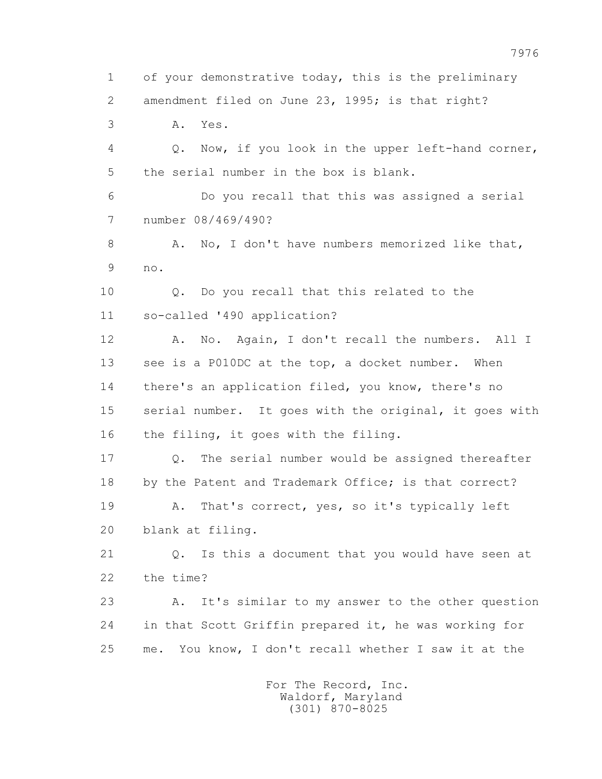1 of your demonstrative today, this is the preliminary 2 amendment filed on June 23, 1995; is that right? 3 A. Yes. 4 Q. Now, if you look in the upper left-hand corner, 5 the serial number in the box is blank. 6 Do you recall that this was assigned a serial 7 number 08/469/490? 8 A. No, I don't have numbers memorized like that, 9 no. 10 Q. Do you recall that this related to the 11 so-called '490 application? 12 A. No. Again, I don't recall the numbers. All I 13 see is a P010DC at the top, a docket number. When 14 there's an application filed, you know, there's no 15 serial number. It goes with the original, it goes with 16 the filing, it goes with the filing. 17 Q. The serial number would be assigned thereafter 18 by the Patent and Trademark Office; is that correct? 19 A. That's correct, yes, so it's typically left 20 blank at filing. 21 Q. Is this a document that you would have seen at 22 the time? 23 A. It's similar to my answer to the other question 24 in that Scott Griffin prepared it, he was working for 25 me. You know, I don't recall whether I saw it at the For The Record, Inc.

> Waldorf, Maryland (301) 870-8025

7976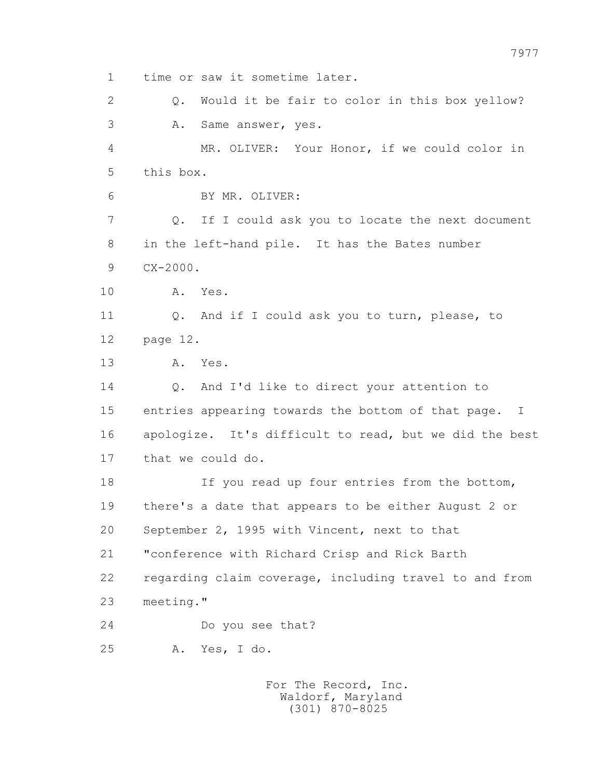1 time or saw it sometime later. 2 Q. Would it be fair to color in this box yellow? 3 A. Same answer, yes. 4 MR. OLIVER: Your Honor, if we could color in 5 this box. 6 BY MR. OLIVER: 7 Q. If I could ask you to locate the next document 8 in the left-hand pile. It has the Bates number 9 CX-2000. 10 A. Yes. 11 Q. And if I could ask you to turn, please, to 12 page 12. 13 A. Yes. 14 Q. And I'd like to direct your attention to 15 entries appearing towards the bottom of that page. I 16 apologize. It's difficult to read, but we did the best 17 that we could do. 18 If you read up four entries from the bottom, 19 there's a date that appears to be either August 2 or 20 September 2, 1995 with Vincent, next to that 21 "conference with Richard Crisp and Rick Barth 22 regarding claim coverage, including travel to and from 23 meeting." 24 Do you see that? 25 A. Yes, I do.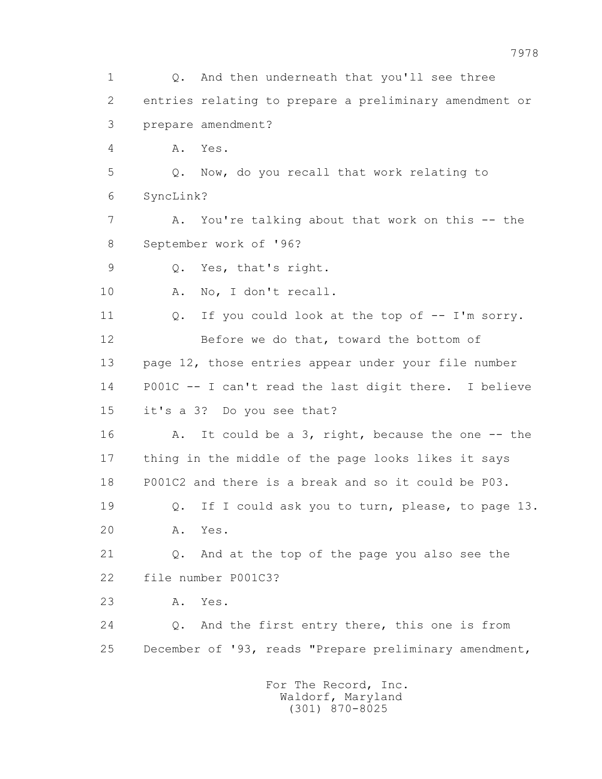1 Q. And then underneath that you'll see three 2 entries relating to prepare a preliminary amendment or 3 prepare amendment? 4 A. Yes. 5 Q. Now, do you recall that work relating to 6 SyncLink? 7 A. You're talking about that work on this -- the 8 September work of '96? 9 Q. Yes, that's right. 10 A. No, I don't recall. 11 Q. If you could look at the top of -- I'm sorry. 12 Before we do that, toward the bottom of 13 page 12, those entries appear under your file number 14 P001C -- I can't read the last digit there. I believe 15 it's a 3? Do you see that? 16 A. It could be a 3, right, because the one -- the 17 thing in the middle of the page looks likes it says 18 P001C2 and there is a break and so it could be P03. 19 Q. If I could ask you to turn, please, to page 13. 20 A. Yes. 21 Q. And at the top of the page you also see the 22 file number P001C3? 23 A. Yes. 24 Q. And the first entry there, this one is from 25 December of '93, reads "Prepare preliminary amendment, For The Record, Inc. Waldorf, Maryland

(301) 870-8025

7978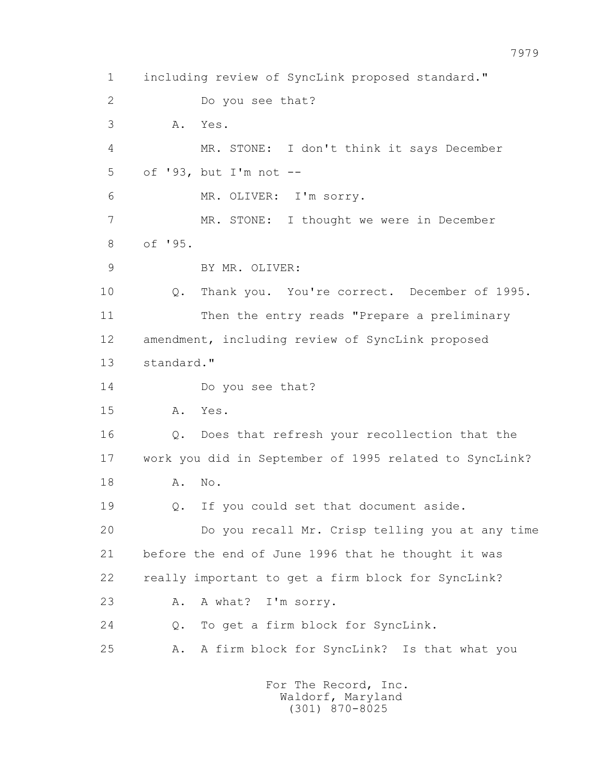1 including review of SyncLink proposed standard." 2 Do you see that? 3 A. Yes. 4 MR. STONE: I don't think it says December 5 of '93, but I'm not -- 6 MR. OLIVER: I'm sorry. 7 MR. STONE: I thought we were in December 8 of '95. 9 BY MR. OLIVER: 10 Q. Thank you. You're correct. December of 1995. 11 Then the entry reads "Prepare a preliminary 12 amendment, including review of SyncLink proposed 13 standard." 14 Do you see that? 15 A. Yes. 16 Q. Does that refresh your recollection that the 17 work you did in September of 1995 related to SyncLink? 18 A. No. 19 Q. If you could set that document aside. 20 Do you recall Mr. Crisp telling you at any time 21 before the end of June 1996 that he thought it was 22 really important to get a firm block for SyncLink? 23 A. A what? I'm sorry. 24 Q. To get a firm block for SyncLink. 25 A. A firm block for SyncLink? Is that what you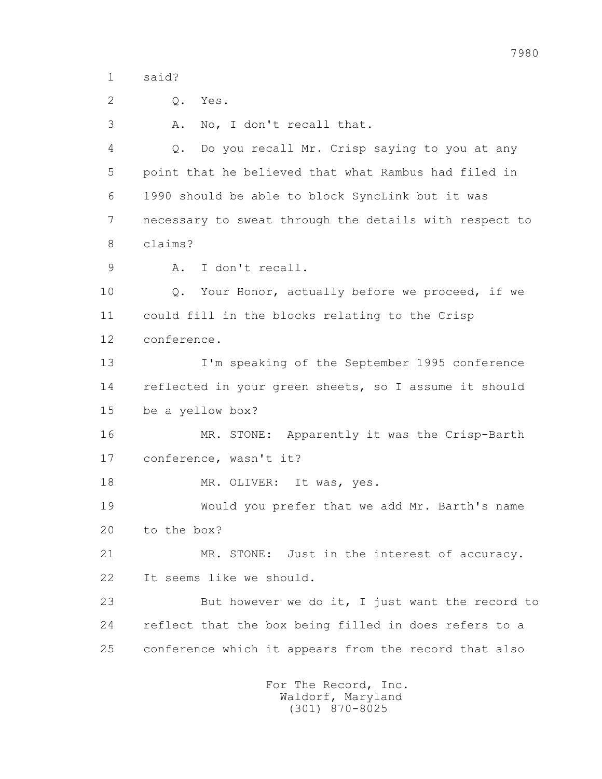1 said?

2 Q. Yes.

3 A. No, I don't recall that.

 4 Q. Do you recall Mr. Crisp saying to you at any 5 point that he believed that what Rambus had filed in 6 1990 should be able to block SyncLink but it was 7 necessary to sweat through the details with respect to 8 claims?

9 A. I don't recall.

 10 Q. Your Honor, actually before we proceed, if we 11 could fill in the blocks relating to the Crisp 12 conference.

 13 I'm speaking of the September 1995 conference 14 reflected in your green sheets, so I assume it should 15 be a yellow box?

 16 MR. STONE: Apparently it was the Crisp-Barth 17 conference, wasn't it?

18 MR. OLIVER: It was, yes.

 19 Would you prefer that we add Mr. Barth's name 20 to the box?

 21 MR. STONE: Just in the interest of accuracy. 22 It seems like we should.

 23 But however we do it, I just want the record to 24 reflect that the box being filled in does refers to a 25 conference which it appears from the record that also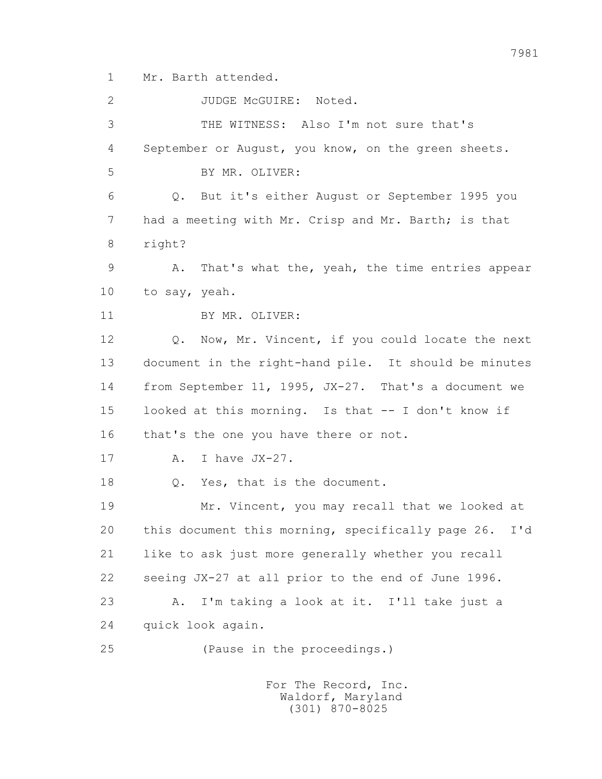1 Mr. Barth attended.

2 JUDGE McGUIRE: Noted. 3 THE WITNESS: Also I'm not sure that's 4 September or August, you know, on the green sheets. 5 BY MR. OLIVER: 6 Q. But it's either August or September 1995 you 7 had a meeting with Mr. Crisp and Mr. Barth; is that 8 right? 9 A. That's what the, yeah, the time entries appear 10 to say, yeah. 11 BY MR. OLIVER: 12 Q. Now, Mr. Vincent, if you could locate the next 13 document in the right-hand pile. It should be minutes 14 from September 11, 1995, JX-27. That's a document we 15 looked at this morning. Is that -- I don't know if 16 that's the one you have there or not. 17 A. I have JX-27. 18 Q. Yes, that is the document. 19 Mr. Vincent, you may recall that we looked at 20 this document this morning, specifically page 26. I'd 21 like to ask just more generally whether you recall 22 seeing JX-27 at all prior to the end of June 1996. 23 A. I'm taking a look at it. I'll take just a 24 quick look again. 25 (Pause in the proceedings.) For The Record, Inc.

 Waldorf, Maryland (301) 870-8025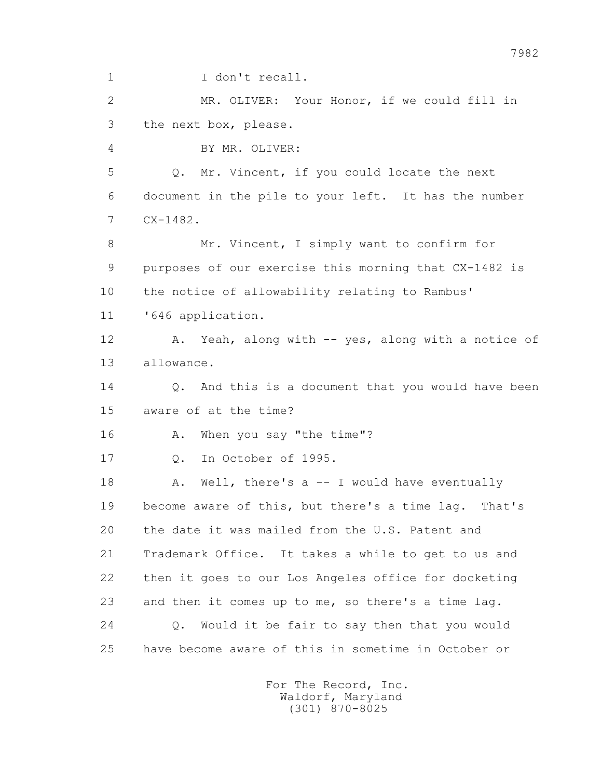1 I don't recall.

 2 MR. OLIVER: Your Honor, if we could fill in 3 the next box, please.

4 BY MR. OLIVER:

 5 Q. Mr. Vincent, if you could locate the next 6 document in the pile to your left. It has the number 7 CX-1482.

8 Mr. Vincent, I simply want to confirm for 9 purposes of our exercise this morning that CX-1482 is 10 the notice of allowability relating to Rambus'

11 '646 application.

 12 A. Yeah, along with -- yes, along with a notice of 13 allowance.

14 0. And this is a document that you would have been 15 aware of at the time?

16 A. When you say "the time"?

17 Q. In October of 1995.

18 A. Well, there's a -- I would have eventually 19 become aware of this, but there's a time lag. That's 20 the date it was mailed from the U.S. Patent and 21 Trademark Office. It takes a while to get to us and 22 then it goes to our Los Angeles office for docketing 23 and then it comes up to me, so there's a time lag. 24 Q. Would it be fair to say then that you would 25 have become aware of this in sometime in October or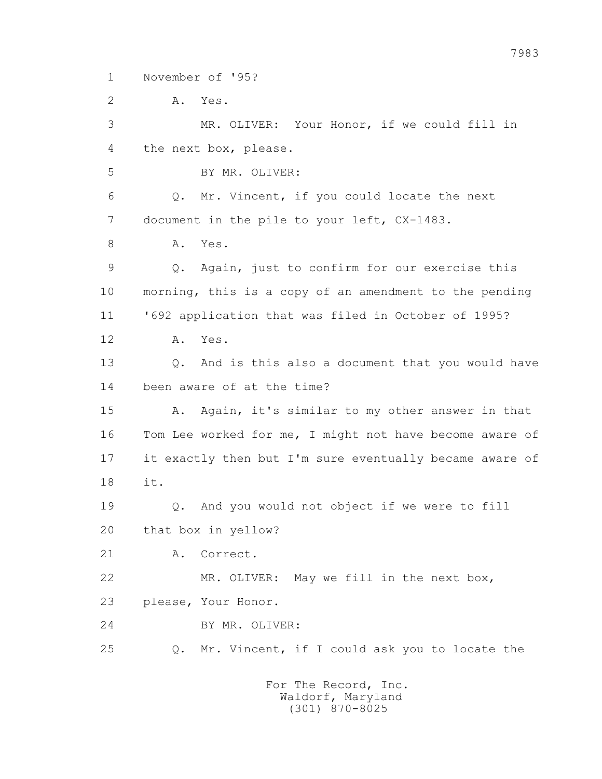1 November of '95?

2 A. Yes.

 3 MR. OLIVER: Your Honor, if we could fill in 4 the next box, please. 5 BY MR. OLIVER: 6 Q. Mr. Vincent, if you could locate the next 7 document in the pile to your left, CX-1483. 8 A. Yes. 9 Q. Again, just to confirm for our exercise this 10 morning, this is a copy of an amendment to the pending 11 '692 application that was filed in October of 1995? 12 A. Yes. 13 Q. And is this also a document that you would have 14 been aware of at the time? 15 A. Again, it's similar to my other answer in that 16 Tom Lee worked for me, I might not have become aware of 17 it exactly then but I'm sure eventually became aware of 18 it. 19 Q. And you would not object if we were to fill 20 that box in yellow? 21 A. Correct. 22 MR. OLIVER: May we fill in the next box, 23 please, Your Honor. 24 BY MR. OLIVER: 25 Q. Mr. Vincent, if I could ask you to locate the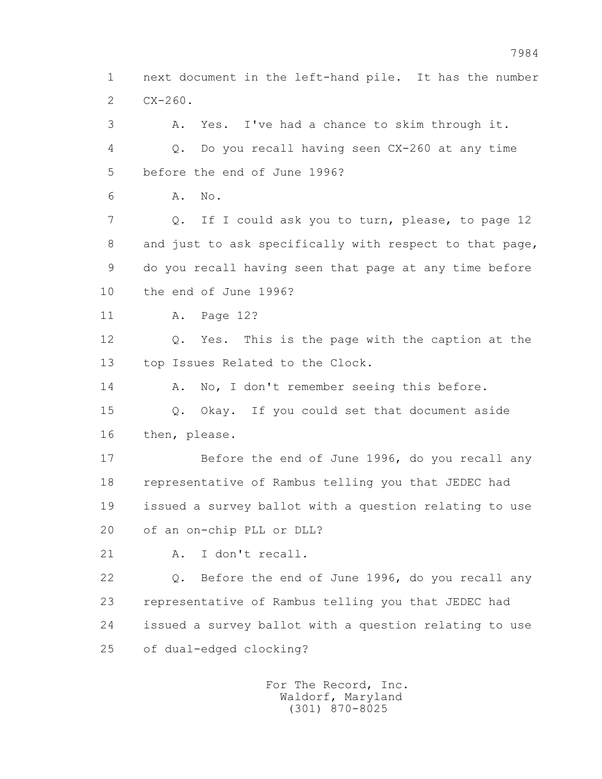1 next document in the left-hand pile. It has the number  $2$   $CX-260$ .

 3 A. Yes. I've had a chance to skim through it. 4 Q. Do you recall having seen CX-260 at any time 5 before the end of June 1996? 6 A. No. 7 Q. If I could ask you to turn, please, to page 12 8 and just to ask specifically with respect to that page, 9 do you recall having seen that page at any time before 10 the end of June 1996? 11 A. Page 12? 12 Q. Yes. This is the page with the caption at the 13 top Issues Related to the Clock. 14 A. No, I don't remember seeing this before. 15 Q. Okay. If you could set that document aside 16 then, please. 17 Before the end of June 1996, do you recall any 18 representative of Rambus telling you that JEDEC had 19 issued a survey ballot with a question relating to use 20 of an on-chip PLL or DLL? 21 A. I don't recall. 22 Q. Before the end of June 1996, do you recall any 23 representative of Rambus telling you that JEDEC had 24 issued a survey ballot with a question relating to use

25 of dual-edged clocking?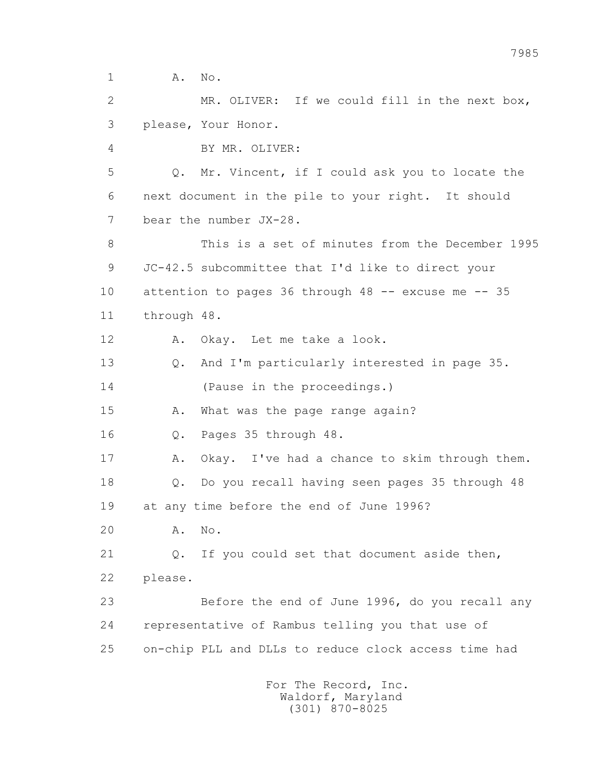1 **A.** No.

 2 MR. OLIVER: If we could fill in the next box, 3 please, Your Honor.

4 BY MR. OLIVER:

 5 Q. Mr. Vincent, if I could ask you to locate the 6 next document in the pile to your right. It should 7 bear the number JX-28.

 8 This is a set of minutes from the December 1995 9 JC-42.5 subcommittee that I'd like to direct your 10 attention to pages 36 through 48 -- excuse me -- 35 11 through 48.

12 A. Okay. Let me take a look.

 13 Q. And I'm particularly interested in page 35. 14 (Pause in the proceedings.)

15 A. What was the page range again?

16 Q. Pages 35 through 48.

17 A. Okay. I've had a chance to skim through them.

18 Q. Do you recall having seen pages 35 through 48

19 at any time before the end of June 1996?

20 A. No.

 21 Q. If you could set that document aside then, 22 please.

 23 Before the end of June 1996, do you recall any 24 representative of Rambus telling you that use of 25 on-chip PLL and DLLs to reduce clock access time had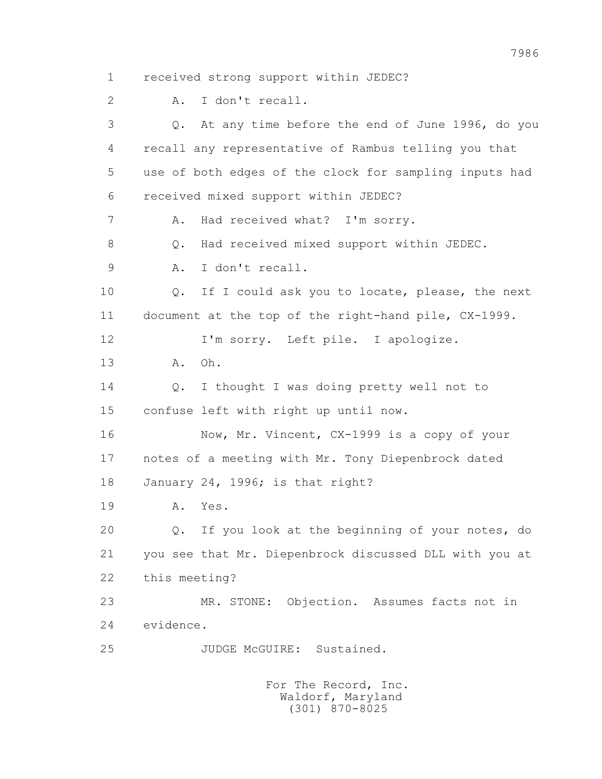1 received strong support within JEDEC? 2 A. I don't recall. 3 Q. At any time before the end of June 1996, do you 4 recall any representative of Rambus telling you that 5 use of both edges of the clock for sampling inputs had 6 received mixed support within JEDEC? 7 A. Had received what? I'm sorry. 8 0. Had received mixed support within JEDEC. 9 A. I don't recall. 10 Q. If I could ask you to locate, please, the next 11 document at the top of the right-hand pile, CX-1999. 12 I'm sorry. Left pile. I apologize. 13 A. Oh. 14 Q. I thought I was doing pretty well not to 15 confuse left with right up until now. 16 Now, Mr. Vincent, CX-1999 is a copy of your 17 notes of a meeting with Mr. Tony Diepenbrock dated 18 January 24, 1996; is that right? 19 A. Yes. 20 Q. If you look at the beginning of your notes, do 21 you see that Mr. Diepenbrock discussed DLL with you at 22 this meeting? 23 MR. STONE: Objection. Assumes facts not in 24 evidence. 25 JUDGE McGUIRE: Sustained.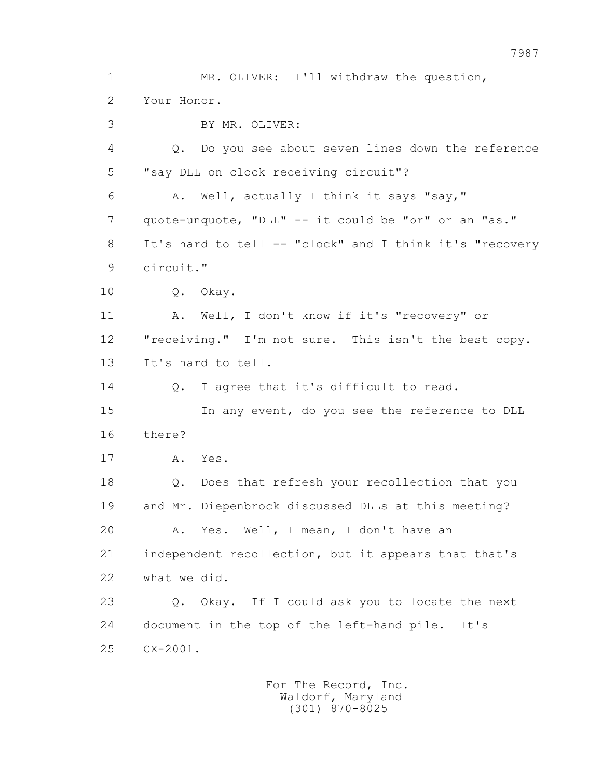1 MR. OLIVER: I'll withdraw the question, 2 Your Honor. 3 BY MR. OLIVER: 4 Q. Do you see about seven lines down the reference 5 "say DLL on clock receiving circuit"? 6 A. Well, actually I think it says "say," 7 quote-unquote, "DLL" -- it could be "or" or an "as." 8 It's hard to tell -- "clock" and I think it's "recovery 9 circuit." 10 Q. Okay. 11 A. Well, I don't know if it's "recovery" or 12 "receiving." I'm not sure. This isn't the best copy. 13 It's hard to tell. 14 0. I agree that it's difficult to read. 15 In any event, do you see the reference to DLL 16 there? 17 A. Yes. 18 Q. Does that refresh your recollection that you 19 and Mr. Diepenbrock discussed DLLs at this meeting? 20 A. Yes. Well, I mean, I don't have an 21 independent recollection, but it appears that that's 22 what we did. 23 Q. Okay. If I could ask you to locate the next 24 document in the top of the left-hand pile. It's 25 CX-2001.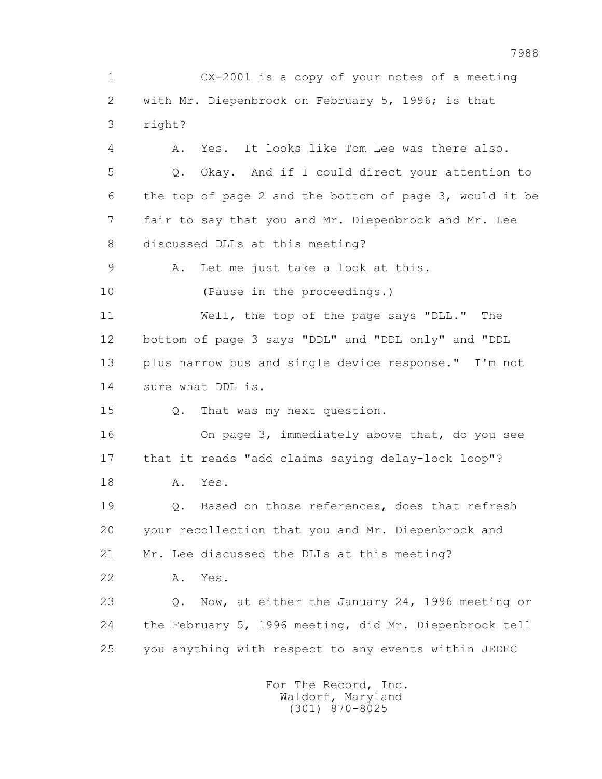1 CX-2001 is a copy of your notes of a meeting 2 with Mr. Diepenbrock on February 5, 1996; is that 3 right? 4 A. Yes. It looks like Tom Lee was there also. 5 Q. Okay. And if I could direct your attention to 6 the top of page 2 and the bottom of page 3, would it be 7 fair to say that you and Mr. Diepenbrock and Mr. Lee 8 discussed DLLs at this meeting? 9 A. Let me just take a look at this. 10 (Pause in the proceedings.) 11 Well, the top of the page says "DLL." The 12 bottom of page 3 says "DDL" and "DDL only" and "DDL 13 plus narrow bus and single device response." I'm not 14 sure what DDL is. 15 Q. That was my next question. 16 On page 3, immediately above that, do you see 17 that it reads "add claims saying delay-lock loop"? 18 A. Yes. 19 Q. Based on those references, does that refresh 20 your recollection that you and Mr. Diepenbrock and 21 Mr. Lee discussed the DLLs at this meeting? 22 A. Yes. 23 Q. Now, at either the January 24, 1996 meeting or 24 the February 5, 1996 meeting, did Mr. Diepenbrock tell 25 you anything with respect to any events within JEDEC For The Record, Inc.

 Waldorf, Maryland (301) 870-8025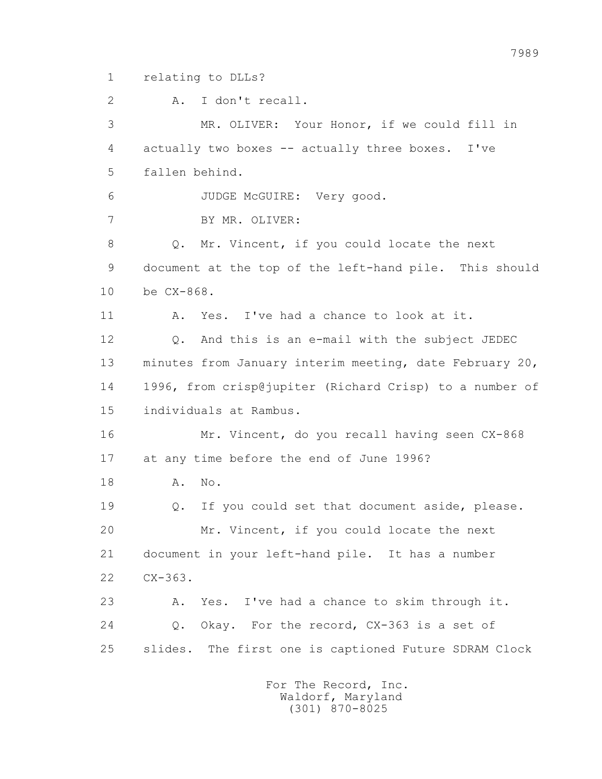1 relating to DLLs?

 2 A. I don't recall. 3 MR. OLIVER: Your Honor, if we could fill in 4 actually two boxes -- actually three boxes. I've 5 fallen behind. 6 JUDGE McGUIRE: Very good. 7 BY MR. OLIVER: 8 Q. Mr. Vincent, if you could locate the next 9 document at the top of the left-hand pile. This should 10 be CX-868. 11 A. Yes. I've had a chance to look at it. 12 Q. And this is an e-mail with the subject JEDEC 13 minutes from January interim meeting, date February 20, 14 1996, from crisp@jupiter (Richard Crisp) to a number of 15 individuals at Rambus. 16 Mr. Vincent, do you recall having seen CX-868 17 at any time before the end of June 1996? 18 **A.** No. 19 Q. If you could set that document aside, please. 20 Mr. Vincent, if you could locate the next 21 document in your left-hand pile. It has a number 22 CX-363. 23 A. Yes. I've had a chance to skim through it. 24 Q. Okay. For the record, CX-363 is a set of 25 slides. The first one is captioned Future SDRAM Clock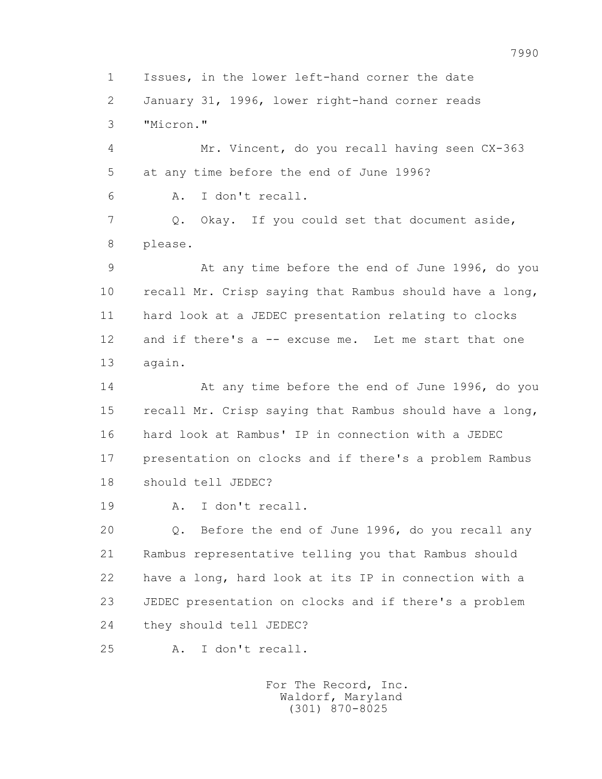1 Issues, in the lower left-hand corner the date 2 January 31, 1996, lower right-hand corner reads 3 "Micron."

 4 Mr. Vincent, do you recall having seen CX-363 5 at any time before the end of June 1996? 6 A. I don't recall.

 7 Q. Okay. If you could set that document aside, 8 please.

 9 At any time before the end of June 1996, do you 10 recall Mr. Crisp saying that Rambus should have a long, 11 hard look at a JEDEC presentation relating to clocks 12 and if there's a -- excuse me. Let me start that one 13 again.

 14 At any time before the end of June 1996, do you 15 recall Mr. Crisp saying that Rambus should have a long, 16 hard look at Rambus' IP in connection with a JEDEC 17 presentation on clocks and if there's a problem Rambus 18 should tell JEDEC?

19 A. I don't recall.

 20 Q. Before the end of June 1996, do you recall any 21 Rambus representative telling you that Rambus should 22 have a long, hard look at its IP in connection with a 23 JEDEC presentation on clocks and if there's a problem 24 they should tell JEDEC?

25 A. I don't recall.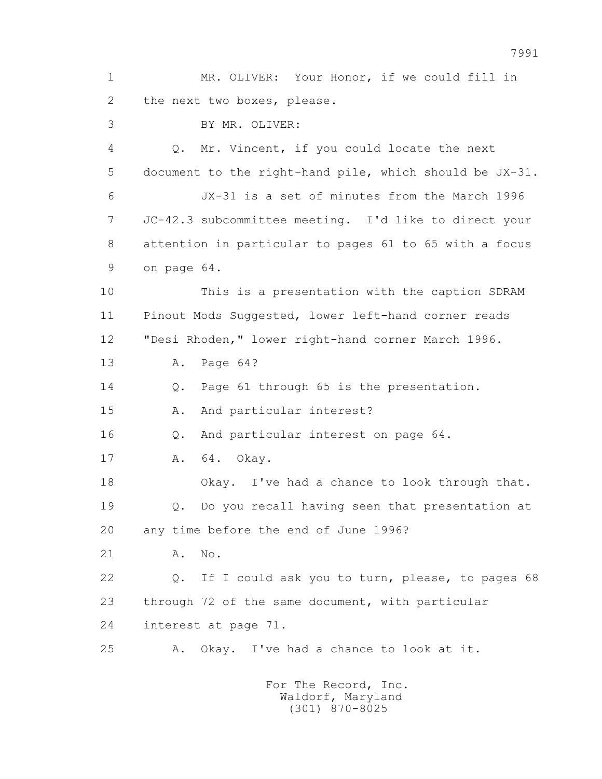1 MR. OLIVER: Your Honor, if we could fill in 2 the next two boxes, please. 3 BY MR. OLIVER: 4 Q. Mr. Vincent, if you could locate the next 5 document to the right-hand pile, which should be JX-31. 6 JX-31 is a set of minutes from the March 1996 7 JC-42.3 subcommittee meeting. I'd like to direct your 8 attention in particular to pages 61 to 65 with a focus 9 on page 64. 10 This is a presentation with the caption SDRAM 11 Pinout Mods Suggested, lower left-hand corner reads 12 "Desi Rhoden," lower right-hand corner March 1996. 13 A. Page 64? 14 Q. Page 61 through 65 is the presentation. 15 A. And particular interest? 16 Q. And particular interest on page 64. 17 A. 64. Okay. 18 Okay. I've had a chance to look through that. 19 Q. Do you recall having seen that presentation at 20 any time before the end of June 1996? 21 A. No. 22 Q. If I could ask you to turn, please, to pages 68 23 through 72 of the same document, with particular 24 interest at page 71. 25 A. Okay. I've had a chance to look at it. For The Record, Inc.

 Waldorf, Maryland (301) 870-8025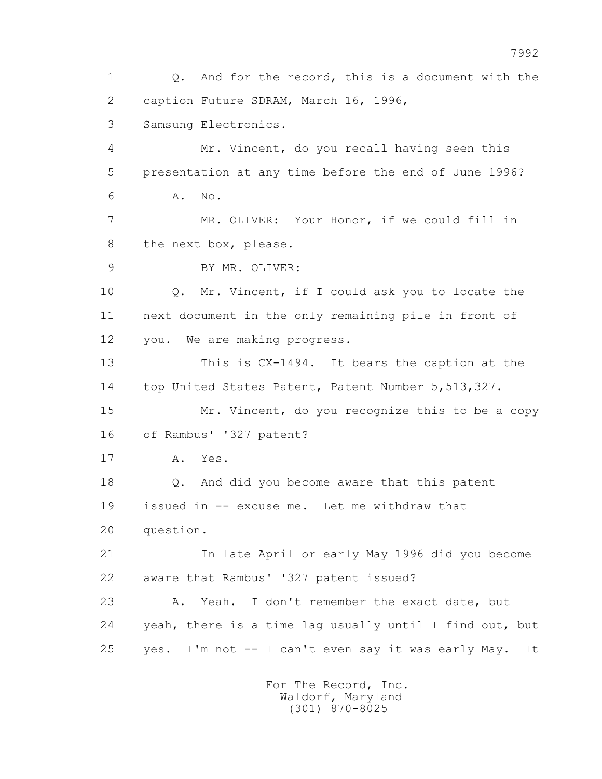1 Q. And for the record, this is a document with the 2 caption Future SDRAM, March 16, 1996, 3 Samsung Electronics. 4 Mr. Vincent, do you recall having seen this 5 presentation at any time before the end of June 1996? 6 A. No. 7 MR. OLIVER: Your Honor, if we could fill in 8 the next box, please. 9 BY MR. OLIVER: 10 Q. Mr. Vincent, if I could ask you to locate the 11 next document in the only remaining pile in front of 12 you. We are making progress. 13 This is CX-1494. It bears the caption at the 14 top United States Patent, Patent Number 5,513,327. 15 Mr. Vincent, do you recognize this to be a copy 16 of Rambus' '327 patent? 17 A. Yes. 18 Q. And did you become aware that this patent 19 issued in -- excuse me. Let me withdraw that 20 question. 21 In late April or early May 1996 did you become 22 aware that Rambus' '327 patent issued? 23 A. Yeah. I don't remember the exact date, but 24 yeah, there is a time lag usually until I find out, but 25 yes. I'm not -- I can't even say it was early May. It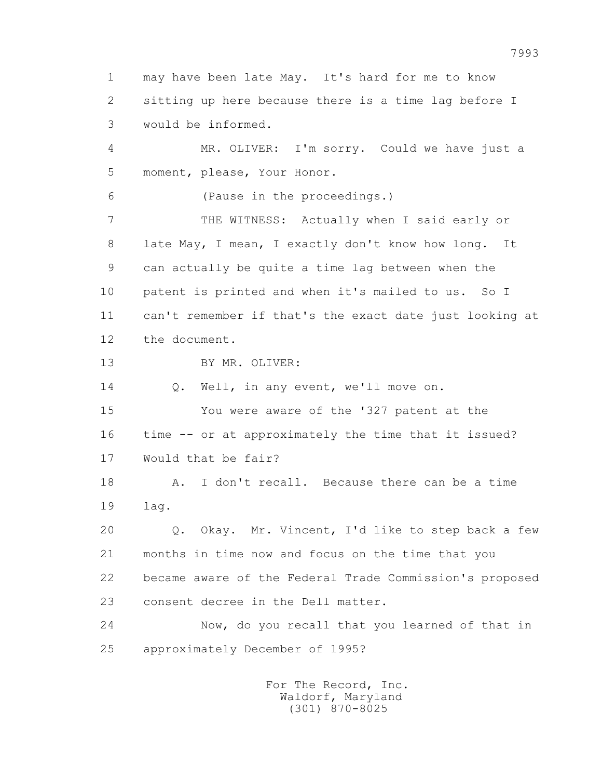1 may have been late May. It's hard for me to know 2 sitting up here because there is a time lag before I 3 would be informed. 4 MR. OLIVER: I'm sorry. Could we have just a 5 moment, please, Your Honor. 6 (Pause in the proceedings.) 7 THE WITNESS: Actually when I said early or 8 late May, I mean, I exactly don't know how long. It 9 can actually be quite a time lag between when the 10 patent is printed and when it's mailed to us. So I 11 can't remember if that's the exact date just looking at 12 the document. 13 BY MR. OLIVER: 14 O. Well, in any event, we'll move on. 15 You were aware of the '327 patent at the 16 time -- or at approximately the time that it issued? 17 Would that be fair? 18 A. I don't recall. Because there can be a time 19 lag. 20 Q. Okay. Mr. Vincent, I'd like to step back a few 21 months in time now and focus on the time that you 22 became aware of the Federal Trade Commission's proposed 23 consent decree in the Dell matter. 24 Now, do you recall that you learned of that in 25 approximately December of 1995?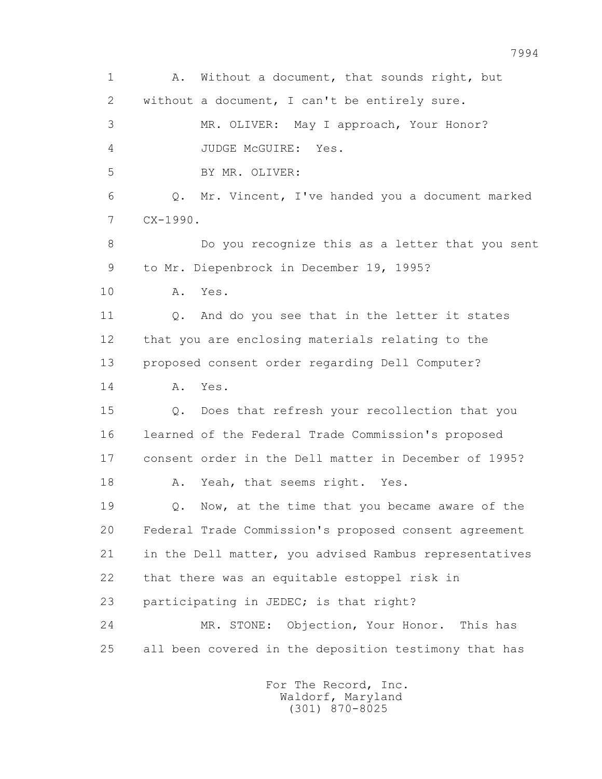1 A. Without a document, that sounds right, but 2 without a document, I can't be entirely sure. 3 MR. OLIVER: May I approach, Your Honor? 4 JUDGE McGUIRE: Yes. 5 BY MR. OLIVER: 6 Q. Mr. Vincent, I've handed you a document marked 7 CX-1990. 8 Do you recognize this as a letter that you sent 9 to Mr. Diepenbrock in December 19, 1995? 10 A. Yes. 11 0. And do you see that in the letter it states 12 that you are enclosing materials relating to the 13 proposed consent order regarding Dell Computer? 14 A. Yes. 15 Q. Does that refresh your recollection that you 16 learned of the Federal Trade Commission's proposed 17 consent order in the Dell matter in December of 1995? 18 A. Yeah, that seems right. Yes. 19 Q. Now, at the time that you became aware of the 20 Federal Trade Commission's proposed consent agreement 21 in the Dell matter, you advised Rambus representatives 22 that there was an equitable estoppel risk in 23 participating in JEDEC; is that right? 24 MR. STONE: Objection, Your Honor. This has 25 all been covered in the deposition testimony that has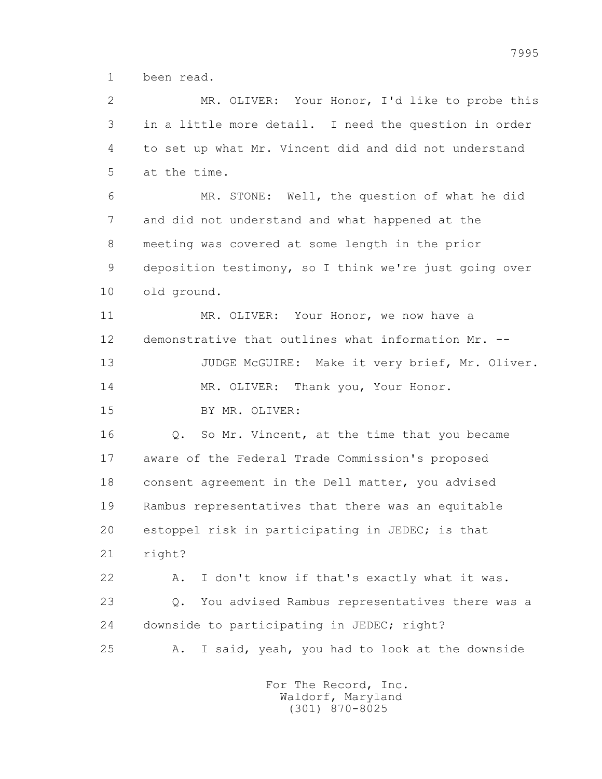1 been read.

 2 MR. OLIVER: Your Honor, I'd like to probe this 3 in a little more detail. I need the question in order 4 to set up what Mr. Vincent did and did not understand 5 at the time.

 6 MR. STONE: Well, the question of what he did 7 and did not understand and what happened at the 8 meeting was covered at some length in the prior 9 deposition testimony, so I think we're just going over 10 old ground.

 11 MR. OLIVER: Your Honor, we now have a 12 demonstrative that outlines what information Mr. --

13 JUDGE McGUIRE: Make it very brief, Mr. Oliver.

14 MR. OLIVER: Thank you, Your Honor.

15 BY MR. OLIVER:

16 Q. So Mr. Vincent, at the time that you became 17 aware of the Federal Trade Commission's proposed 18 consent agreement in the Dell matter, you advised 19 Rambus representatives that there was an equitable 20 estoppel risk in participating in JEDEC; is that 21 right?

 22 A. I don't know if that's exactly what it was. 23 Q. You advised Rambus representatives there was a 24 downside to participating in JEDEC; right? 25 A. I said, yeah, you had to look at the downside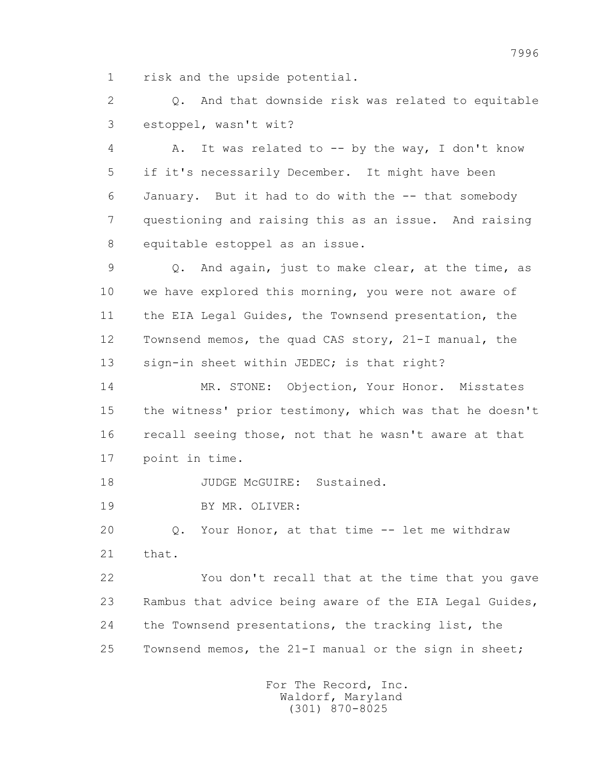1 risk and the upside potential.

 2 Q. And that downside risk was related to equitable 3 estoppel, wasn't wit?

4 A. It was related to -- by the way, I don't know 5 if it's necessarily December. It might have been 6 January. But it had to do with the -- that somebody 7 questioning and raising this as an issue. And raising 8 equitable estoppel as an issue.

 9 Q. And again, just to make clear, at the time, as 10 we have explored this morning, you were not aware of 11 the EIA Legal Guides, the Townsend presentation, the 12 Townsend memos, the quad CAS story, 21-I manual, the 13 sign-in sheet within JEDEC; is that right?

 14 MR. STONE: Objection, Your Honor. Misstates 15 the witness' prior testimony, which was that he doesn't 16 recall seeing those, not that he wasn't aware at that 17 point in time.

18 JUDGE McGUIRE: Sustained.

19 BY MR. OLIVER:

 20 Q. Your Honor, at that time -- let me withdraw 21 that.

 22 You don't recall that at the time that you gave 23 Rambus that advice being aware of the EIA Legal Guides, 24 the Townsend presentations, the tracking list, the 25 Townsend memos, the 21-I manual or the sign in sheet;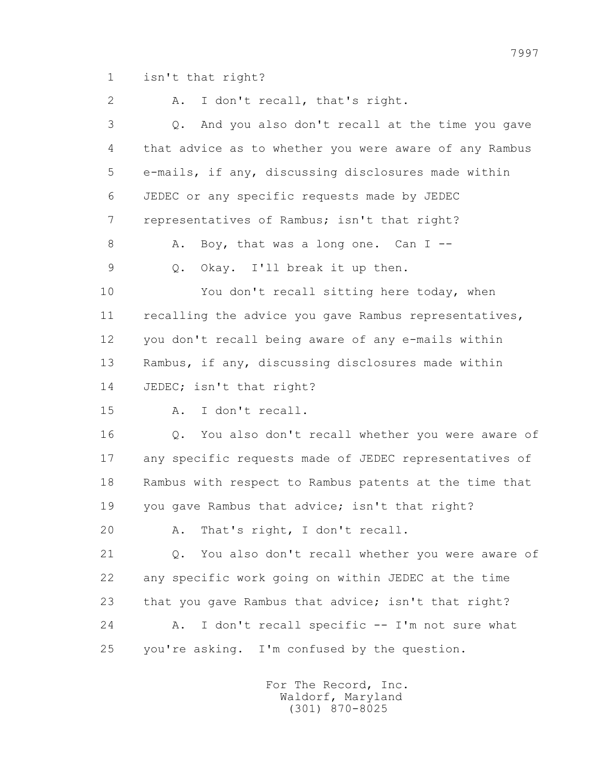1 isn't that right?

 2 A. I don't recall, that's right. 3 Q. And you also don't recall at the time you gave 4 that advice as to whether you were aware of any Rambus 5 e-mails, if any, discussing disclosures made within 6 JEDEC or any specific requests made by JEDEC 7 representatives of Rambus; isn't that right? 8 A. Boy, that was a long one. Can I -- 9 Q. Okay. I'll break it up then. 10 You don't recall sitting here today, when 11 recalling the advice you gave Rambus representatives, 12 you don't recall being aware of any e-mails within 13 Rambus, if any, discussing disclosures made within 14 JEDEC; isn't that right? 15 A. I don't recall. 16 Q. You also don't recall whether you were aware of 17 any specific requests made of JEDEC representatives of 18 Rambus with respect to Rambus patents at the time that 19 you gave Rambus that advice; isn't that right? 20 A. That's right, I don't recall. 21 Q. You also don't recall whether you were aware of 22 any specific work going on within JEDEC at the time 23 that you gave Rambus that advice; isn't that right? 24 A. I don't recall specific -- I'm not sure what

25 you're asking. I'm confused by the question.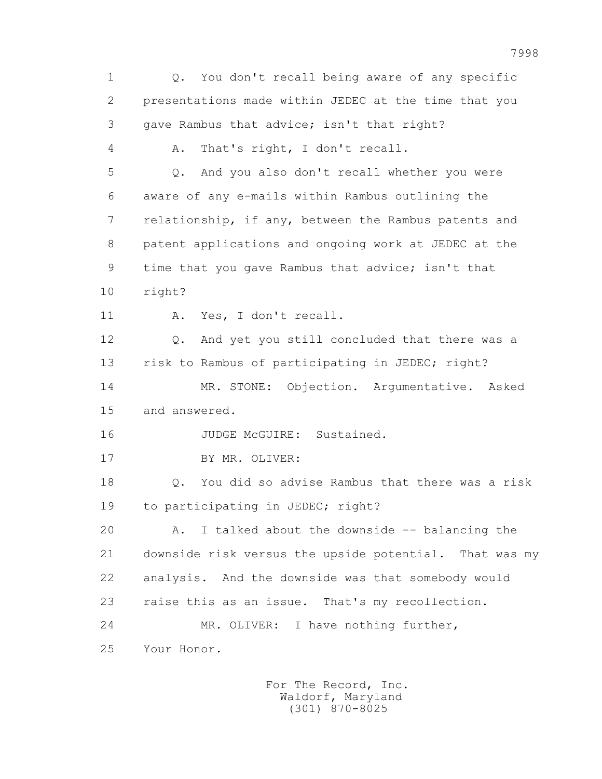1 Q. You don't recall being aware of any specific 2 presentations made within JEDEC at the time that you 3 gave Rambus that advice; isn't that right? 4 A. That's right, I don't recall. 5 Q. And you also don't recall whether you were 6 aware of any e-mails within Rambus outlining the 7 relationship, if any, between the Rambus patents and 8 patent applications and ongoing work at JEDEC at the 9 time that you gave Rambus that advice; isn't that 10 right? 11 A. Yes, I don't recall. 12 Q. And yet you still concluded that there was a 13 risk to Rambus of participating in JEDEC; right? 14 MR. STONE: Objection. Argumentative. Asked 15 and answered. 16 JUDGE McGUIRE: Sustained. 17 BY MR. OLIVER: 18 Q. You did so advise Rambus that there was a risk 19 to participating in JEDEC; right? 20 A. I talked about the downside -- balancing the 21 downside risk versus the upside potential. That was my 22 analysis. And the downside was that somebody would 23 raise this as an issue. That's my recollection. 24 MR. OLIVER: I have nothing further, 25 Your Honor.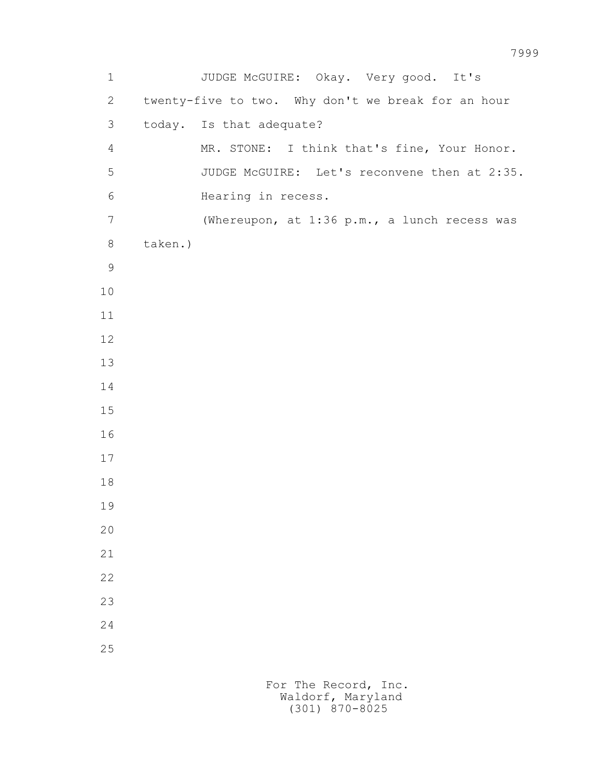1 JUDGE McGUIRE: Okay. Very good. It's 2 twenty-five to two. Why don't we break for an hour 3 today. Is that adequate? 4 MR. STONE: I think that's fine, Your Honor. 5 JUDGE McGUIRE: Let's reconvene then at 2:35. 6 Hearing in recess. 7 (Whereupon, at 1:36 p.m., a lunch recess was 8 taken.)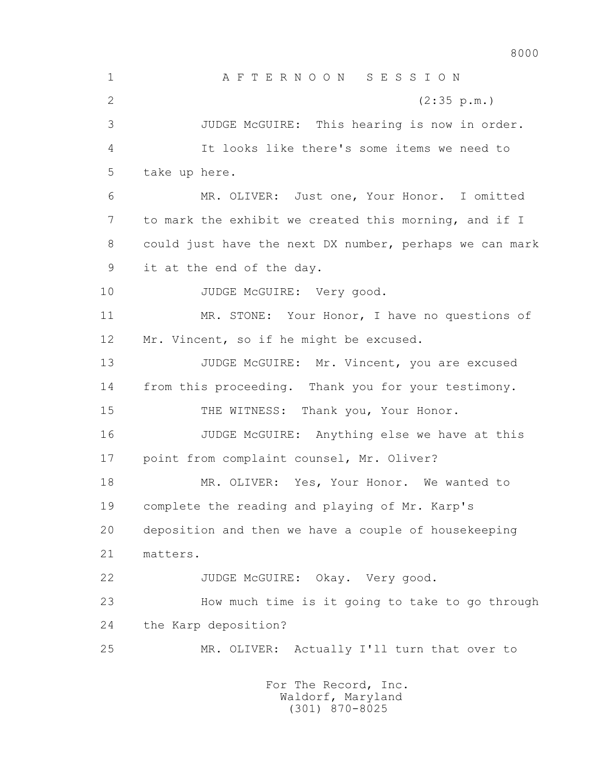8000 1 A F T E R N O O N S E S S I O N 2 (2:35 p.m.) 3 JUDGE McGUIRE: This hearing is now in order. 4 It looks like there's some items we need to 5 take up here. 6 MR. OLIVER: Just one, Your Honor. I omitted 7 to mark the exhibit we created this morning, and if I 8 could just have the next DX number, perhaps we can mark 9 it at the end of the day. 10 JUDGE McGUIRE: Very good. 11 MR. STONE: Your Honor, I have no questions of 12 Mr. Vincent, so if he might be excused. 13 JUDGE McGUIRE: Mr. Vincent, you are excused 14 from this proceeding. Thank you for your testimony. 15 THE WITNESS: Thank you, Your Honor. 16 JUDGE McGUIRE: Anything else we have at this 17 point from complaint counsel, Mr. Oliver? 18 MR. OLIVER: Yes, Your Honor. We wanted to 19 complete the reading and playing of Mr. Karp's 20 deposition and then we have a couple of housekeeping 21 matters. 22 JUDGE McGUIRE: Okay. Very good. 23 How much time is it going to take to go through 24 the Karp deposition? 25 MR. OLIVER: Actually I'll turn that over to For The Record, Inc.

 Waldorf, Maryland (301) 870-8025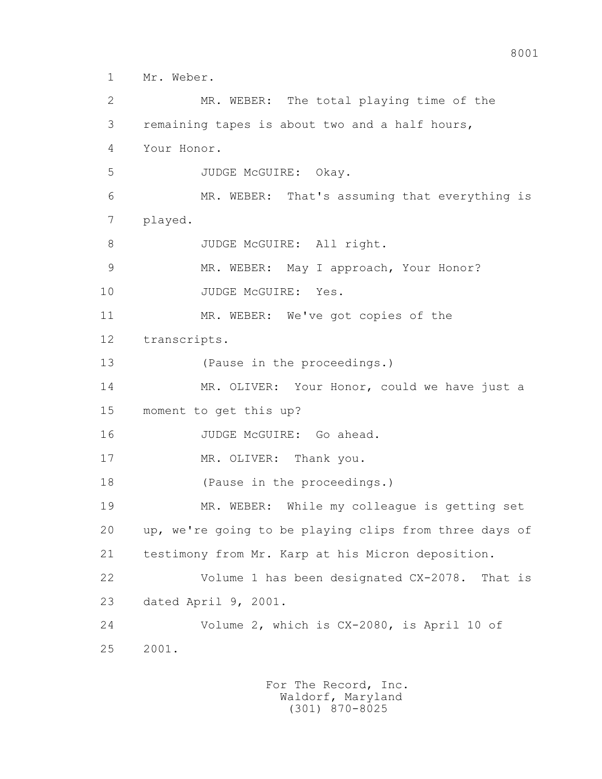1 Mr. Weber.

 2 MR. WEBER: The total playing time of the 3 remaining tapes is about two and a half hours, 4 Your Honor. 5 JUDGE McGUIRE: Okay. 6 MR. WEBER: That's assuming that everything is 7 played. 8 JUDGE McGUIRE: All right. 9 MR. WEBER: May I approach, Your Honor? 10 JUDGE McGUIRE: Yes. 11 MR. WEBER: We've got copies of the 12 transcripts. 13 (Pause in the proceedings.) 14 MR. OLIVER: Your Honor, could we have just a 15 moment to get this up? 16 JUDGE McGUIRE: Go ahead. 17 MR. OLIVER: Thank you. 18 (Pause in the proceedings.) 19 MR. WEBER: While my colleague is getting set 20 up, we're going to be playing clips from three days of 21 testimony from Mr. Karp at his Micron deposition. 22 Volume 1 has been designated CX-2078. That is 23 dated April 9, 2001. 24 Volume 2, which is CX-2080, is April 10 of 25 2001.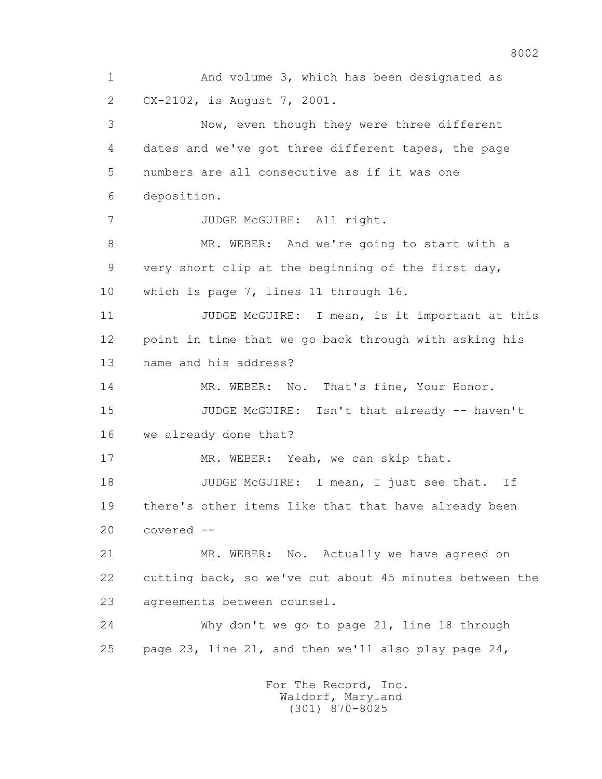1 And volume 3, which has been designated as 2 CX-2102, is August 7, 2001. 3 Now, even though they were three different 4 dates and we've got three different tapes, the page 5 numbers are all consecutive as if it was one 6 deposition. 7 JUDGE McGUIRE: All right. 8 MR. WEBER: And we're going to start with a 9 very short clip at the beginning of the first day, 10 which is page 7, lines 11 through 16. 11 JUDGE McGUIRE: I mean, is it important at this 12 point in time that we go back through with asking his 13 name and his address? 14 MR. WEBER: No. That's fine, Your Honor. 15 JUDGE McGUIRE: Isn't that already -- haven't 16 we already done that? 17 MR. WEBER: Yeah, we can skip that. 18 JUDGE McGUIRE: I mean, I just see that. If 19 there's other items like that that have already been 20 covered -- 21 MR. WEBER: No. Actually we have agreed on 22 cutting back, so we've cut about 45 minutes between the 23 agreements between counsel. 24 Why don't we go to page 21, line 18 through 25 page 23, line 21, and then we'll also play page 24, For The Record, Inc. Waldorf, Maryland

(301) 870-8025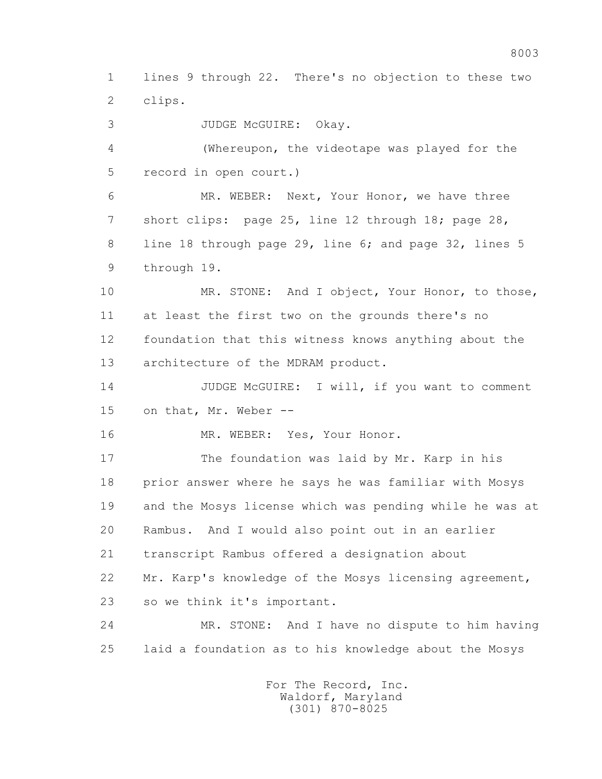1 lines 9 through 22. There's no objection to these two 2 clips.

3 JUDGE McGUIRE: Okay.

 4 (Whereupon, the videotape was played for the 5 record in open court.)

 6 MR. WEBER: Next, Your Honor, we have three 7 short clips: page 25, line 12 through 18; page 28, 8 line 18 through page 29, line 6; and page 32, lines 5 9 through 19.

 10 MR. STONE: And I object, Your Honor, to those, 11 at least the first two on the grounds there's no 12 foundation that this witness knows anything about the 13 architecture of the MDRAM product.

14 JUDGE McGUIRE: I will, if you want to comment 15 on that, Mr. Weber --

16 MR. WEBER: Yes, Your Honor.

 17 The foundation was laid by Mr. Karp in his 18 prior answer where he says he was familiar with Mosys 19 and the Mosys license which was pending while he was at 20 Rambus. And I would also point out in an earlier 21 transcript Rambus offered a designation about 22 Mr. Karp's knowledge of the Mosys licensing agreement, 23 so we think it's important.

 24 MR. STONE: And I have no dispute to him having 25 laid a foundation as to his knowledge about the Mosys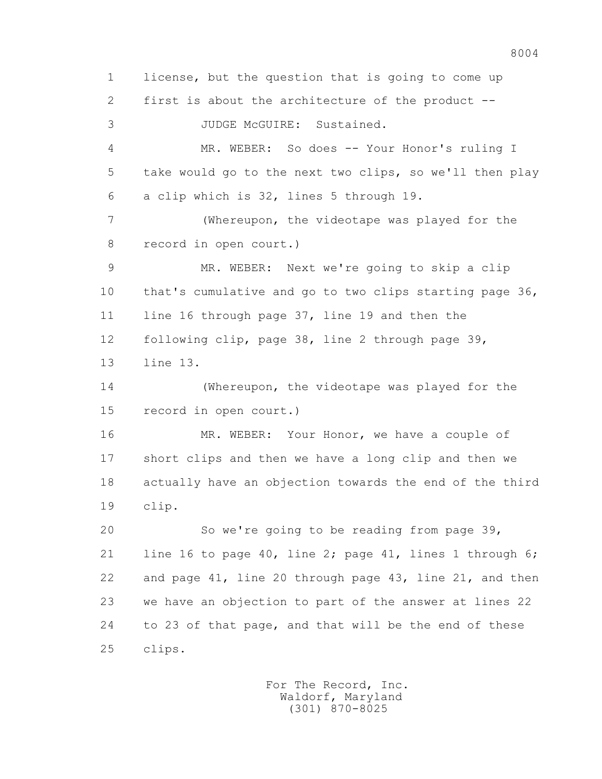1 license, but the question that is going to come up 2 first is about the architecture of the product -- 3 JUDGE McGUIRE: Sustained. 4 MR. WEBER: So does -- Your Honor's ruling I 5 take would go to the next two clips, so we'll then play 6 a clip which is 32, lines 5 through 19. 7 (Whereupon, the videotape was played for the 8 record in open court.) 9 MR. WEBER: Next we're going to skip a clip 10 that's cumulative and go to two clips starting page 36, 11 line 16 through page 37, line 19 and then the 12 following clip, page 38, line 2 through page 39, 13 line 13. 14 (Whereupon, the videotape was played for the 15 record in open court.) 16 MR. WEBER: Your Honor, we have a couple of 17 short clips and then we have a long clip and then we 18 actually have an objection towards the end of the third 19 clip. 20 So we're going to be reading from page 39, 21 line 16 to page 40, line 2; page 41, lines 1 through 6; 22 and page 41, line 20 through page 43, line 21, and then 23 we have an objection to part of the answer at lines 22 24 to 23 of that page, and that will be the end of these 25 clips.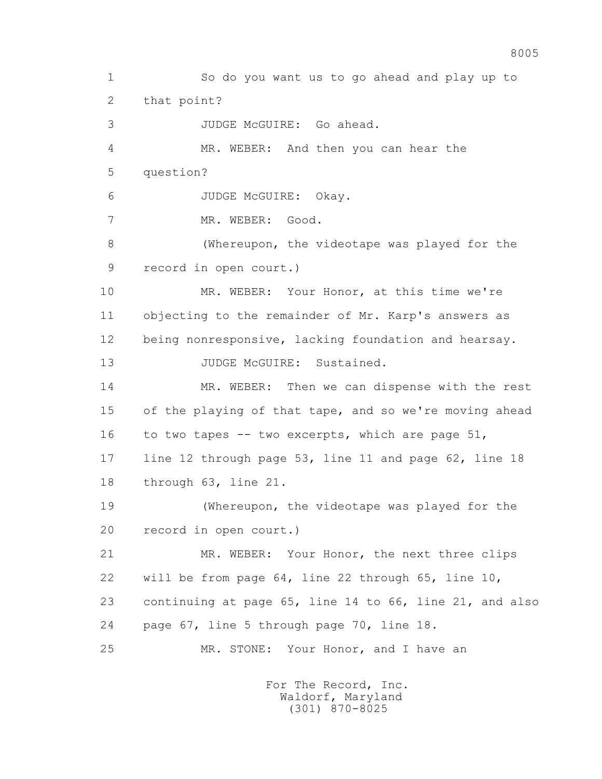1 So do you want us to go ahead and play up to 2 that point? 3 JUDGE McGUIRE: Go ahead. 4 MR. WEBER: And then you can hear the 5 question? 6 JUDGE McGUIRE: Okay. 7 MR. WEBER: Good. 8 (Whereupon, the videotape was played for the 9 record in open court.) 10 MR. WEBER: Your Honor, at this time we're 11 objecting to the remainder of Mr. Karp's answers as 12 being nonresponsive, lacking foundation and hearsay. 13 JUDGE McGUIRE: Sustained. 14 MR. WEBER: Then we can dispense with the rest 15 of the playing of that tape, and so we're moving ahead 16 to two tapes -- two excerpts, which are page 51, 17 line 12 through page 53, line 11 and page 62, line 18 18 through 63, line 21. 19 (Whereupon, the videotape was played for the 20 record in open court.) 21 MR. WEBER: Your Honor, the next three clips 22 will be from page 64, line 22 through 65, line 10, 23 continuing at page 65, line 14 to 66, line 21, and also 24 page 67, line 5 through page 70, line 18. 25 MR. STONE: Your Honor, and I have an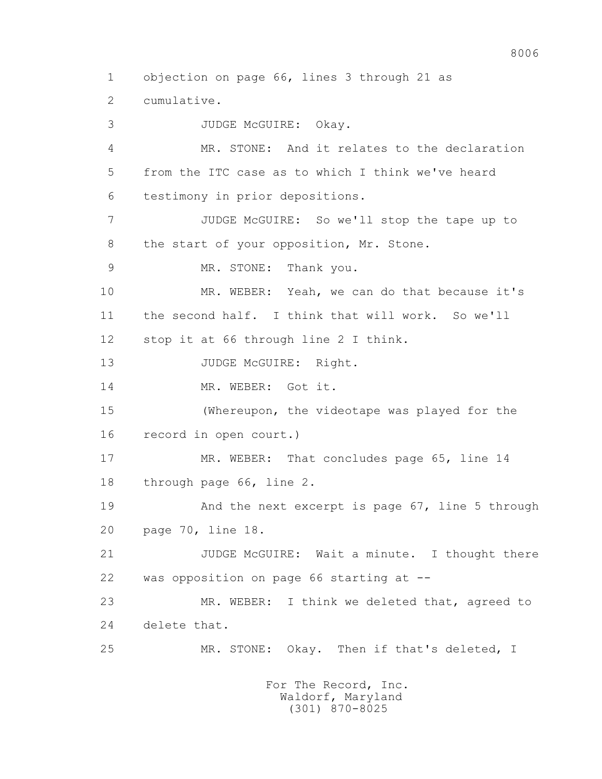3 JUDGE McGUIRE: Okay. 4 MR. STONE: And it relates to the declaration 5 from the ITC case as to which I think we've heard 6 testimony in prior depositions. 7 JUDGE McGUIRE: So we'll stop the tape up to 8 the start of your opposition, Mr. Stone. 9 MR. STONE: Thank you. 10 MR. WEBER: Yeah, we can do that because it's 11 the second half. I think that will work. So we'll 12 stop it at 66 through line 2 I think. 13 JUDGE McGUIRE: Right. 14 MR. WEBER: Got it. 15 (Whereupon, the videotape was played for the 16 record in open court.) 17 MR. WEBER: That concludes page 65, line 14 18 through page 66, line 2. 19 And the next excerpt is page 67, line 5 through 20 page 70, line 18. 21 JUDGE McGUIRE: Wait a minute. I thought there 22 was opposition on page 66 starting at -- 23 MR. WEBER: I think we deleted that, agreed to 24 delete that. 25 MR. STONE: Okay. Then if that's deleted, I

1 objection on page 66, lines 3 through 21 as

2 cumulative.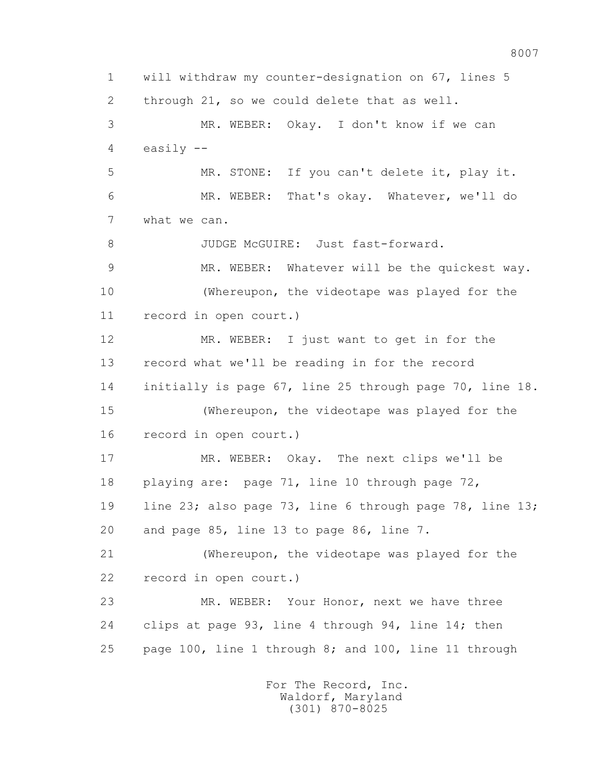1 will withdraw my counter-designation on 67, lines 5 2 through 21, so we could delete that as well. 3 MR. WEBER: Okay. I don't know if we can 4 easily -- 5 MR. STONE: If you can't delete it, play it. 6 MR. WEBER: That's okay. Whatever, we'll do 7 what we can. 8 JUDGE McGUIRE: Just fast-forward. 9 MR. WEBER: Whatever will be the quickest way. 10 (Whereupon, the videotape was played for the 11 record in open court.) 12 MR. WEBER: I just want to get in for the 13 record what we'll be reading in for the record 14 initially is page 67, line 25 through page 70, line 18. 15 (Whereupon, the videotape was played for the 16 record in open court.) 17 MR. WEBER: Okay. The next clips we'll be 18 playing are: page 71, line 10 through page 72, 19 line 23; also page 73, line 6 through page 78, line 13; 20 and page 85, line 13 to page 86, line 7. 21 (Whereupon, the videotape was played for the 22 record in open court.) 23 MR. WEBER: Your Honor, next we have three 24 clips at page 93, line 4 through 94, line 14; then 25 page 100, line 1 through 8; and 100, line 11 through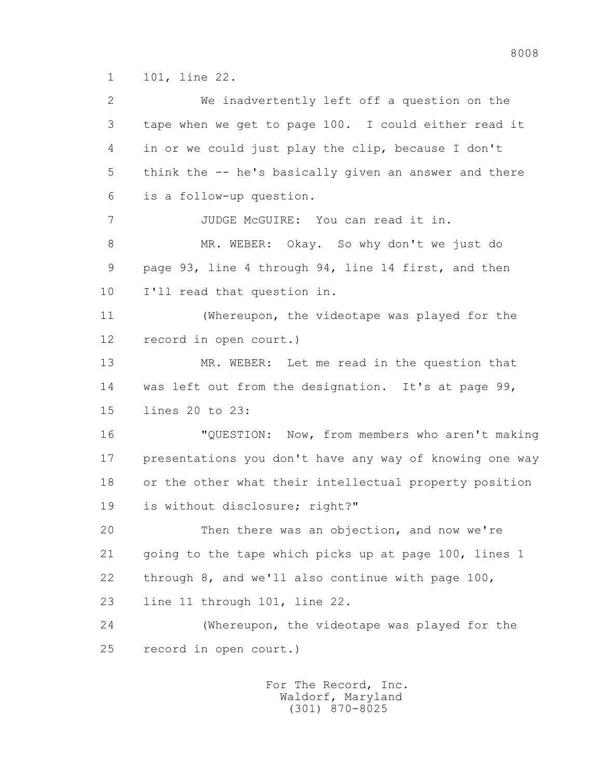1 101, line 22.

 2 We inadvertently left off a question on the 3 tape when we get to page 100. I could either read it 4 in or we could just play the clip, because I don't 5 think the -- he's basically given an answer and there 6 is a follow-up question. 7 JUDGE McGUIRE: You can read it in. 8 MR. WEBER: Okay. So why don't we just do 9 page 93, line 4 through 94, line 14 first, and then 10 I'll read that question in. 11 (Whereupon, the videotape was played for the 12 record in open court.) 13 MR. WEBER: Let me read in the question that 14 was left out from the designation. It's at page 99, 15 lines 20 to 23: 16 "QUESTION: Now, from members who aren't making 17 presentations you don't have any way of knowing one way 18 or the other what their intellectual property position 19 is without disclosure; right?" 20 Then there was an objection, and now we're 21 going to the tape which picks up at page 100, lines 1 22 through 8, and we'll also continue with page 100, 23 line 11 through 101, line 22. 24 (Whereupon, the videotape was played for the 25 record in open court.)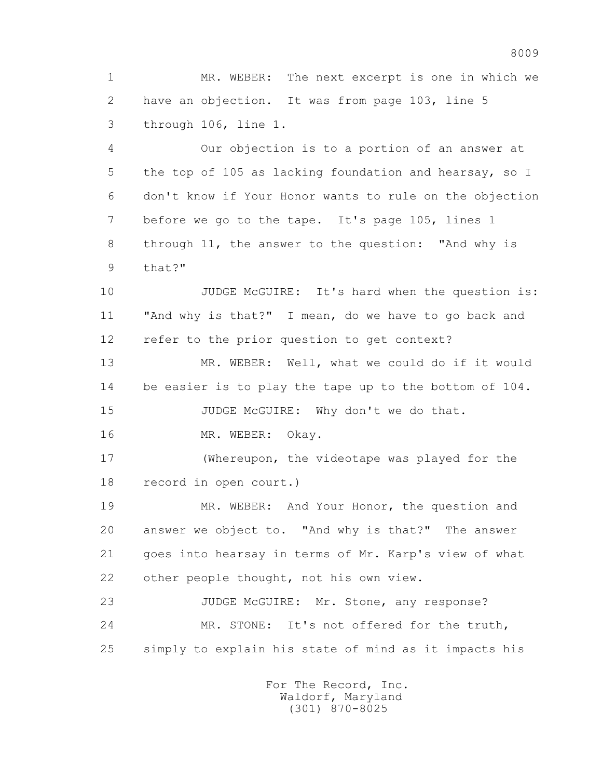1 MR. WEBER: The next excerpt is one in which we 2 have an objection. It was from page 103, line 5 3 through 106, line 1.

 4 Our objection is to a portion of an answer at 5 the top of 105 as lacking foundation and hearsay, so I 6 don't know if Your Honor wants to rule on the objection 7 before we go to the tape. It's page 105, lines 1 8 through 11, the answer to the question: "And why is 9 that?"

10 JUDGE McGUIRE: It's hard when the question is: 11 "And why is that?" I mean, do we have to go back and 12 refer to the prior question to get context?

 13 MR. WEBER: Well, what we could do if it would 14 be easier is to play the tape up to the bottom of 104. 15 JUDGE McGUIRE: Why don't we do that.

16 MR. WEBER: Okay.

 17 (Whereupon, the videotape was played for the 18 record in open court.)

 19 MR. WEBER: And Your Honor, the question and 20 answer we object to. "And why is that?" The answer 21 goes into hearsay in terms of Mr. Karp's view of what 22 other people thought, not his own view.

23 JUDGE McGUIRE: Mr. Stone, any response? 24 MR. STONE: It's not offered for the truth, 25 simply to explain his state of mind as it impacts his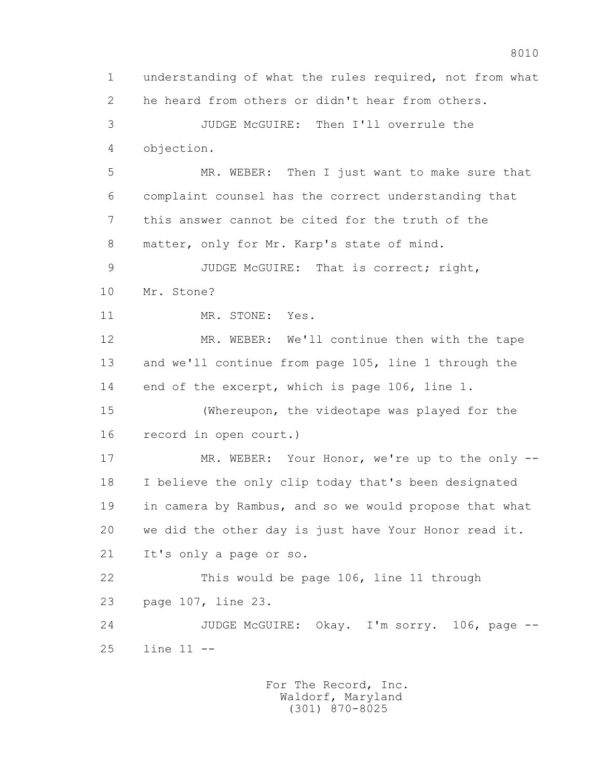1 understanding of what the rules required, not from what 2 he heard from others or didn't hear from others. 3 JUDGE McGUIRE: Then I'll overrule the 4 objection. 5 MR. WEBER: Then I just want to make sure that 6 complaint counsel has the correct understanding that 7 this answer cannot be cited for the truth of the 8 matter, only for Mr. Karp's state of mind. 9 JUDGE McGUIRE: That is correct; right, 10 Mr. Stone? 11 MR. STONE: Yes. 12 MR. WEBER: We'll continue then with the tape 13 and we'll continue from page 105, line 1 through the 14 end of the excerpt, which is page 106, line 1. 15 (Whereupon, the videotape was played for the 16 record in open court.) 17 MR. WEBER: Your Honor, we're up to the only -- 18 I believe the only clip today that's been designated 19 in camera by Rambus, and so we would propose that what 20 we did the other day is just have Your Honor read it. 21 It's only a page or so. 22 This would be page 106, line 11 through 23 page 107, line 23. 24 JUDGE McGUIRE: Okay. I'm sorry. 106, page -- 25 line 11 --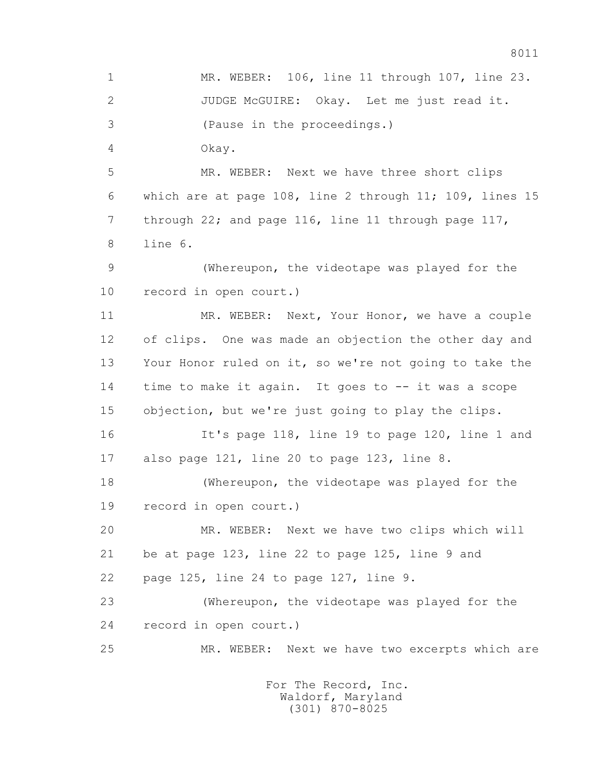1 MR. WEBER: 106, line 11 through 107, line 23. 2 JUDGE McGUIRE: Okay. Let me just read it. 3 (Pause in the proceedings.) 4 Okay. 5 MR. WEBER: Next we have three short clips 6 which are at page 108, line 2 through 11; 109, lines 15 7 through 22; and page 116, line 11 through page 117, 8 line 6. 9 (Whereupon, the videotape was played for the 10 record in open court.) 11 MR. WEBER: Next, Your Honor, we have a couple 12 of clips. One was made an objection the other day and 13 Your Honor ruled on it, so we're not going to take the 14 time to make it again. It goes to -- it was a scope 15 objection, but we're just going to play the clips. 16 It's page 118, line 19 to page 120, line 1 and 17 also page 121, line 20 to page 123, line 8. 18 (Whereupon, the videotape was played for the 19 record in open court.) 20 MR. WEBER: Next we have two clips which will 21 be at page 123, line 22 to page 125, line 9 and 22 page 125, line 24 to page 127, line 9. 23 (Whereupon, the videotape was played for the 24 record in open court.) 25 MR. WEBER: Next we have two excerpts which are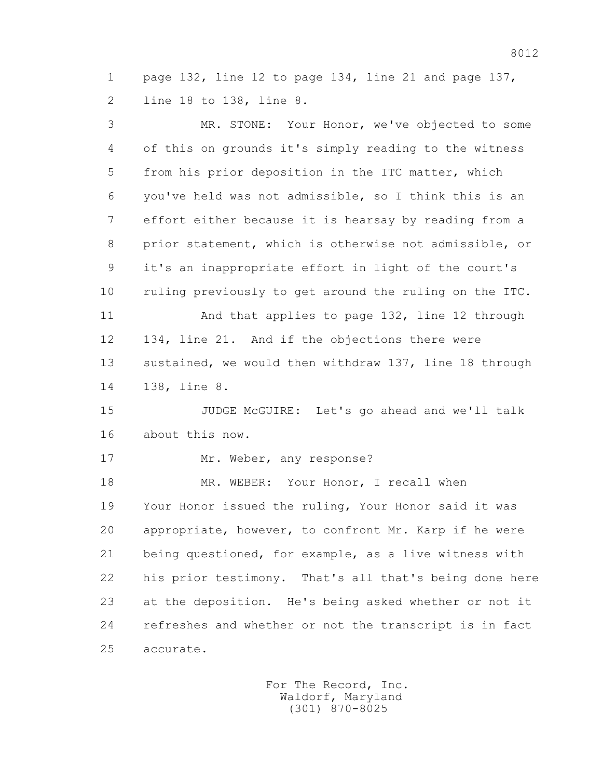1 page 132, line 12 to page 134, line 21 and page 137, 2 line 18 to 138, line 8.

 3 MR. STONE: Your Honor, we've objected to some 4 of this on grounds it's simply reading to the witness 5 from his prior deposition in the ITC matter, which 6 you've held was not admissible, so I think this is an 7 effort either because it is hearsay by reading from a 8 prior statement, which is otherwise not admissible, or 9 it's an inappropriate effort in light of the court's 10 ruling previously to get around the ruling on the ITC. 11 And that applies to page 132, line 12 through 12 134, line 21. And if the objections there were 13 sustained, we would then withdraw 137, line 18 through 14 138, line 8. 15 JUDGE McGUIRE: Let's go ahead and we'll talk 16 about this now. 17 Mr. Weber, any response? 18 MR. WEBER: Your Honor, I recall when 19 Your Honor issued the ruling, Your Honor said it was 20 appropriate, however, to confront Mr. Karp if he were 21 being questioned, for example, as a live witness with 22 his prior testimony. That's all that's being done here 23 at the deposition. He's being asked whether or not it 24 refreshes and whether or not the transcript is in fact 25 accurate.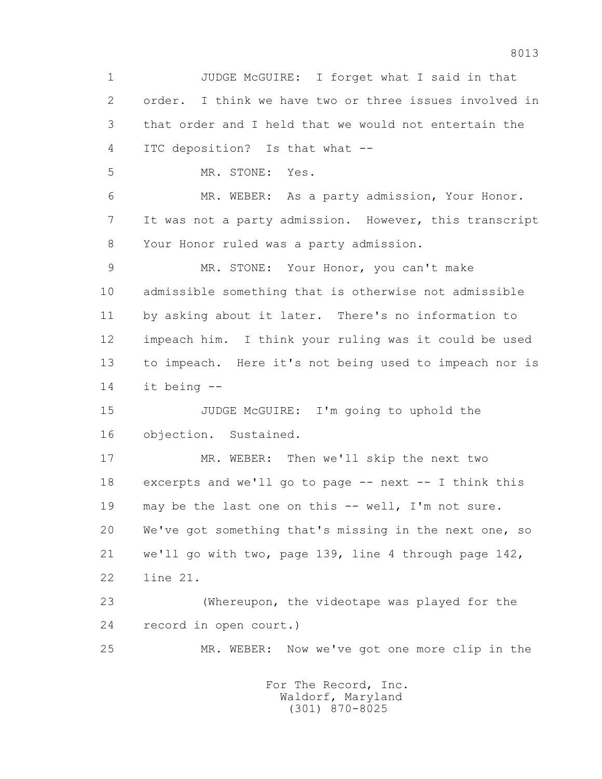1 JUDGE McGUIRE: I forget what I said in that 2 order. I think we have two or three issues involved in 3 that order and I held that we would not entertain the 4 ITC deposition? Is that what -- 5 MR. STONE: Yes. 6 MR. WEBER: As a party admission, Your Honor. 7 It was not a party admission. However, this transcript 8 Your Honor ruled was a party admission. 9 MR. STONE: Your Honor, you can't make 10 admissible something that is otherwise not admissible 11 by asking about it later. There's no information to 12 impeach him. I think your ruling was it could be used 13 to impeach. Here it's not being used to impeach nor is 14 it being -- 15 JUDGE McGUIRE: I'm going to uphold the 16 objection. Sustained. 17 MR. WEBER: Then we'll skip the next two 18 excerpts and we'll go to page -- next -- I think this 19 may be the last one on this -- well, I'm not sure. 20 We've got something that's missing in the next one, so 21 we'll go with two, page 139, line 4 through page 142, 22 line 21. 23 (Whereupon, the videotape was played for the 24 record in open court.) 25 MR. WEBER: Now we've got one more clip in the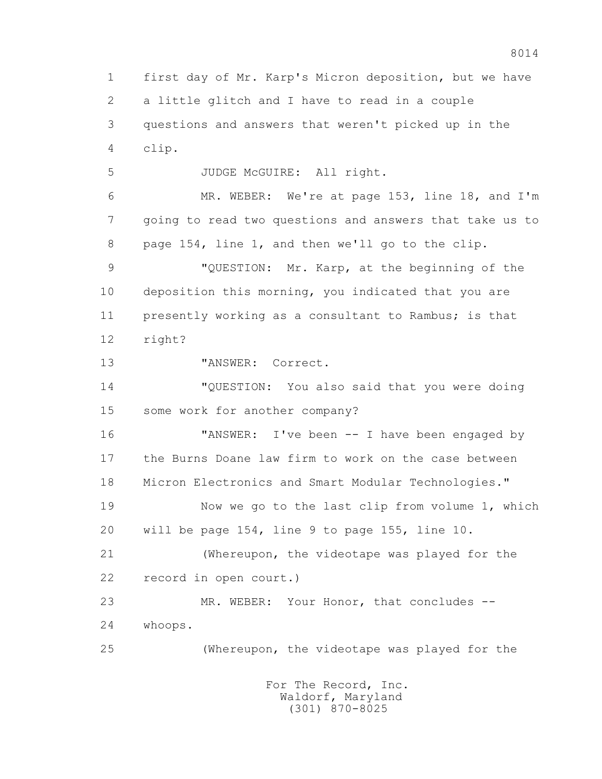1 first day of Mr. Karp's Micron deposition, but we have 2 a little glitch and I have to read in a couple 3 questions and answers that weren't picked up in the 4 clip. 5 JUDGE McGUIRE: All right. 6 MR. WEBER: We're at page 153, line 18, and I'm 7 going to read two questions and answers that take us to 8 page 154, line 1, and then we'll go to the clip. 9 "QUESTION: Mr. Karp, at the beginning of the 10 deposition this morning, you indicated that you are 11 presently working as a consultant to Rambus; is that 12 right? 13 "ANSWER: Correct. 14 "QUESTION: You also said that you were doing 15 some work for another company? 16 "ANSWER: I've been -- I have been engaged by 17 the Burns Doane law firm to work on the case between 18 Micron Electronics and Smart Modular Technologies." 19 Now we go to the last clip from volume 1, which 20 will be page 154, line 9 to page 155, line 10. 21 (Whereupon, the videotape was played for the 22 record in open court.) 23 MR. WEBER: Your Honor, that concludes -- 24 whoops. 25 (Whereupon, the videotape was played for the For The Record, Inc. Waldorf, Maryland

(301) 870-8025

8014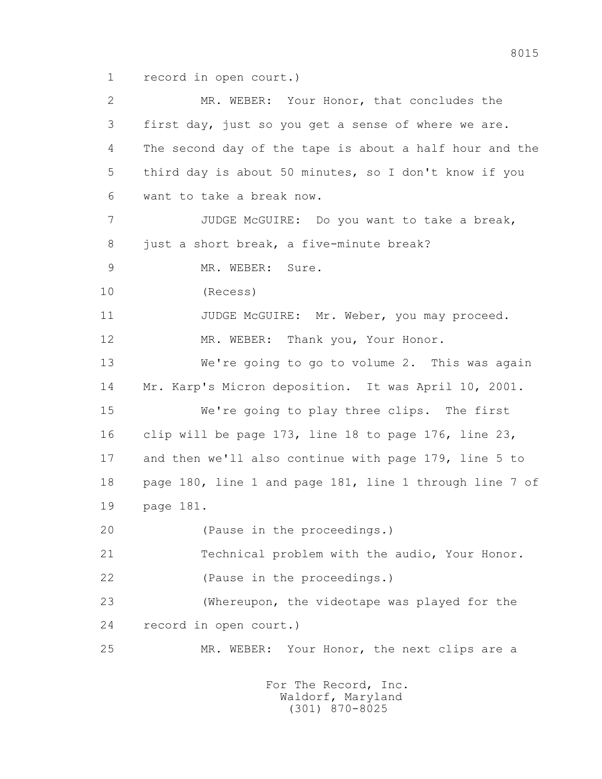1 record in open court.)

 2 MR. WEBER: Your Honor, that concludes the 3 first day, just so you get a sense of where we are. 4 The second day of the tape is about a half hour and the 5 third day is about 50 minutes, so I don't know if you 6 want to take a break now. 7 JUDGE McGUIRE: Do you want to take a break, 8 just a short break, a five-minute break? 9 MR. WEBER: Sure. 10 (Recess) 11 JUDGE McGUIRE: Mr. Weber, you may proceed. 12 MR. WEBER: Thank you, Your Honor. 13 We're going to go to volume 2. This was again 14 Mr. Karp's Micron deposition. It was April 10, 2001. 15 We're going to play three clips. The first 16 clip will be page 173, line 18 to page 176, line 23, 17 and then we'll also continue with page 179, line 5 to 18 page 180, line 1 and page 181, line 1 through line 7 of 19 page 181. 20 (Pause in the proceedings.) 21 Technical problem with the audio, Your Honor. 22 (Pause in the proceedings.) 23 (Whereupon, the videotape was played for the 24 record in open court.) 25 MR. WEBER: Your Honor, the next clips are a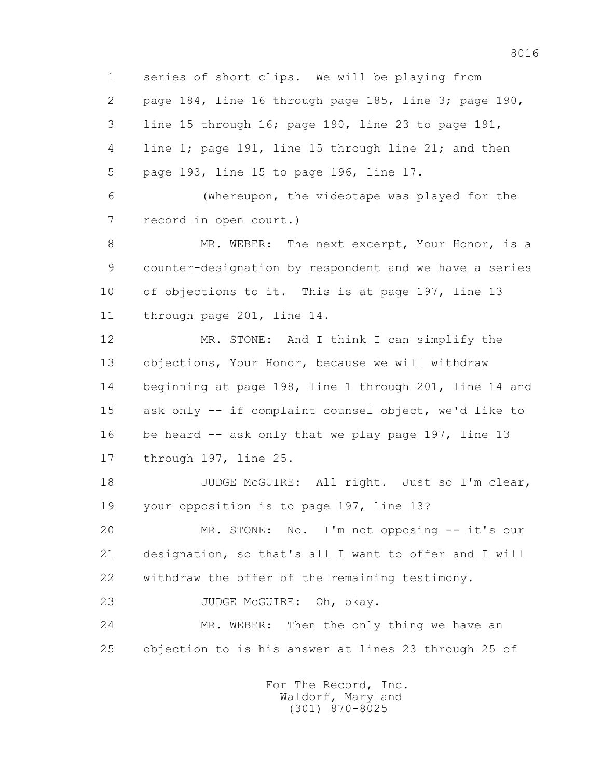1 series of short clips. We will be playing from 2 page 184, line 16 through page 185, line 3; page 190, 3 line 15 through 16; page 190, line 23 to page 191, 4 line 1; page 191, line 15 through line 21; and then 5 page 193, line 15 to page 196, line 17.

 6 (Whereupon, the videotape was played for the 7 record in open court.)

 8 MR. WEBER: The next excerpt, Your Honor, is a 9 counter-designation by respondent and we have a series 10 of objections to it. This is at page 197, line 13 11 through page 201, line 14.

 12 MR. STONE: And I think I can simplify the 13 objections, Your Honor, because we will withdraw 14 beginning at page 198, line 1 through 201, line 14 and 15 ask only -- if complaint counsel object, we'd like to 16 be heard -- ask only that we play page 197, line 13 17 through 197, line 25.

18 JUDGE McGUIRE: All right. Just so I'm clear, 19 your opposition is to page 197, line 13?

 20 MR. STONE: No. I'm not opposing -- it's our 21 designation, so that's all I want to offer and I will 22 withdraw the offer of the remaining testimony.

23 JUDGE McGUIRE: Oh, okay.

24 MR. WEBER: Then the only thing we have an 25 objection to is his answer at lines 23 through 25 of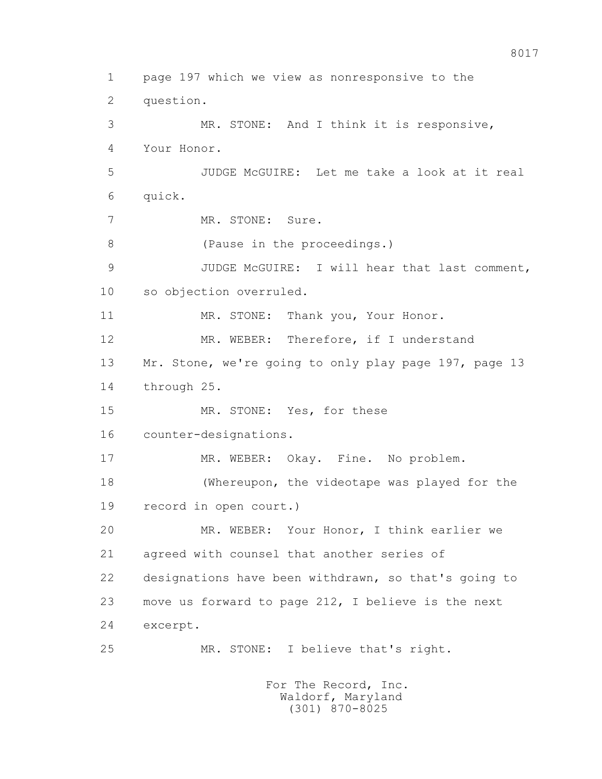1 page 197 which we view as nonresponsive to the 2 question. 3 MR. STONE: And I think it is responsive, 4 Your Honor. 5 JUDGE McGUIRE: Let me take a look at it real 6 quick. 7 MR. STONE: Sure. 8 (Pause in the proceedings.) 9 JUDGE McGUIRE: I will hear that last comment, 10 so objection overruled. 11 MR. STONE: Thank you, Your Honor. 12 MR. WEBER: Therefore, if I understand 13 Mr. Stone, we're going to only play page 197, page 13 14 through 25. 15 MR. STONE: Yes, for these 16 counter-designations. 17 MR. WEBER: Okay. Fine. No problem. 18 (Whereupon, the videotape was played for the 19 record in open court.) 20 MR. WEBER: Your Honor, I think earlier we 21 agreed with counsel that another series of 22 designations have been withdrawn, so that's going to 23 move us forward to page 212, I believe is the next 24 excerpt. 25 MR. STONE: I believe that's right. For The Record, Inc. Waldorf, Maryland

(301) 870-8025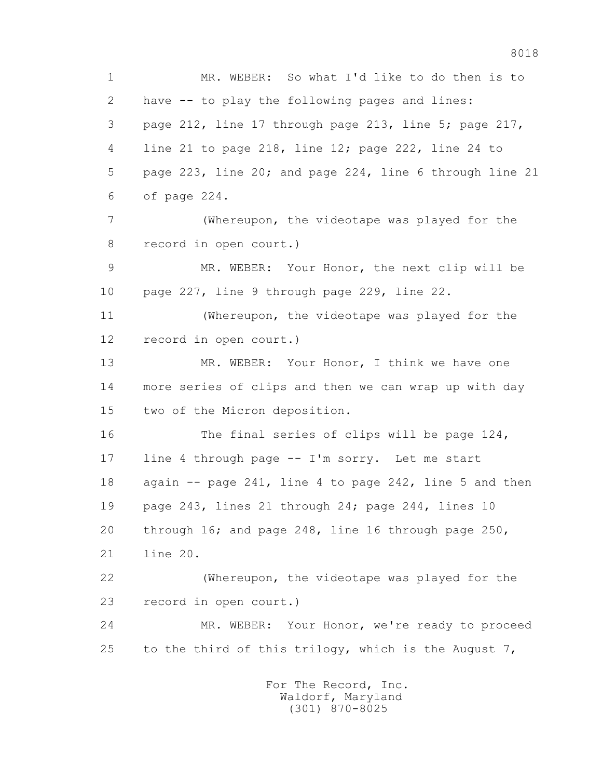1 MR. WEBER: So what I'd like to do then is to 2 have -- to play the following pages and lines: 3 page 212, line 17 through page 213, line 5; page 217, 4 line 21 to page 218, line 12; page 222, line 24 to 5 page 223, line 20; and page 224, line 6 through line 21 6 of page 224. 7 (Whereupon, the videotape was played for the 8 record in open court.) 9 MR. WEBER: Your Honor, the next clip will be 10 page 227, line 9 through page 229, line 22. 11 (Whereupon, the videotape was played for the 12 record in open court.) 13 MR. WEBER: Your Honor, I think we have one 14 more series of clips and then we can wrap up with day 15 two of the Micron deposition. 16 The final series of clips will be page 124, 17 line 4 through page -- I'm sorry. Let me start 18 again -- page 241, line 4 to page 242, line 5 and then 19 page 243, lines 21 through 24; page 244, lines 10 20 through 16; and page 248, line 16 through page 250, 21 line 20. 22 (Whereupon, the videotape was played for the 23 record in open court.) 24 MR. WEBER: Your Honor, we're ready to proceed 25 to the third of this trilogy, which is the August 7,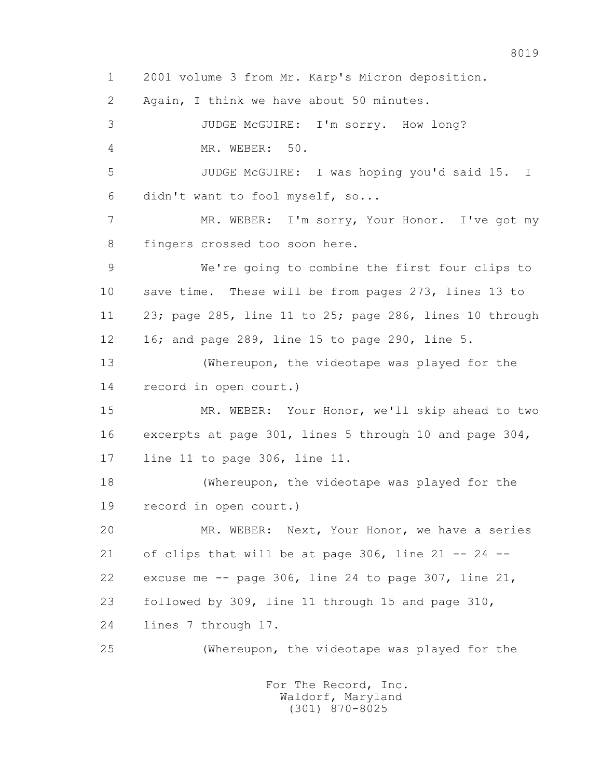1 2001 volume 3 from Mr. Karp's Micron deposition. 2 Again, I think we have about 50 minutes. 3 JUDGE McGUIRE: I'm sorry. How long? 4 MR. WEBER: 50. 5 JUDGE McGUIRE: I was hoping you'd said 15. I 6 didn't want to fool myself, so... 7 MR. WEBER: I'm sorry, Your Honor. I've got my 8 fingers crossed too soon here. 9 We're going to combine the first four clips to 10 save time. These will be from pages 273, lines 13 to 11 23; page 285, line 11 to 25; page 286, lines 10 through 12 16; and page 289, line 15 to page 290, line 5. 13 (Whereupon, the videotape was played for the 14 record in open court.) 15 MR. WEBER: Your Honor, we'll skip ahead to two 16 excerpts at page 301, lines 5 through 10 and page 304, 17 line 11 to page 306, line 11. 18 (Whereupon, the videotape was played for the 19 record in open court.) 20 MR. WEBER: Next, Your Honor, we have a series 21 of clips that will be at page 306, line 21 -- 24 -- 22 excuse me  $-$ - page 306, line 24 to page 307, line 21, 23 followed by 309, line 11 through 15 and page 310, 24 lines 7 through 17. 25 (Whereupon, the videotape was played for the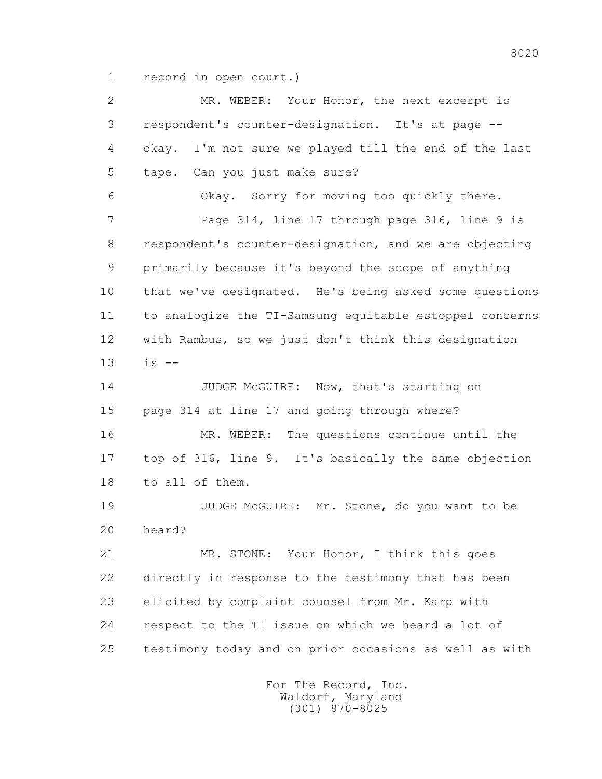1 record in open court.)

 2 MR. WEBER: Your Honor, the next excerpt is 3 respondent's counter-designation. It's at page -- 4 okay. I'm not sure we played till the end of the last 5 tape. Can you just make sure? 6 Okay. Sorry for moving too quickly there. 7 Page 314, line 17 through page 316, line 9 is 8 respondent's counter-designation, and we are objecting 9 primarily because it's beyond the scope of anything 10 that we've designated. He's being asked some questions 11 to analogize the TI-Samsung equitable estoppel concerns 12 with Rambus, so we just don't think this designation 13 is -- 14 JUDGE McGUIRE: Now, that's starting on 15 page 314 at line 17 and going through where? 16 MR. WEBER: The questions continue until the 17 top of 316, line 9. It's basically the same objection 18 to all of them. 19 JUDGE McGUIRE: Mr. Stone, do you want to be 20 heard? 21 MR. STONE: Your Honor, I think this goes 22 directly in response to the testimony that has been 23 elicited by complaint counsel from Mr. Karp with 24 respect to the TI issue on which we heard a lot of 25 testimony today and on prior occasions as well as with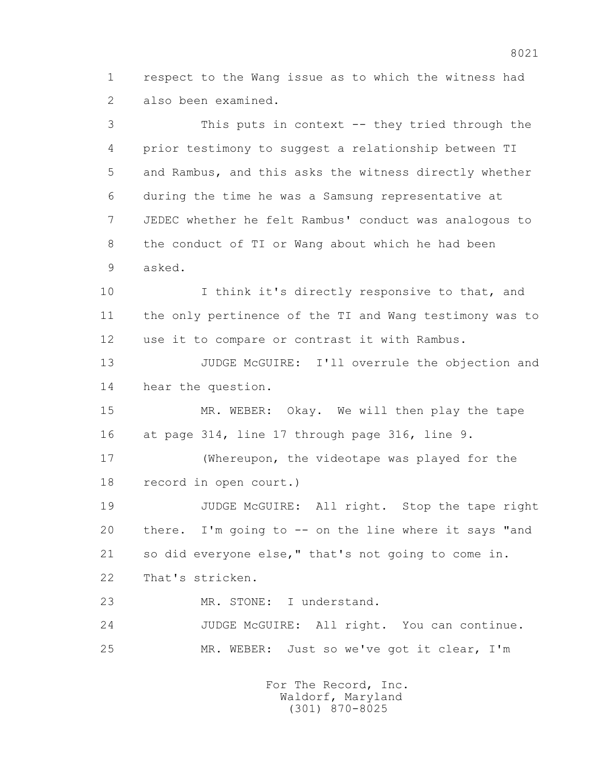1 respect to the Wang issue as to which the witness had 2 also been examined.

 3 This puts in context -- they tried through the 4 prior testimony to suggest a relationship between TI 5 and Rambus, and this asks the witness directly whether 6 during the time he was a Samsung representative at 7 JEDEC whether he felt Rambus' conduct was analogous to 8 the conduct of TI or Wang about which he had been 9 asked. 10 I think it's directly responsive to that, and 11 the only pertinence of the TI and Wang testimony was to 12 use it to compare or contrast it with Rambus. 13 JUDGE McGUIRE: I'll overrule the objection and 14 hear the question. 15 MR. WEBER: Okay. We will then play the tape 16 at page 314, line 17 through page 316, line 9. 17 (Whereupon, the videotape was played for the 18 record in open court.) 19 JUDGE McGUIRE: All right. Stop the tape right 20 there. I'm going to -- on the line where it says "and 21 so did everyone else," that's not going to come in. 22 That's stricken. 23 MR. STONE: I understand. 24 JUDGE McGUIRE: All right. You can continue. 25 MR. WEBER: Just so we've got it clear, I'm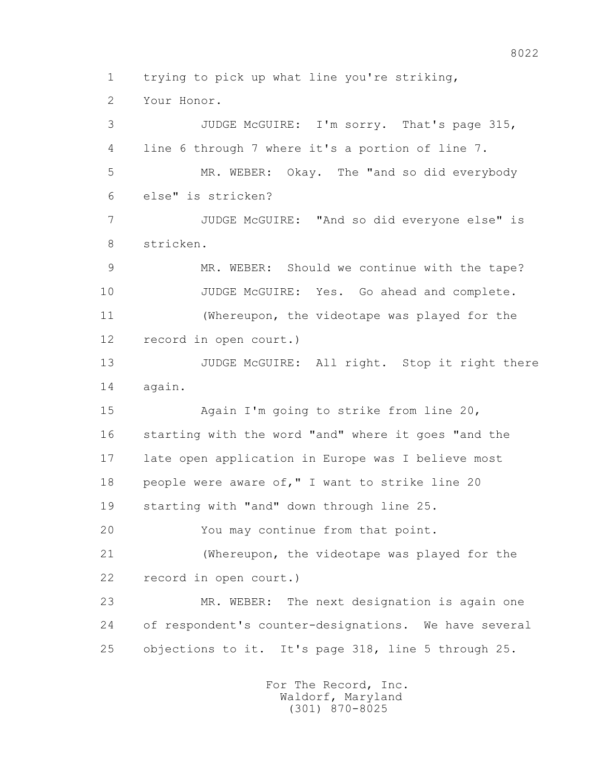1 trying to pick up what line you're striking,

2 Your Honor.

 3 JUDGE McGUIRE: I'm sorry. That's page 315, 4 line 6 through 7 where it's a portion of line 7. 5 MR. WEBER: Okay. The "and so did everybody 6 else" is stricken? 7 JUDGE McGUIRE: "And so did everyone else" is 8 stricken. 9 MR. WEBER: Should we continue with the tape? 10 JUDGE McGUIRE: Yes. Go ahead and complete. 11 (Whereupon, the videotape was played for the 12 record in open court.) 13 JUDGE McGUIRE: All right. Stop it right there 14 again. 15 Again I'm going to strike from line 20, 16 starting with the word "and" where it goes "and the 17 late open application in Europe was I believe most 18 people were aware of," I want to strike line 20 19 starting with "and" down through line 25. 20 You may continue from that point. 21 (Whereupon, the videotape was played for the 22 record in open court.) 23 MR. WEBER: The next designation is again one 24 of respondent's counter-designations. We have several 25 objections to it. It's page 318, line 5 through 25.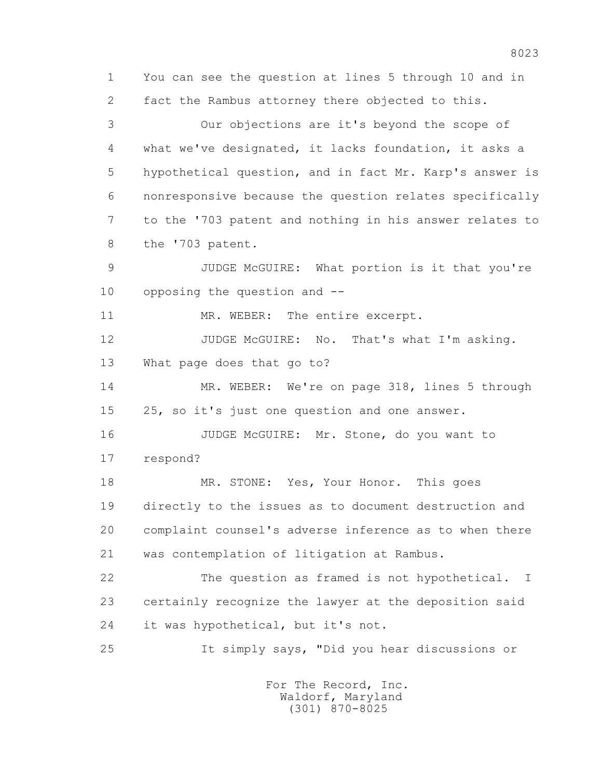1 You can see the question at lines 5 through 10 and in 2 fact the Rambus attorney there objected to this. 3 Our objections are it's beyond the scope of 4 what we've designated, it lacks foundation, it asks a 5 hypothetical question, and in fact Mr. Karp's answer is 6 nonresponsive because the question relates specifically 7 to the '703 patent and nothing in his answer relates to 8 the '703 patent. 9 JUDGE McGUIRE: What portion is it that you're 10 opposing the question and -- 11 MR. WEBER: The entire excerpt. 12 JUDGE McGUIRE: No. That's what I'm asking. 13 What page does that go to? 14 MR. WEBER: We're on page 318, lines 5 through 15 25, so it's just one question and one answer. 16 JUDGE McGUIRE: Mr. Stone, do you want to 17 respond? 18 MR. STONE: Yes, Your Honor. This goes 19 directly to the issues as to document destruction and 20 complaint counsel's adverse inference as to when there 21 was contemplation of litigation at Rambus. 22 The question as framed is not hypothetical. I 23 certainly recognize the lawyer at the deposition said 24 it was hypothetical, but it's not. 25 It simply says, "Did you hear discussions or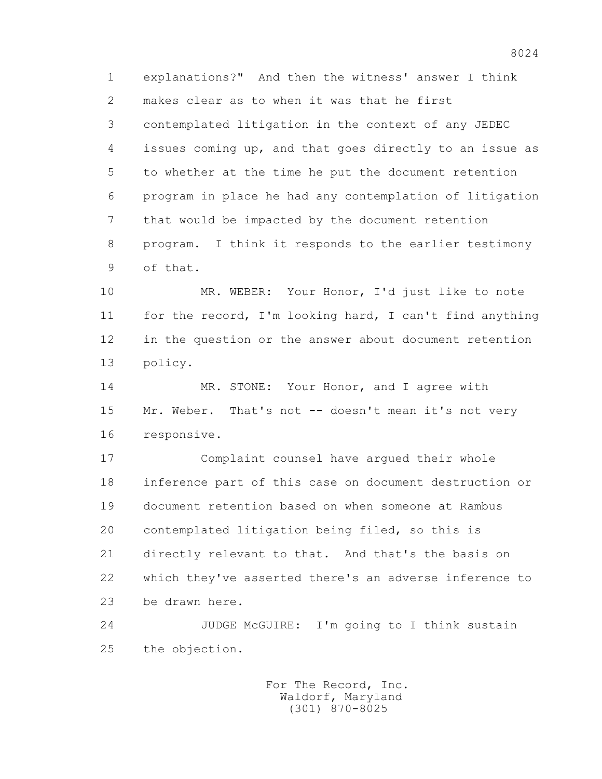1 explanations?" And then the witness' answer I think 2 makes clear as to when it was that he first 3 contemplated litigation in the context of any JEDEC 4 issues coming up, and that goes directly to an issue as 5 to whether at the time he put the document retention 6 program in place he had any contemplation of litigation 7 that would be impacted by the document retention 8 program. I think it responds to the earlier testimony 9 of that.

 10 MR. WEBER: Your Honor, I'd just like to note 11 for the record, I'm looking hard, I can't find anything 12 in the question or the answer about document retention 13 policy.

14 MR. STONE: Your Honor, and I agree with 15 Mr. Weber. That's not -- doesn't mean it's not very 16 responsive.

 17 Complaint counsel have argued their whole 18 inference part of this case on document destruction or 19 document retention based on when someone at Rambus 20 contemplated litigation being filed, so this is 21 directly relevant to that. And that's the basis on 22 which they've asserted there's an adverse inference to 23 be drawn here.

 24 JUDGE McGUIRE: I'm going to I think sustain 25 the objection.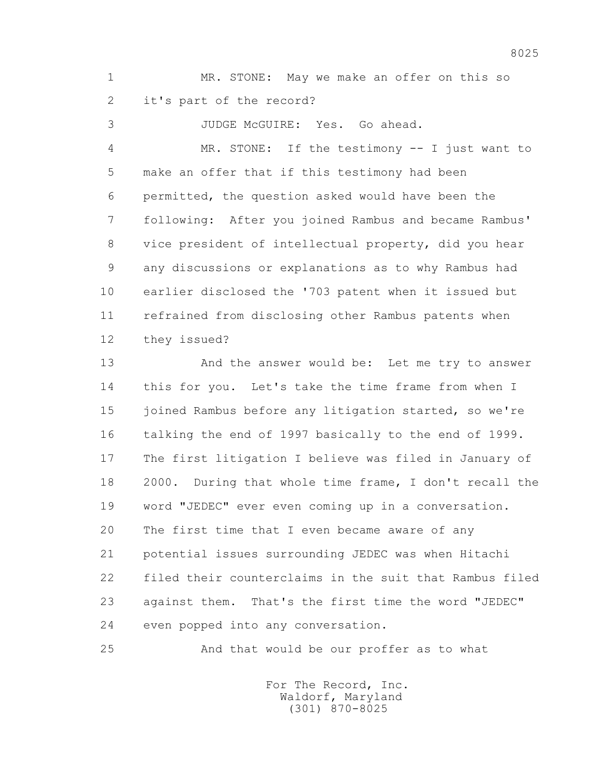1 MR. STONE: May we make an offer on this so 2 it's part of the record?

3 JUDGE McGUIRE: Yes. Go ahead.

 4 MR. STONE: If the testimony -- I just want to 5 make an offer that if this testimony had been 6 permitted, the question asked would have been the 7 following: After you joined Rambus and became Rambus' 8 vice president of intellectual property, did you hear 9 any discussions or explanations as to why Rambus had 10 earlier disclosed the '703 patent when it issued but 11 refrained from disclosing other Rambus patents when 12 they issued?

13 And the answer would be: Let me try to answer 14 this for you. Let's take the time frame from when I 15 joined Rambus before any litigation started, so we're 16 talking the end of 1997 basically to the end of 1999. 17 The first litigation I believe was filed in January of 18 2000. During that whole time frame, I don't recall the 19 word "JEDEC" ever even coming up in a conversation. 20 The first time that I even became aware of any 21 potential issues surrounding JEDEC was when Hitachi 22 filed their counterclaims in the suit that Rambus filed 23 against them. That's the first time the word "JEDEC" 24 even popped into any conversation.

25 And that would be our proffer as to what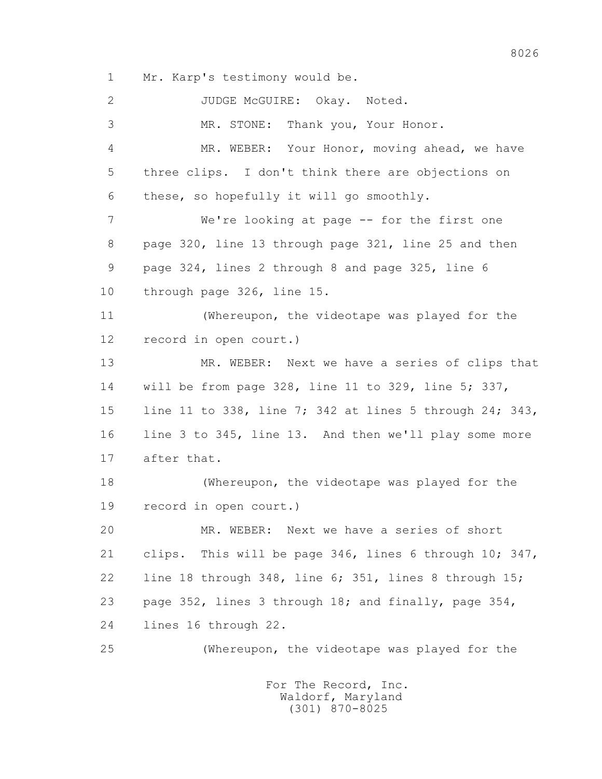1 Mr. Karp's testimony would be.

 2 JUDGE McGUIRE: Okay. Noted. 3 MR. STONE: Thank you, Your Honor. 4 MR. WEBER: Your Honor, moving ahead, we have 5 three clips. I don't think there are objections on 6 these, so hopefully it will go smoothly. 7 We're looking at page -- for the first one 8 page 320, line 13 through page 321, line 25 and then 9 page 324, lines 2 through 8 and page 325, line 6 10 through page 326, line 15. 11 (Whereupon, the videotape was played for the 12 record in open court.) 13 MR. WEBER: Next we have a series of clips that 14 will be from page 328, line 11 to 329, line 5; 337, 15 line 11 to 338, line 7; 342 at lines 5 through 24; 343, 16 line 3 to 345, line 13. And then we'll play some more 17 after that. 18 (Whereupon, the videotape was played for the 19 record in open court.) 20 MR. WEBER: Next we have a series of short 21 clips. This will be page 346, lines 6 through 10; 347, 22 line 18 through 348, line 6; 351, lines 8 through 15; 23 page 352, lines 3 through 18; and finally, page 354, 24 lines 16 through 22. 25 (Whereupon, the videotape was played for the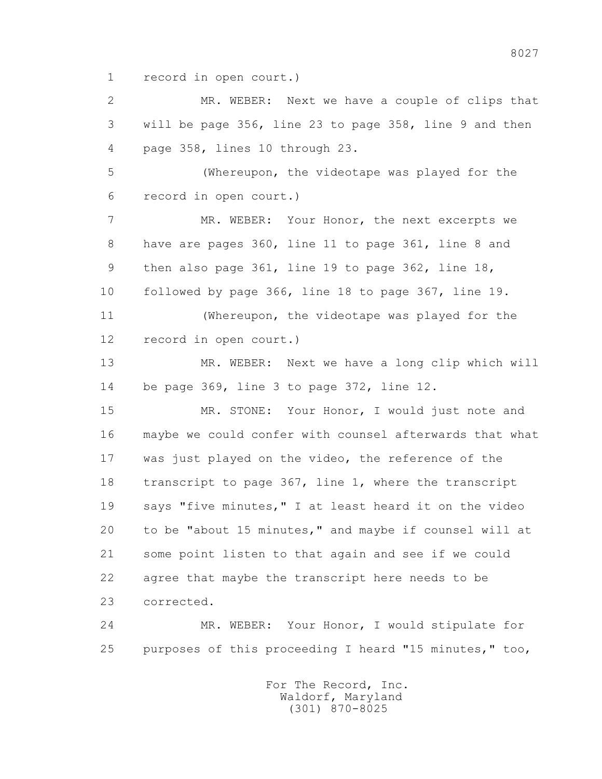1 record in open court.)

 2 MR. WEBER: Next we have a couple of clips that 3 will be page 356, line 23 to page 358, line 9 and then 4 page 358, lines 10 through 23.

 5 (Whereupon, the videotape was played for the 6 record in open court.)

 7 MR. WEBER: Your Honor, the next excerpts we 8 have are pages 360, line 11 to page 361, line 8 and 9 then also page 361, line 19 to page 362, line 18, 10 followed by page 366, line 18 to page 367, line 19.

 11 (Whereupon, the videotape was played for the 12 record in open court.)

 13 MR. WEBER: Next we have a long clip which will 14 be page 369, line 3 to page 372, line 12.

 15 MR. STONE: Your Honor, I would just note and 16 maybe we could confer with counsel afterwards that what 17 was just played on the video, the reference of the 18 transcript to page 367, line 1, where the transcript 19 says "five minutes," I at least heard it on the video 20 to be "about 15 minutes," and maybe if counsel will at 21 some point listen to that again and see if we could 22 agree that maybe the transcript here needs to be 23 corrected.

 24 MR. WEBER: Your Honor, I would stipulate for 25 purposes of this proceeding I heard "15 minutes," too,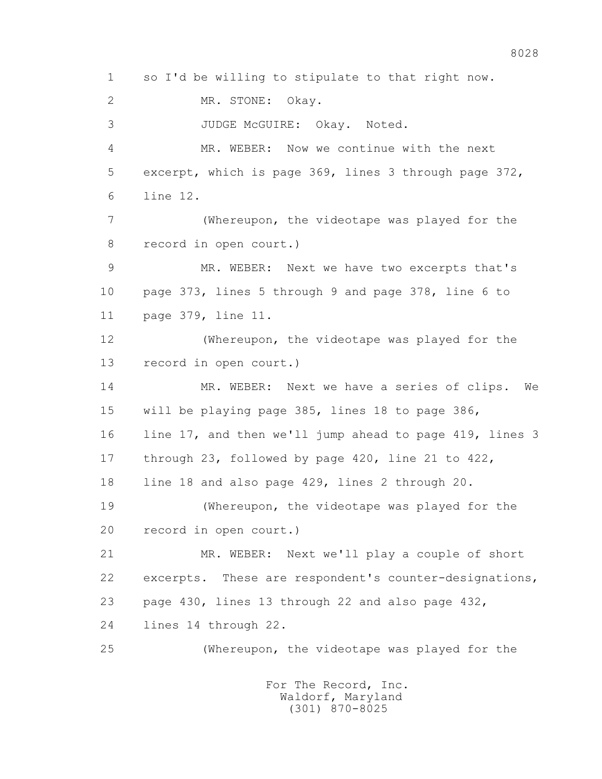1 so I'd be willing to stipulate to that right now. 2 MR. STONE: Okay. 3 JUDGE McGUIRE: Okay. Noted. 4 MR. WEBER: Now we continue with the next 5 excerpt, which is page 369, lines 3 through page 372, 6 line 12. 7 (Whereupon, the videotape was played for the 8 record in open court.) 9 MR. WEBER: Next we have two excerpts that's 10 page 373, lines 5 through 9 and page 378, line 6 to 11 page 379, line 11. 12 (Whereupon, the videotape was played for the 13 record in open court.) 14 MR. WEBER: Next we have a series of clips. We 15 will be playing page 385, lines 18 to page 386, 16 line 17, and then we'll jump ahead to page 419, lines 3 17 through 23, followed by page 420, line 21 to 422, 18 line 18 and also page 429, lines 2 through 20. 19 (Whereupon, the videotape was played for the 20 record in open court.) 21 MR. WEBER: Next we'll play a couple of short 22 excerpts. These are respondent's counter-designations, 23 page 430, lines 13 through 22 and also page 432, 24 lines 14 through 22. 25 (Whereupon, the videotape was played for the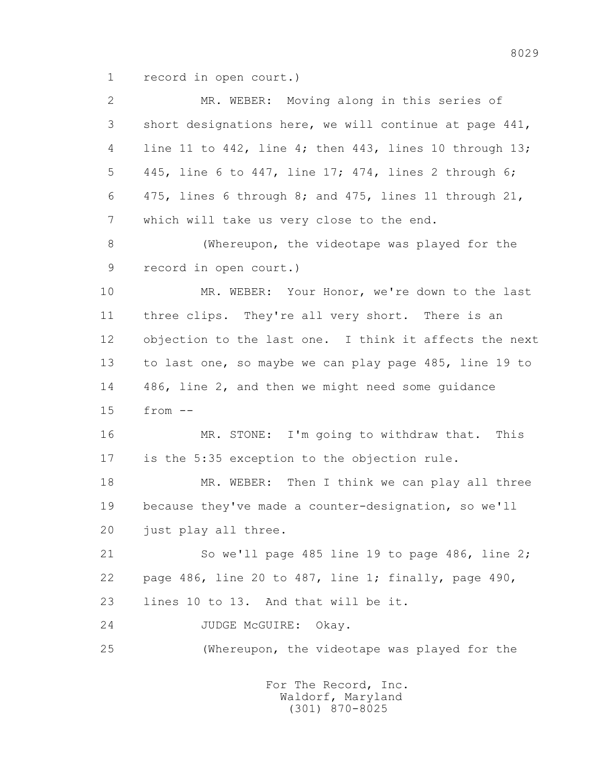1 record in open court.)

| $\mathbf{2}$ | MR. WEBER: Moving along in this series of                     |
|--------------|---------------------------------------------------------------|
| 3            | short designations here, we will continue at page 441,        |
| 4            | line 11 to 442, line 4; then 443, lines 10 through 13;        |
| 5            | 445, line 6 to 447, line 17; 474, lines 2 through 6;          |
| 6            | 475, lines 6 through 8; and 475, lines 11 through 21,         |
| 7            | which will take us very close to the end.                     |
| 8            | (Whereupon, the videotape was played for the                  |
| 9            | record in open court.)                                        |
| 10           | MR. WEBER: Your Honor, we're down to the last                 |
| 11           | three clips. They're all very short. There is an              |
| 12           | objection to the last one. I think it affects the next        |
| 13           | to last one, so maybe we can play page 485, line 19 to        |
| 14           | 486, line 2, and then we might need some guidance             |
| 15           | $from --$                                                     |
| 16           | MR. STONE: I'm going to withdraw that.<br>This                |
| 17           | is the 5:35 exception to the objection rule.                  |
| 18           | MR. WEBER: Then I think we can play all three                 |
| 19           | because they've made a counter-designation, so we'll          |
| 20           | just play all three.                                          |
| 21           | So we'll page 485 line 19 to page 486, line 2;                |
| 22           | page 486, line 20 to 487, line 1; finally, page 490,          |
| 23           | lines 10 to 13. And that will be it.                          |
| 24           | JUDGE MCGUIRE:<br>Okay.                                       |
| 25           | (Whereupon, the videotape was played for the                  |
|              | For The Record, Inc.<br>Waldorf, Maryland<br>$(301)$ 870-8025 |

8029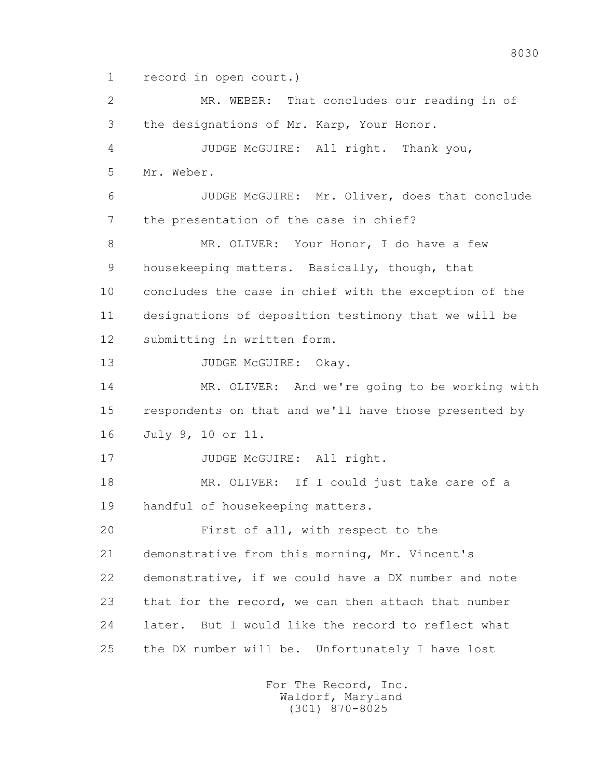1 record in open court.)

 2 MR. WEBER: That concludes our reading in of 3 the designations of Mr. Karp, Your Honor. 4 JUDGE McGUIRE: All right. Thank you, 5 Mr. Weber. 6 JUDGE McGUIRE: Mr. Oliver, does that conclude 7 the presentation of the case in chief? 8 MR. OLIVER: Your Honor, I do have a few 9 housekeeping matters. Basically, though, that 10 concludes the case in chief with the exception of the 11 designations of deposition testimony that we will be 12 submitting in written form. 13 JUDGE McGUIRE: Okay. 14 MR. OLIVER: And we're going to be working with 15 respondents on that and we'll have those presented by 16 July 9, 10 or 11. 17 JUDGE McGUIRE: All right. 18 MR. OLIVER: If I could just take care of a 19 handful of housekeeping matters. 20 First of all, with respect to the 21 demonstrative from this morning, Mr. Vincent's 22 demonstrative, if we could have a DX number and note 23 that for the record, we can then attach that number 24 later. But I would like the record to reflect what 25 the DX number will be. Unfortunately I have lost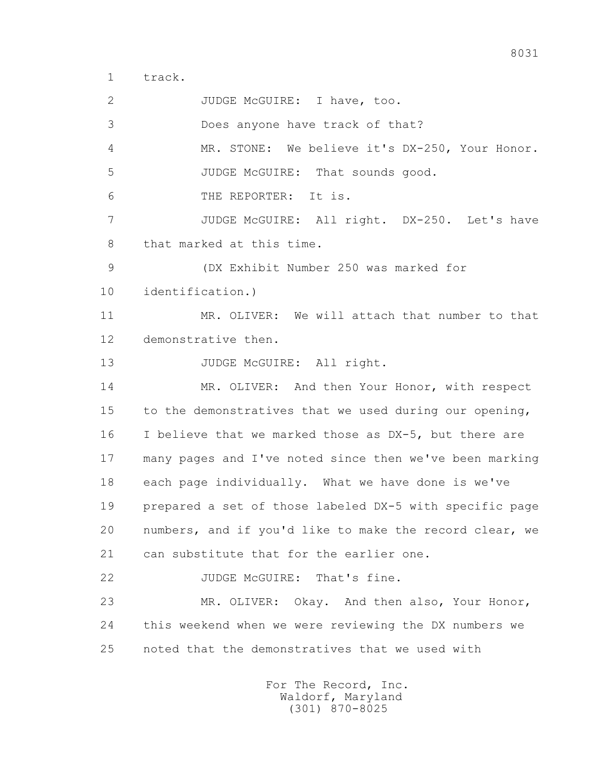1 track.

2 JUDGE McGUIRE: I have, too. 3 Does anyone have track of that? 4 MR. STONE: We believe it's DX-250, Your Honor. 5 JUDGE McGUIRE: That sounds good. 6 THE REPORTER: It is. 7 JUDGE McGUIRE: All right. DX-250. Let's have 8 that marked at this time. 9 (DX Exhibit Number 250 was marked for 10 identification.) 11 MR. OLIVER: We will attach that number to that 12 demonstrative then. 13 JUDGE McGUIRE: All right. 14 MR. OLIVER: And then Your Honor, with respect 15 to the demonstratives that we used during our opening, 16 I believe that we marked those as DX-5, but there are 17 many pages and I've noted since then we've been marking 18 each page individually. What we have done is we've 19 prepared a set of those labeled DX-5 with specific page 20 numbers, and if you'd like to make the record clear, we 21 can substitute that for the earlier one. 22 JUDGE McGUIRE: That's fine. 23 MR. OLIVER: Okay. And then also, Your Honor, 24 this weekend when we were reviewing the DX numbers we 25 noted that the demonstratives that we used with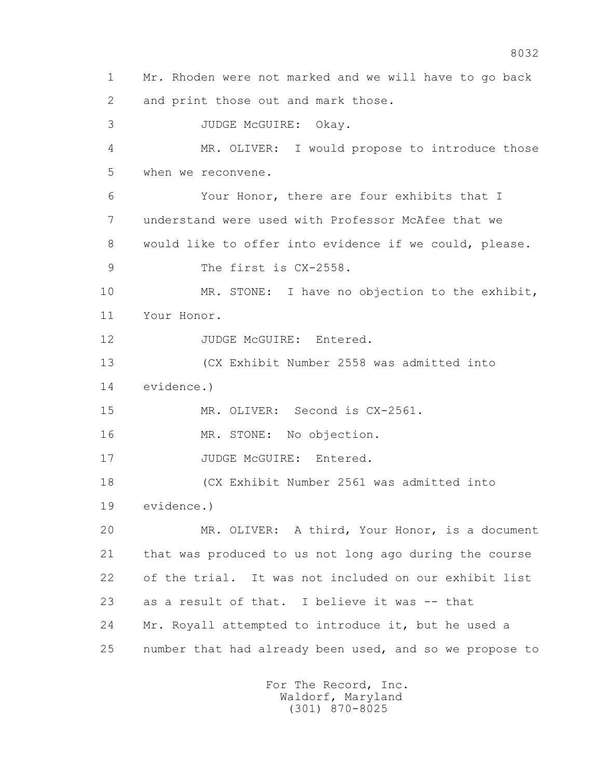1 Mr. Rhoden were not marked and we will have to go back 2 and print those out and mark those. 3 JUDGE McGUIRE: Okay. 4 MR. OLIVER: I would propose to introduce those 5 when we reconvene. 6 Your Honor, there are four exhibits that I 7 understand were used with Professor McAfee that we 8 would like to offer into evidence if we could, please. 9 The first is  $CX-2558$ . 10 MR. STONE: I have no objection to the exhibit, 11 Your Honor. 12 JUDGE McGUIRE: Entered. 13 (CX Exhibit Number 2558 was admitted into 14 evidence.) 15 MR. OLIVER: Second is CX-2561. 16 MR. STONE: No objection. 17 JUDGE McGUIRE: Entered. 18 (CX Exhibit Number 2561 was admitted into 19 evidence.) 20 MR. OLIVER: A third, Your Honor, is a document 21 that was produced to us not long ago during the course 22 of the trial. It was not included on our exhibit list 23 as a result of that. I believe it was -- that 24 Mr. Royall attempted to introduce it, but he used a 25 number that had already been used, and so we propose to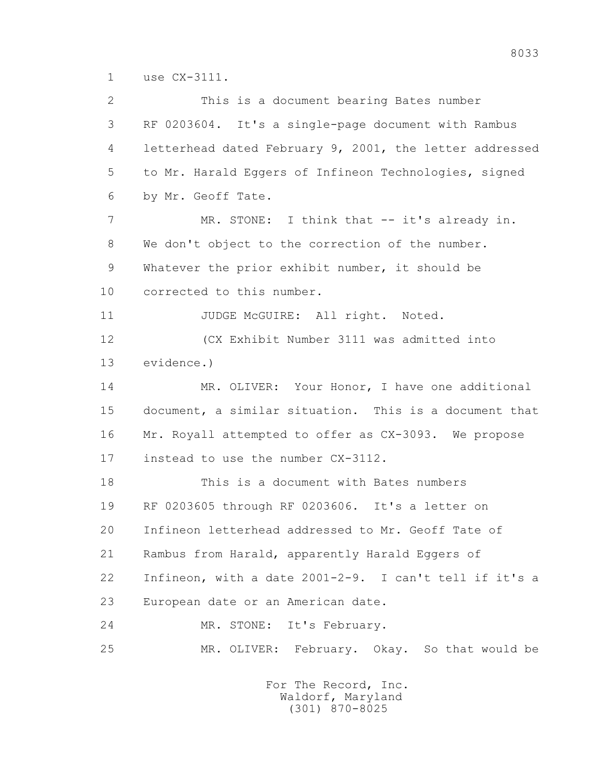1 use CX-3111.

 2 This is a document bearing Bates number 3 RF 0203604. It's a single-page document with Rambus 4 letterhead dated February 9, 2001, the letter addressed 5 to Mr. Harald Eggers of Infineon Technologies, signed 6 by Mr. Geoff Tate. 7 MR. STONE: I think that -- it's already in. 8 We don't object to the correction of the number. 9 Whatever the prior exhibit number, it should be 10 corrected to this number. 11 JUDGE McGUIRE: All right. Noted. 12 (CX Exhibit Number 3111 was admitted into 13 evidence.) 14 MR. OLIVER: Your Honor, I have one additional 15 document, a similar situation. This is a document that 16 Mr. Royall attempted to offer as CX-3093. We propose 17 instead to use the number CX-3112. 18 This is a document with Bates numbers 19 RF 0203605 through RF 0203606. It's a letter on 20 Infineon letterhead addressed to Mr. Geoff Tate of 21 Rambus from Harald, apparently Harald Eggers of 22 Infineon, with a date 2001-2-9. I can't tell if it's a 23 European date or an American date. 24 MR. STONE: It's February. 25 MR. OLIVER: February. Okay. So that would be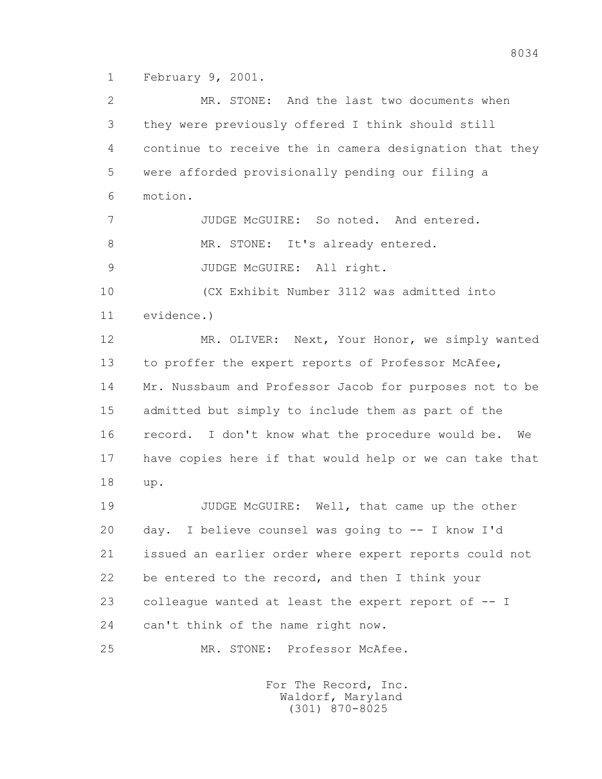1 February 9, 2001.

 2 MR. STONE: And the last two documents when 3 they were previously offered I think should still 4 continue to receive the in camera designation that they 5 were afforded provisionally pending our filing a 6 motion. 7 JUDGE McGUIRE: So noted. And entered. 8 MR. STONE: It's already entered. 9 JUDGE McGUIRE: All right. 10 (CX Exhibit Number 3112 was admitted into 11 evidence.) 12 MR. OLIVER: Next, Your Honor, we simply wanted 13 to proffer the expert reports of Professor McAfee, 14 Mr. Nussbaum and Professor Jacob for purposes not to be 15 admitted but simply to include them as part of the 16 record. I don't know what the procedure would be. We 17 have copies here if that would help or we can take that 18 up. 19 JUDGE McGUIRE: Well, that came up the other 20 day. I believe counsel was going to -- I know I'd 21 issued an earlier order where expert reports could not 22 be entered to the record, and then I think your 23 colleague wanted at least the expert report of -- I 24 can't think of the name right now. 25 MR. STONE: Professor McAfee.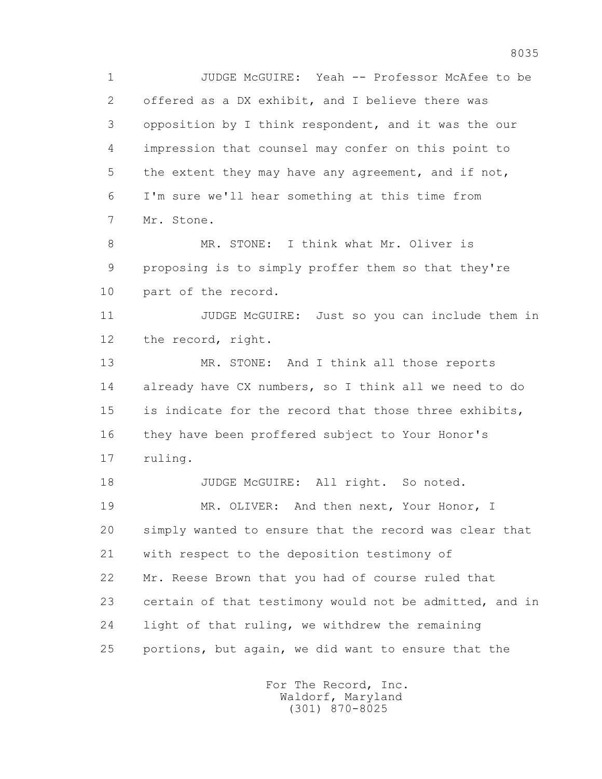1 JUDGE McGUIRE: Yeah -- Professor McAfee to be 2 offered as a DX exhibit, and I believe there was 3 opposition by I think respondent, and it was the our 4 impression that counsel may confer on this point to 5 the extent they may have any agreement, and if not, 6 I'm sure we'll hear something at this time from 7 Mr. Stone.

 8 MR. STONE: I think what Mr. Oliver is 9 proposing is to simply proffer them so that they're 10 part of the record.

11 JUDGE McGUIRE: Just so you can include them in 12 the record, right.

13 MR. STONE: And I think all those reports 14 already have CX numbers, so I think all we need to do 15 is indicate for the record that those three exhibits, 16 they have been proffered subject to Your Honor's 17 ruling.

18 JUDGE McGUIRE: All right. So noted. 19 MR. OLIVER: And then next, Your Honor, I 20 simply wanted to ensure that the record was clear that 21 with respect to the deposition testimony of

 22 Mr. Reese Brown that you had of course ruled that 23 certain of that testimony would not be admitted, and in 24 light of that ruling, we withdrew the remaining 25 portions, but again, we did want to ensure that the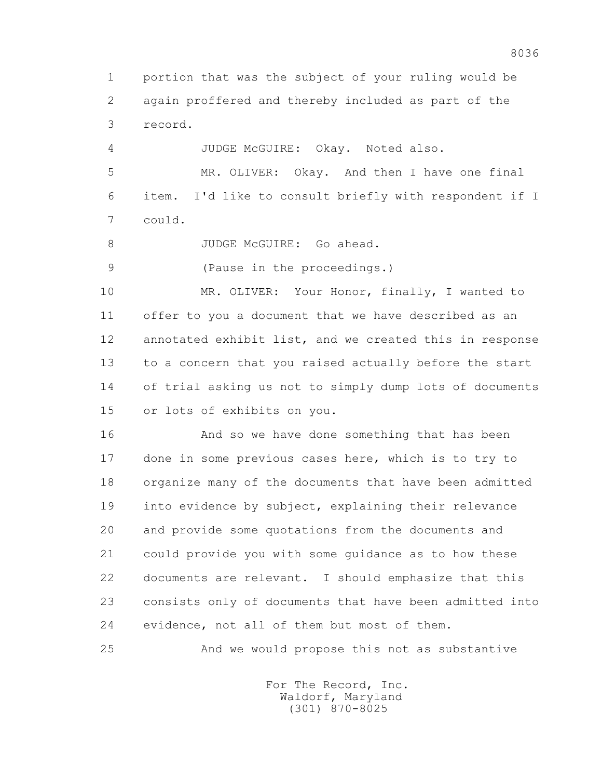1 portion that was the subject of your ruling would be 2 again proffered and thereby included as part of the 3 record.

4 JUDGE McGUIRE: Okay. Noted also.

 5 MR. OLIVER: Okay. And then I have one final 6 item. I'd like to consult briefly with respondent if I 7 could.

8 JUDGE McGUIRE: Go ahead.

9 (Pause in the proceedings.)

 10 MR. OLIVER: Your Honor, finally, I wanted to 11 offer to you a document that we have described as an 12 annotated exhibit list, and we created this in response 13 to a concern that you raised actually before the start 14 of trial asking us not to simply dump lots of documents 15 or lots of exhibits on you.

 16 And so we have done something that has been 17 done in some previous cases here, which is to try to 18 organize many of the documents that have been admitted 19 into evidence by subject, explaining their relevance 20 and provide some quotations from the documents and 21 could provide you with some guidance as to how these 22 documents are relevant. I should emphasize that this 23 consists only of documents that have been admitted into 24 evidence, not all of them but most of them.

25 And we would propose this not as substantive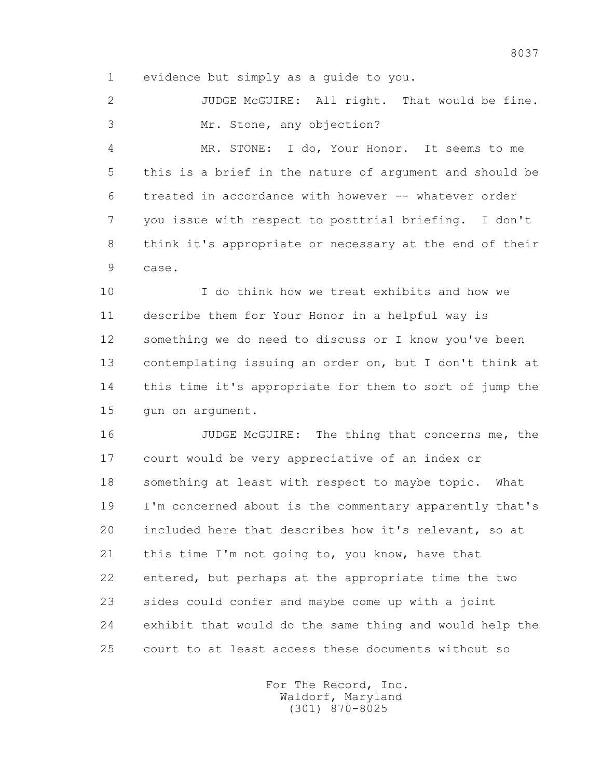1 evidence but simply as a guide to you.

 2 JUDGE McGUIRE: All right. That would be fine. 3 Mr. Stone, any objection?

 4 MR. STONE: I do, Your Honor. It seems to me 5 this is a brief in the nature of argument and should be 6 treated in accordance with however -- whatever order 7 you issue with respect to posttrial briefing. I don't 8 think it's appropriate or necessary at the end of their 9 case.

 10 I do think how we treat exhibits and how we 11 describe them for Your Honor in a helpful way is 12 something we do need to discuss or I know you've been 13 contemplating issuing an order on, but I don't think at 14 this time it's appropriate for them to sort of jump the 15 gun on argument.

 16 JUDGE McGUIRE: The thing that concerns me, the 17 court would be very appreciative of an index or 18 something at least with respect to maybe topic. What 19 I'm concerned about is the commentary apparently that's 20 included here that describes how it's relevant, so at 21 this time I'm not going to, you know, have that 22 entered, but perhaps at the appropriate time the two 23 sides could confer and maybe come up with a joint 24 exhibit that would do the same thing and would help the 25 court to at least access these documents without so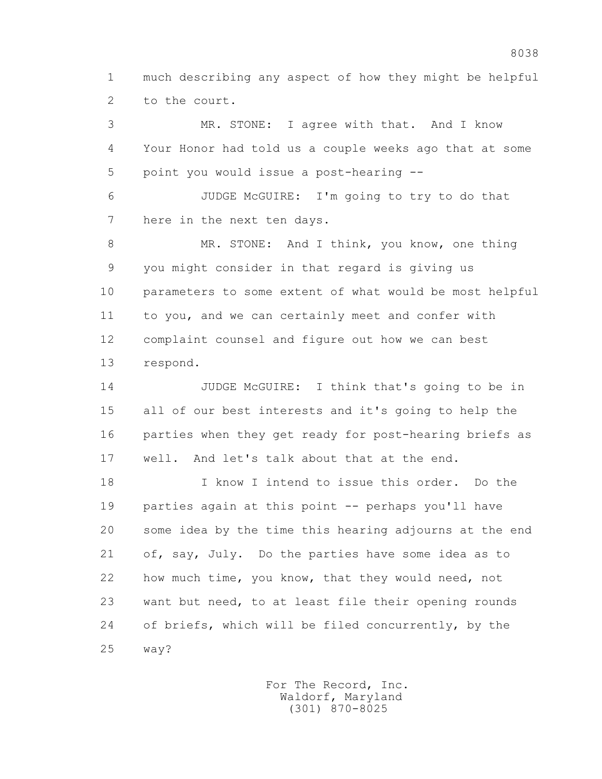1 much describing any aspect of how they might be helpful 2 to the court.

 3 MR. STONE: I agree with that. And I know 4 Your Honor had told us a couple weeks ago that at some 5 point you would issue a post-hearing -- 6 JUDGE McGUIRE: I'm going to try to do that 7 here in the next ten days. 8 MR. STONE: And I think, you know, one thing 9 you might consider in that regard is giving us 10 parameters to some extent of what would be most helpful 11 to you, and we can certainly meet and confer with 12 complaint counsel and figure out how we can best 13 respond.

 14 JUDGE McGUIRE: I think that's going to be in 15 all of our best interests and it's going to help the 16 parties when they get ready for post-hearing briefs as 17 well. And let's talk about that at the end.

 18 I know I intend to issue this order. Do the 19 parties again at this point -- perhaps you'll have 20 some idea by the time this hearing adjourns at the end 21 of, say, July. Do the parties have some idea as to 22 how much time, you know, that they would need, not 23 want but need, to at least file their opening rounds 24 of briefs, which will be filed concurrently, by the 25 way?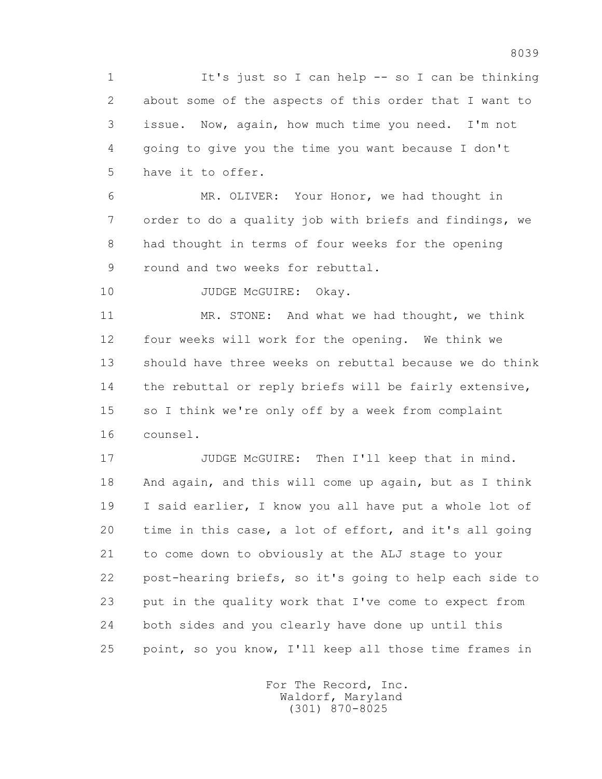1 It's just so I can help -- so I can be thinking 2 about some of the aspects of this order that I want to 3 issue. Now, again, how much time you need. I'm not 4 going to give you the time you want because I don't 5 have it to offer.

 6 MR. OLIVER: Your Honor, we had thought in 7 order to do a quality job with briefs and findings, we 8 had thought in terms of four weeks for the opening 9 round and two weeks for rebuttal.

10 JUDGE McGUIRE: Okay.

 11 MR. STONE: And what we had thought, we think 12 four weeks will work for the opening. We think we 13 should have three weeks on rebuttal because we do think 14 the rebuttal or reply briefs will be fairly extensive, 15 so I think we're only off by a week from complaint 16 counsel.

17 JUDGE McGUIRE: Then I'll keep that in mind. 18 And again, and this will come up again, but as I think 19 I said earlier, I know you all have put a whole lot of 20 time in this case, a lot of effort, and it's all going 21 to come down to obviously at the ALJ stage to your 22 post-hearing briefs, so it's going to help each side to 23 put in the quality work that I've come to expect from 24 both sides and you clearly have done up until this 25 point, so you know, I'll keep all those time frames in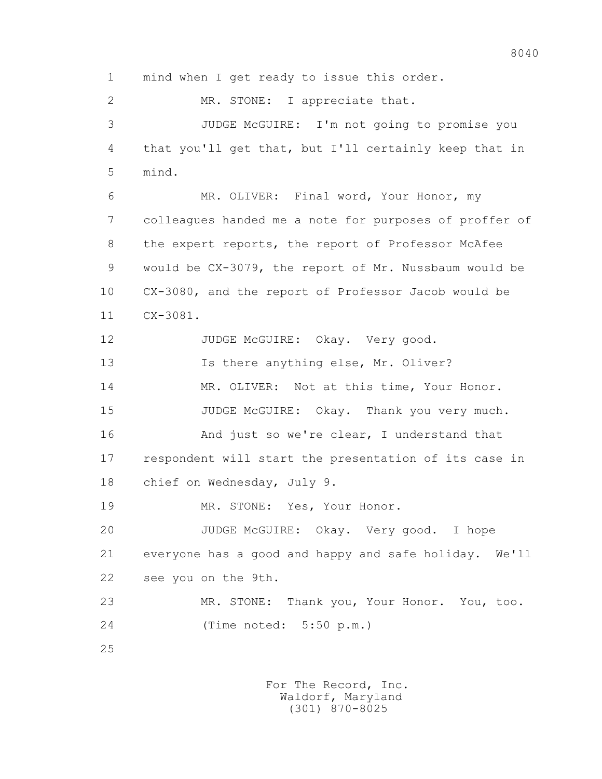1 mind when I get ready to issue this order.

2 MR. STONE: I appreciate that.

 3 JUDGE McGUIRE: I'm not going to promise you 4 that you'll get that, but I'll certainly keep that in 5 mind.

 6 MR. OLIVER: Final word, Your Honor, my 7 colleagues handed me a note for purposes of proffer of 8 the expert reports, the report of Professor McAfee 9 would be CX-3079, the report of Mr. Nussbaum would be 10 CX-3080, and the report of Professor Jacob would be 11 CX-3081.

12 JUDGE McGUIRE: Okay. Very good.

13 Is there anything else, Mr. Oliver?

14 MR. OLIVER: Not at this time, Your Honor.

15 JUDGE McGUIRE: Okay. Thank you very much.

16 And just so we're clear, I understand that

 17 respondent will start the presentation of its case in 18 chief on Wednesday, July 9.

19 MR. STONE: Yes, Your Honor.

 20 JUDGE McGUIRE: Okay. Very good. I hope 21 everyone has a good and happy and safe holiday. We'll 22 see you on the 9th.

 23 MR. STONE: Thank you, Your Honor. You, too. 24 (Time noted: 5:50 p.m.)

25